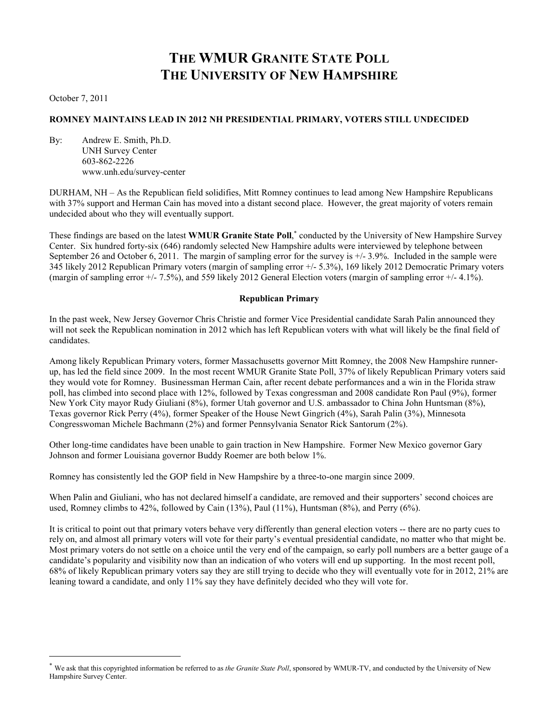# **THE WMUR GRANITE STATE POLL THE UNIVERSITY OF NEW HAMPSHIRE**

October 7, 2011

l

## **ROMNEY MAINTAINS LEAD IN 2012 NH PRESIDENTIAL PRIMARY, VOTERS STILL UNDECIDED**

By: Andrew E. Smith, Ph.D. UNH Survey Center 603-862-2226 www.unh.edu/survey-center

DURHAM, NH – As the Republican field solidifies, Mitt Romney continues to lead among New Hampshire Republicans with 37% support and Herman Cain has moved into a distant second place. However, the great majority of voters remain undecided about who they will eventually support.

These findings are based on the latest WMUR Granite State Poll,<sup>\*</sup> conducted by the University of New Hampshire Survey Center. Six hundred forty-six (646) randomly selected New Hampshire adults were interviewed by telephone between September 26 and October 6, 2011. The margin of sampling error for the survey is +/- 3.9%. Included in the sample were 345 likely 2012 Republican Primary voters (margin of sampling error +/- 5.3%), 169 likely 2012 Democratic Primary voters (margin of sampling error +/- 7.5%), and 559 likely 2012 General Election voters (margin of sampling error +/- 4.1%).

#### **Republican Primary**

In the past week, New Jersey Governor Chris Christie and former Vice Presidential candidate Sarah Palin announced they will not seek the Republican nomination in 2012 which has left Republican voters with what will likely be the final field of candidates.

Among likely Republican Primary voters, former Massachusetts governor Mitt Romney, the 2008 New Hampshire runnerup, has led the field since 2009. In the most recent WMUR Granite State Poll, 37% of likely Republican Primary voters said they would vote for Romney. Businessman Herman Cain, after recent debate performances and a win in the Florida straw poll, has climbed into second place with 12%, followed by Texas congressman and 2008 candidate Ron Paul (9%), former New York City mayor Rudy Giuliani (8%), former Utah governor and U.S. ambassador to China John Huntsman (8%), Texas governor Rick Perry (4%), former Speaker of the House Newt Gingrich (4%), Sarah Palin (3%), Minnesota Congresswoman Michele Bachmann (2%) and former Pennsylvania Senator Rick Santorum (2%).

Other long-time candidates have been unable to gain traction in New Hampshire. Former New Mexico governor Gary Johnson and former Louisiana governor Buddy Roemer are both below 1%.

Romney has consistently led the GOP field in New Hampshire by a three-to-one margin since 2009.

When Palin and Giuliani, who has not declared himself a candidate, are removed and their supporters' second choices are used, Romney climbs to  $42\%$ , followed by Cain  $(13\%)$ , Paul  $(11\%)$ , Huntsman  $(8\%)$ , and Perry  $(6\%)$ .

It is critical to point out that primary voters behave very differently than general election voters -- there are no party cues to rely on, and almost all primary voters will vote for their party's eventual presidential candidate, no matter who that might be. Most primary voters do not settle on a choice until the very end of the campaign, so early poll numbers are a better gauge of a candidate's popularity and visibility now than an indication of who voters will end up supporting. In the most recent poll, 68% of likely Republican primary voters say they are still trying to decide who they will eventually vote for in 2012, 21% are leaning toward a candidate, and only 11% say they have definitely decided who they will vote for.

We ask that this copyrighted information be referred to as *the Granite State Poll*, sponsored by WMUR-TV, and conducted by the University of New Hampshire Survey Center.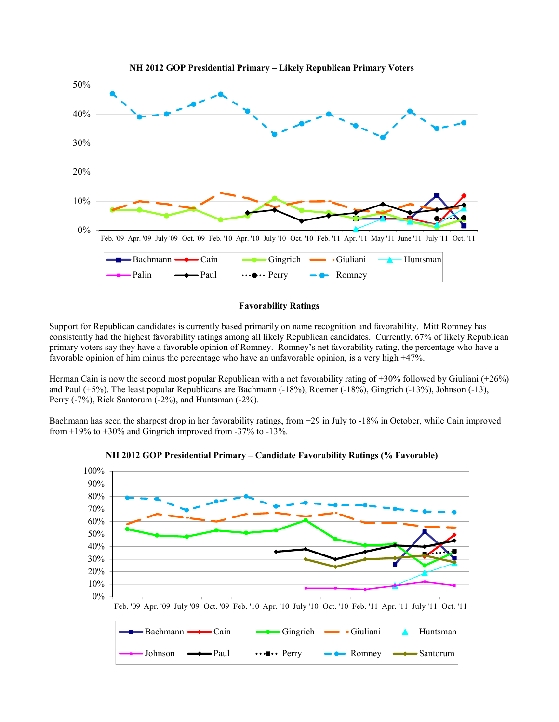

#### **NH 2012 GOP Presidential Primary – Likely Republican Primary Voters**

## **Favorability Ratings**

Support for Republican candidates is currently based primarily on name recognition and favorability. Mitt Romney has consistently had the highest favorability ratings among all likely Republican candidates. Currently, 67% of likely Republican primary voters say they have a favorable opinion of Romney. Romney's net favorability rating, the percentage who have a favorable opinion of him minus the percentage who have an unfavorable opinion, is a very high +47%.

Herman Cain is now the second most popular Republican with a net favorability rating of +30% followed by Giuliani (+26%) and Paul (+5%). The least popular Republicans are Bachmann (-18%), Roemer (-18%), Gingrich (-13%), Johnson (-13), Perry (-7%), Rick Santorum (-2%), and Huntsman (-2%).

Bachmann has seen the sharpest drop in her favorability ratings, from +29 in July to -18% in October, while Cain improved from  $+19\%$  to  $+30\%$  and Gingrich improved from  $-37\%$  to  $-13\%$ .



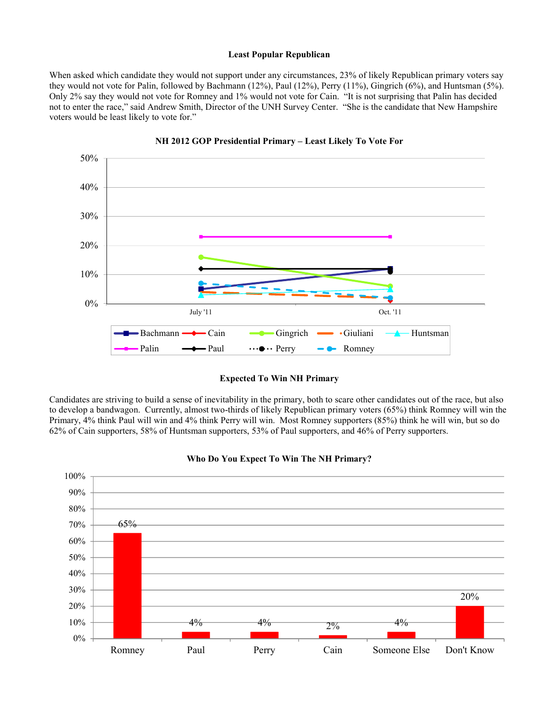## **Least Popular Republican**

When asked which candidate they would not support under any circumstances, 23% of likely Republican primary voters say they would not vote for Palin, followed by Bachmann (12%), Paul (12%), Perry (11%), Gingrich (6%), and Huntsman (5%). Only 2% say they would not vote for Romney and 1% would not vote for Cain. "It is not surprising that Palin has decided not to enter the race," said Andrew Smith, Director of the UNH Survey Center. "She is the candidate that New Hampshire voters would be least likely to vote for."



**NH 2012 GOP Presidential Primary – Least Likely To Vote For** 

**Expected To Win NH Primary** 

Candidates are striving to build a sense of inevitability in the primary, both to scare other candidates out of the race, but also to develop a bandwagon. Currently, almost two-thirds of likely Republican primary voters (65%) think Romney will win the Primary, 4% think Paul will win and 4% think Perry will win. Most Romney supporters (85%) think he will win, but so do 62% of Cain supporters, 58% of Huntsman supporters, 53% of Paul supporters, and 46% of Perry supporters.



**Who Do You Expect To Win The NH Primary?**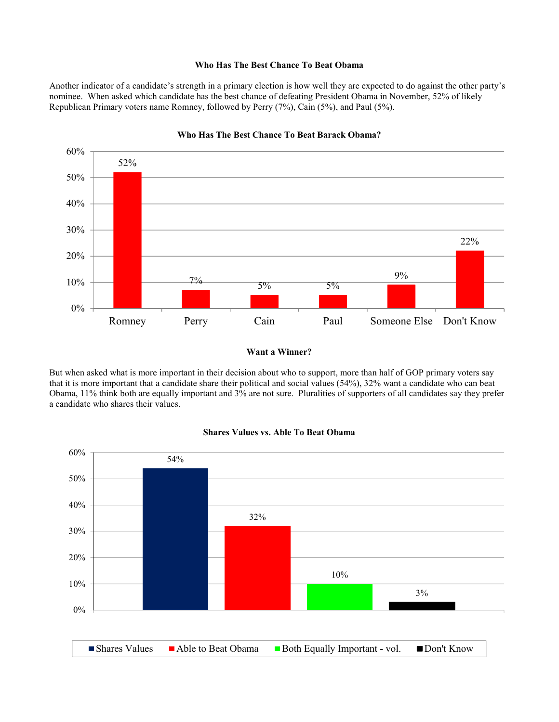## **Who Has The Best Chance To Beat Obama**

Another indicator of a candidate's strength in a primary election is how well they are expected to do against the other party's nominee. When asked which candidate has the best chance of defeating President Obama in November, 52% of likely Republican Primary voters name Romney, followed by Perry (7%), Cain (5%), and Paul (5%).



#### **Who Has The Best Chance To Beat Barack Obama?**

## **Want a Winner?**

But when asked what is more important in their decision about who to support, more than half of GOP primary voters say that it is more important that a candidate share their political and social values (54%), 32% want a candidate who can beat Obama, 11% think both are equally important and 3% are not sure. Pluralities of supporters of all candidates say they prefer a candidate who shares their values.



## **Shares Values vs. Able To Beat Obama**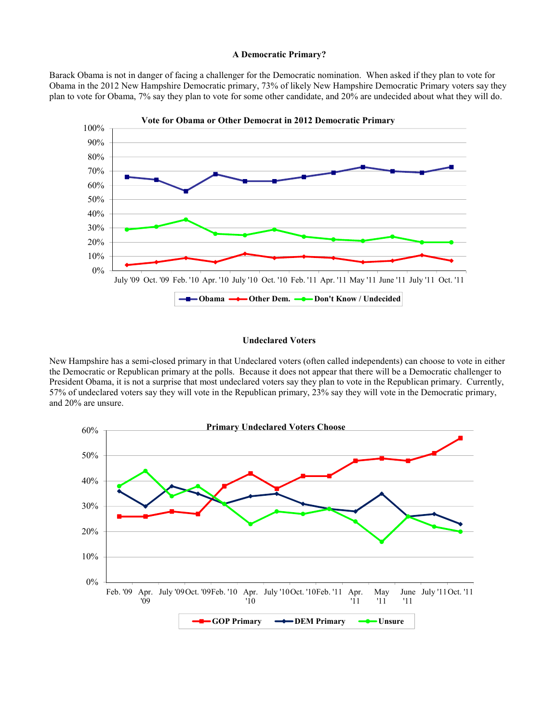#### **A Democratic Primary?**

Barack Obama is not in danger of facing a challenger for the Democratic nomination. When asked if they plan to vote for Obama in the 2012 New Hampshire Democratic primary, 73% of likely New Hampshire Democratic Primary voters say they plan to vote for Obama, 7% say they plan to vote for some other candidate, and 20% are undecided about what they will do.



#### **Undeclared Voters**

New Hampshire has a semi-closed primary in that Undeclared voters (often called independents) can choose to vote in either the Democratic or Republican primary at the polls. Because it does not appear that there will be a Democratic challenger to President Obama, it is not a surprise that most undeclared voters say they plan to vote in the Republican primary. Currently, 57% of undeclared voters say they will vote in the Republican primary, 23% say they will vote in the Democratic primary, and 20% are unsure.

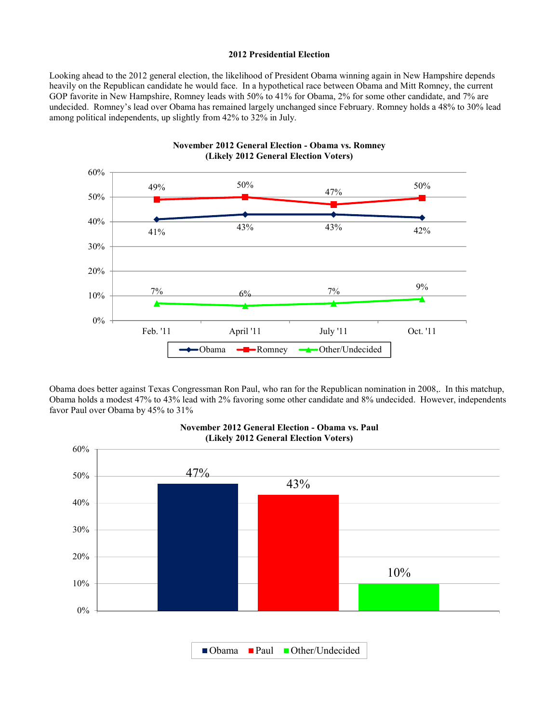## **2012 Presidential Election**

Looking ahead to the 2012 general election, the likelihood of President Obama winning again in New Hampshire depends heavily on the Republican candidate he would face. In a hypothetical race between Obama and Mitt Romney, the current GOP favorite in New Hampshire, Romney leads with 50% to 41% for Obama, 2% for some other candidate, and 7% are undecided. Romney's lead over Obama has remained largely unchanged since February. Romney holds a 48% to 30% lead among political independents, up slightly from 42% to 32% in July.



Obama does better against Texas Congressman Ron Paul, who ran for the Republican nomination in 2008,. In this matchup, Obama holds a modest 47% to 43% lead with 2% favoring some other candidate and 8% undecided. However, independents favor Paul over Obama by 45% to 31%



## **November 2012 General Election - Obama vs. Paul (Likely 2012 General Election Voters)**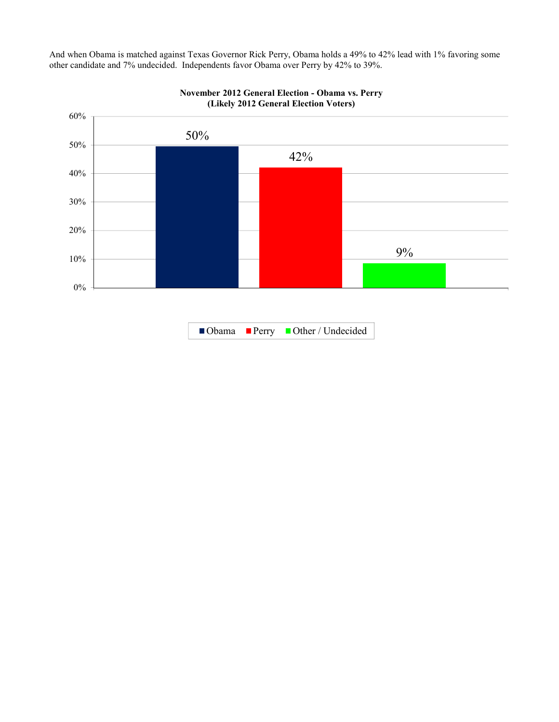And when Obama is matched against Texas Governor Rick Perry, Obama holds a 49% to 42% lead with 1% favoring some other candidate and 7% undecided. Independents favor Obama over Perry by 42% to 39%.



Obama Perry Other / Undecided

**November 2012 General Election - Obama vs. Perry (Likely 2012 General Election Voters)**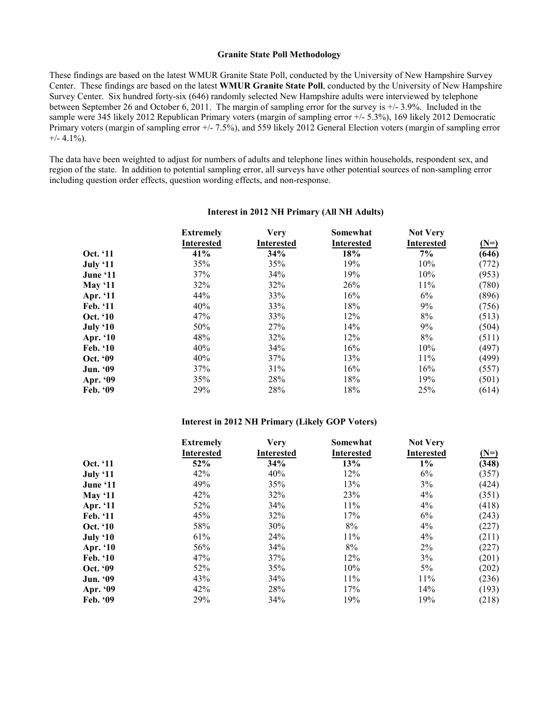## **Granite State Poll Methodology**

These findings are based on the latest WMUR Granite State Poll, conducted by the University of New Hampshire Survey Center. These findings are based on the latest **WMUR Granite State Poll**, conducted by the University of New Hampshire Survey Center. Six hundred forty-six (646) randomly selected New Hampshire adults were interviewed by telephone between September 26 and October 6, 2011. The margin of sampling error for the survey is +/- 3.9%. Included in the sample were 345 likely 2012 Republican Primary voters (margin of sampling error +/- 5.3%), 169 likely 2012 Democratic Primary voters (margin of sampling error +/- 7.5%), and 559 likely 2012 General Election voters (margin of sampling error  $+/- 4.1\%$ ).

The data have been weighted to adjust for numbers of adults and telephone lines within households, respondent sex, and region of the state. In addition to potential sampling error, all surveys have other potential sources of non-sampling error including question order effects, question wording effects, and non-response.

|                | <b>Extremely</b><br><b>Interested</b> | <b>Very</b><br><b>Interested</b> | Somewhat<br><b>Interested</b> | <b>Not Very</b><br><b>Interested</b> | $(N=)$ |
|----------------|---------------------------------------|----------------------------------|-------------------------------|--------------------------------------|--------|
| Oct. '11       | 41%                                   | 34%                              | 18%                           | 7%                                   | (646)  |
| July '11       | 35%                                   | 35%                              | 19%                           | 10%                                  | (772)  |
| June '11       | 37%                                   | 34%                              | 19%                           | 10%                                  | (953)  |
| <b>May '11</b> | 32%                                   | 32%                              | 26%                           | 11%                                  | (780)  |
| Apr. '11       | 44%                                   | 33%                              | 16%                           | 6%                                   | (896)  |
| Feb. '11       | 40%                                   | 33%                              | 18%                           | 9%                                   | (756)  |
| Oct. '10       | 47%                                   | 33%                              | 12%                           | 8%                                   | (513)  |
| July '10       | 50%                                   | 27%                              | 14%                           | 9%                                   | (504)  |
| Apr. '10       | 48%                                   | 32%                              | 12%                           | 8%                                   | (511)  |
| Feb. '10       | 40%                                   | 34%                              | 16%                           | 10%                                  | (497)  |
| Oct. '09       | 40%                                   | 37%                              | 13%                           | 11%                                  | (499)  |
| Jun. '09       | 37%                                   | 31%                              | 16%                           | 16%                                  | (557)  |
| Apr. '09       | 35%                                   | 28%                              | 18%                           | 19%                                  | (501)  |
| Feb. '09       | 29%                                   | 28%                              | 18%                           | 25%                                  | (614)  |

#### **Interest in 2012 NH Primary (All NH Adults)**

#### **Interest in 2012 NH Primary (Likely GOP Voters)**

|                 | <b>Extremely</b>  | <b>Very</b>       | Somewhat          | <b>Not Very</b>   |        |
|-----------------|-------------------|-------------------|-------------------|-------------------|--------|
|                 | <b>Interested</b> | <b>Interested</b> | <b>Interested</b> | <b>Interested</b> | $(N=)$ |
| Oct. '11        | 52%               | 34%               | 13%               | $1\%$             | (348)  |
| July '11        | 42%               | 40%               | 12%               | 6%                | (357)  |
| June '11        | 49%               | 35%               | 13%               | 3%                | (424)  |
| <b>May '11</b>  | 42%               | 32%               | 23%               | 4%                | (351)  |
| Apr. '11        | 52%               | 34%               | 11%               | 4%                | (418)  |
| Feb. '11        | 45%               | 32%               | 17%               | 6%                | (243)  |
| Oct. '10        | 58%               | 30%               | 8%                | 4%                | (227)  |
| July '10        | 61%               | 24%               | 11%               | 4%                | (211)  |
| Apr. '10        | 56%               | 34%               | 8%                | 2%                | (227)  |
| <b>Feb.</b> '10 | 47%               | 37%               | 12%               | 3%                | (201)  |
| Oct. '09        | 52%               | 35%               | 10%               | 5%                | (202)  |
| <b>Jun. '09</b> | 43%               | 34%               | 11%               | 11%               | (236)  |
| Apr. '09        | 42%               | 28%               | 17%               | 14%               | (193)  |
| Feb. '09        | 29%               | 34%               | 19%               | 19%               | (218)  |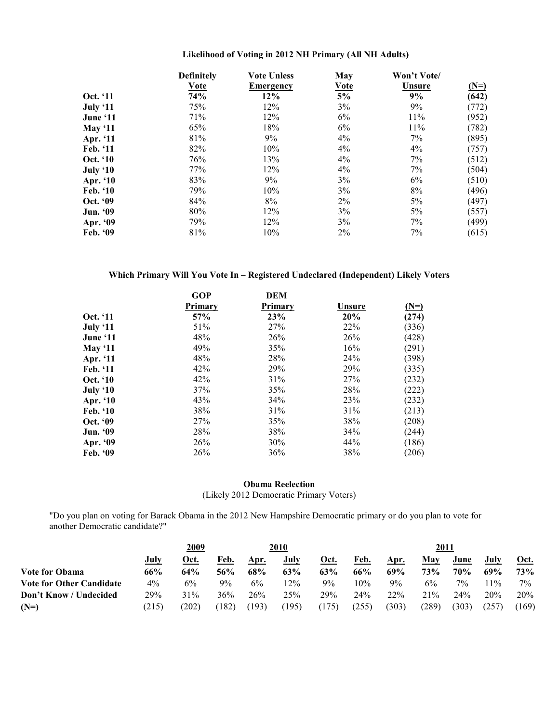|                 | <b>Definitely</b> | <b>Vote Unless</b> | May   | Won't Vote/   |        |
|-----------------|-------------------|--------------------|-------|---------------|--------|
|                 | <b>Vote</b>       | <b>Emergency</b>   | Vote  | <b>Unsure</b> | $(N=)$ |
| Oct. '11        | 74%               | 12%                | 5%    | 9%            | (642)  |
| July '11        | 75%               | 12%                | 3%    | 9%            | (772)  |
| June '11        | 71%               | 12%                | 6%    | 11%           | (952)  |
| May $`11$       | 65%               | 18%                | 6%    | 11%           | (782)  |
| Apr. '11        | 81%               | 9%                 | $4\%$ | 7%            | (895)  |
| Feb. '11        | 82%               | 10%                | $4\%$ | $4\%$         | (757)  |
| Oct. '10        | 76%               | 13%                | 4%    | 7%            | (512)  |
| July '10        | 77%               | 12%                | 4%    | 7%            | (504)  |
| Apr. '10        | 83%               | 9%                 | 3%    | 6%            | (510)  |
| Feb. '10        | 79%               | 10%                | 3%    | 8%            | (496)  |
| Oct. '09        | 84%               | 8%                 | 2%    | 5%            | (497)  |
| <b>Jun.</b> '09 | 80%               | 12%                | 3%    | 5%            | (557)  |
| Apr. '09        | 79%               | 12%                | 3%    | 7%            | (499)  |
| Feb. '09        | 81%               | 10%                | 2%    | 7%            | (615)  |

## **Likelihood of Voting in 2012 NH Primary (All NH Adults)**

**Which Primary Will You Vote In – Registered Undeclared (Independent) Likely Voters** 

|                 | <b>GOP</b> | <b>DEM</b>     |        |        |
|-----------------|------------|----------------|--------|--------|
|                 | Primary    | <b>Primary</b> | Unsure | $(N=)$ |
| Oct. '11        | 57%        | 23%            | 20%    | (274)  |
| July '11        | 51%        | 27%            | 22%    | (336)  |
| June '11        | 48%        | 26%            | 26%    | (428)  |
| May $11$        | 49%        | 35%            | 16%    | (291)  |
| Apr. '11        | 48%        | 28%            | 24%    | (398)  |
| Feb. '11        | 42%        | 29%            | 29%    | (335)  |
| Oct. '10        | 42%        | 31%            | 27%    | (232)  |
| July '10        | 37%        | 35%            | 28%    | (222)  |
| Apr. '10        | 43%        | 34%            | 23%    | (232)  |
| Feb. $10$       | 38%        | 31%            | 31%    | (213)  |
| Oct. '09        | 27%        | 35%            | 38%    | (208)  |
| <b>Jun.</b> '09 | 28%        | 38%            | 34%    | (244)  |
| Apr. '09        | 26%        | 30%            | 44%    | (186)  |
| Feb. $99$       | 26%        | 36%            | 38%    | (206)  |

## **Obama Reelection**

(Likely 2012 Democratic Primary Voters)

"Do you plan on voting for Barack Obama in the 2012 New Hampshire Democratic primary or do you plan to vote for another Democratic candidate?"

|                                 |       | 2009  |       |       | 2010  |             |        |       | 2011  |            |       |             |
|---------------------------------|-------|-------|-------|-------|-------|-------------|--------|-------|-------|------------|-------|-------------|
|                                 | July  | Oct.  | Feb.  | Apr.  | July  | <u>Oct.</u> | Feb.   | Apr.  | May   | June       | July  | <u>Oct.</u> |
| Vote for Obama                  | 66%   | 64%   | 56%   | 68%   | 63%   | 63%         | 66%    | 69%   | 73%   | <b>70%</b> | 69%   | <b>73%</b>  |
| <b>Vote for Other Candidate</b> | $4\%$ | 6%    | 9%    | 6%    | $2\%$ | $9\%$       | $10\%$ | 9%    | $6\%$ | $7\%$      | $1\%$ | $7\%$       |
| Don't Know / Undecided          | 29%   | 31%   | 36%   | 26%   | 25%   | 29%         | 24%    | 22%   | 21%   | 24%        | 20%   | 20%         |
| $(N=)$                          | (215) | (202) | (182) | (193) | (195) | (175)       | (255)  | (303) | (289) | (303)      | (257) | (169)       |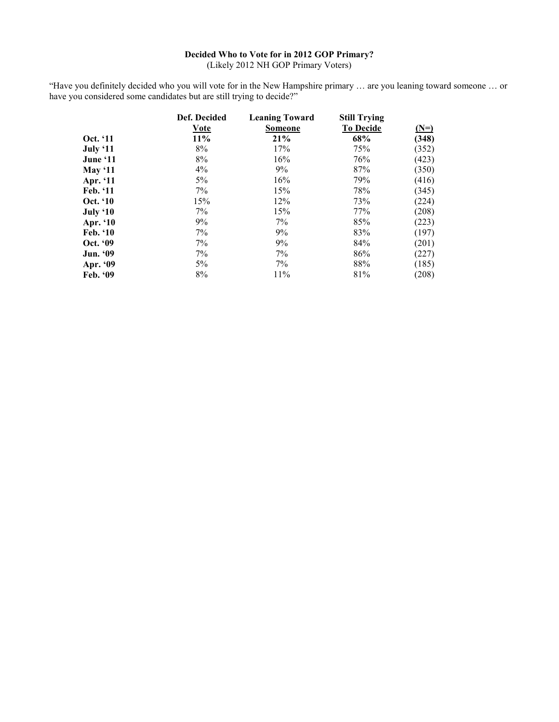## **Decided Who to Vote for in 2012 GOP Primary?**

(Likely 2012 NH GOP Primary Voters)

"Have you definitely decided who you will vote for in the New Hampshire primary … are you leaning toward someone … or have you considered some candidates but are still trying to decide?"

|                 | Def. Decided | <b>Leaning Toward</b> | <b>Still Trying</b> |        |
|-----------------|--------------|-----------------------|---------------------|--------|
|                 | <b>Vote</b>  | <b>Someone</b>        | <b>To Decide</b>    | $(N=)$ |
| Oct. '11        | 11%          | 21%                   | 68%                 | (348)  |
| July '11        | 8%           | 17%                   | 75%                 | (352)  |
| June '11        | 8%           | 16%                   | 76%                 | (423)  |
| May $11$        | $4\%$        | 9%                    | 87%                 | (350)  |
| Apr. '11        | 5%           | 16%                   | 79%                 | (416)  |
| Feb. '11        | 7%           | 15%                   | 78%                 | (345)  |
| <b>Oct.</b> '10 | 15%          | 12%                   | 73%                 | (224)  |
| July '10        | 7%           | 15%                   | 77%                 | (208)  |
| Apr. '10        | 9%           | 7%                    | 85%                 | (223)  |
| <b>Feb.</b> '10 | 7%           | 9%                    | 83%                 | (197)  |
| Oct. '09        | 7%           | 9%                    | 84%                 | (201)  |
| <b>Jun.</b> '09 | 7%           | 7%                    | 86%                 | (227)  |
| Apr. '09        | 5%           | 7%                    | 88%                 | (185)  |
| Feb. '09        | 8%           | 11%                   | 81%                 | (208)  |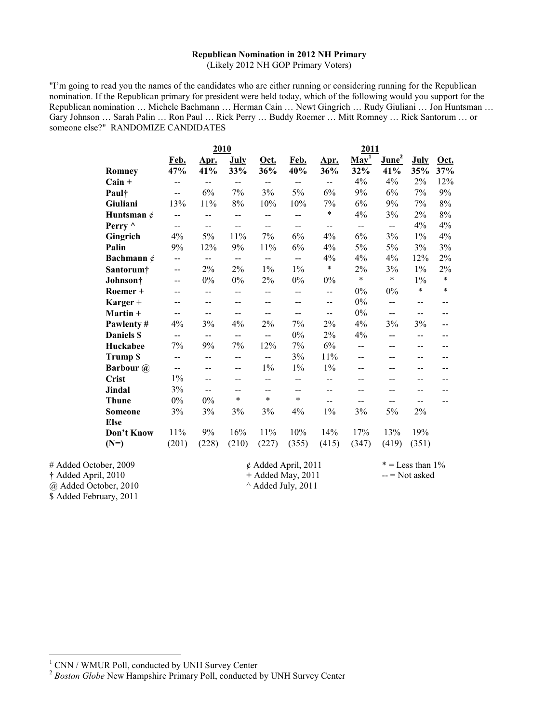#### **Republican Nomination in 2012 NH Primary**

(Likely 2012 NH GOP Primary Voters)

"I'm going to read you the names of the candidates who are either running or considering running for the Republican nomination. If the Republican primary for president were held today, which of the following would you support for the Republican nomination … Michele Bachmann … Herman Cain … Newt Gingrich … Rudy Giuliani … Jon Huntsman … Gary Johnson … Sarah Palin … Ron Paul … Rick Perry … Buddy Roemer … Mitt Romney … Rick Santorum … or someone else?" RANDOMIZE CANDIDATES

|                       | 2010         |                          |                          | <u>2011</u>              |                              |                          |                          |                   |                          |        |
|-----------------------|--------------|--------------------------|--------------------------|--------------------------|------------------------------|--------------------------|--------------------------|-------------------|--------------------------|--------|
|                       | Feb.         | Apr.                     | <b>July</b>              | <u>Oct.</u>              | Feb.                         | Apr.                     | $\underline{May}^1$      | June <sup>2</sup> | <b>July</b>              | Oct.   |
| Romney                | 47%          | 41%                      | 33%                      | 36%                      | 40%                          | 36%                      | 32%                      | 41%               | 35%                      | 37%    |
| $Cain +$              | --           | $\overline{a}$           | $- -$                    | $- -$                    | $-$                          | $-$                      | 4%                       | 4%                | 2%                       | 12%    |
| Pault                 | $-$          | 6%                       | 7%                       | 3%                       | 5%                           | 6%                       | 9%                       | 6%                | 7%                       | 9%     |
| Giuliani              | 13%          | 11%                      | 8%                       | 10%                      | 10%                          | 7%                       | 6%                       | 9%                | 7%                       | 8%     |
| Huntsman $\phi$       | --           | --                       | $\overline{\phantom{a}}$ | --                       | --                           | $\ast$                   | 4%                       | 3%                | $2\%$                    | 8%     |
| Perry ^               | $\mathbf{u}$ | $\overline{\phantom{a}}$ | $\overline{\phantom{a}}$ | $\overline{\phantom{a}}$ | $\overline{\phantom{a}}$     | $-$                      | $\overline{\phantom{a}}$ | $\mathbf{u}$      | 4%                       | 4%     |
| Gingrich              | 4%           | 5%                       | 11%                      | 7%                       | 6%                           | 4%                       | 6%                       | 3%                | $1\%$                    | 4%     |
| Palin                 | 9%           | 12%                      | 9%                       | 11%                      | 6%                           | 4%                       | 5%                       | 5%                | 3%                       | 3%     |
| Bachmann $\phi$       | --           | $\overline{\phantom{a}}$ | $\overline{a}$           | $\overline{\phantom{a}}$ | $-$                          | 4%                       | 4%                       | 4%                | 12%                      | 2%     |
| Santorum†             | $- -$        | 2%                       | 2%                       | $1\%$                    | $1\%$                        | $\ast$                   | 2%                       | 3%                | $1\%$                    | 2%     |
| Johnson†              | $-$          | $0\%$                    | $0\%$                    | 2%                       | $0\%$                        | $0\%$                    | $\ast$                   | $\ast$            | $1\%$                    | $\ast$ |
| Roemer +              | --           | --                       | $\overline{a}$           | $\overline{a}$           | $\overline{a}$               | $\overline{a}$           | 0%                       | $0\%$             | $\ast$                   | $\ast$ |
| Karger +              | --           | $\overline{a}$           | $- -$                    | $- -$                    | $-$                          | $-$                      | $0\%$                    | $\overline{a}$    | $-$                      |        |
| Martin +              | $-$          | $\overline{\phantom{a}}$ | $\overline{\phantom{a}}$ | $\overline{\phantom{a}}$ | $\overline{\phantom{a}}$     | $\overline{\phantom{a}}$ | $0\%$                    | $\overline{a}$    | $\overline{\phantom{a}}$ | $- -$  |
| Pawlenty#             | 4%           | 3%                       | 4%                       | 2%                       | 7%                           | 2%                       | 4%                       | 3%                | 3%                       | --     |
| <b>Daniels \$</b>     | $-$          | $\overline{\phantom{a}}$ | $\overline{\phantom{a}}$ | $\overline{\phantom{a}}$ | $0\%$                        | 2%                       | 4%                       | --                | --                       |        |
| Huckabee              | 7%           | 9%                       | 7%                       | 12%                      | 7%                           | 6%                       | $-$                      | $- -$             | --                       | --     |
| <b>Trump \$</b>       | --           | --                       | $\overline{\phantom{a}}$ | $-$                      | 3%                           | 11%                      | --                       | $-$               | $-$                      | $- -$  |
| <b>Barbour</b> @      | $- -$        | $- -$                    | $\overline{\phantom{a}}$ | $1\%$                    | $1\%$                        | $1\%$                    | --                       | --                | --                       | $-$    |
| <b>Crist</b>          | $1\%$        | $-$                      | $-$                      | $\overline{a}$           | $-$                          | --                       | --                       | $-$               | --                       | $-$    |
| Jindal                | 3%           | --                       | --                       | $- -$                    | --                           | --                       |                          | --                |                          |        |
| <b>Thune</b>          | $0\%$        | $0\%$                    | $\ast$                   | $\ast$                   | $\ast$                       | --                       | --                       | --                | --                       |        |
| <b>Someone</b>        | 3%           | 3%                       | 3%                       | 3%                       | 4%                           | $1\%$                    | 3%                       | 5%                | 2%                       |        |
| <b>Else</b>           |              |                          |                          |                          |                              |                          |                          |                   |                          |        |
| Don't Know            | 11%          | 9%                       | 16%                      | 11%                      | 10%                          | 14%                      | 17%                      | 13%               | 19%                      |        |
| $(N=)$                | (201)        | (228)                    | (210)                    | (227)                    | (355)                        | (415)                    | (347)                    | (419)             | (351)                    |        |
| # Added October, 2009 |              |                          |                          |                          | $\phi$ Added April, 2011     |                          |                          |                   | $* =$ Less than $1\%$    |        |
| † Added April, 2010   |              |                          |                          |                          | + Added May, 2011            |                          |                          |                   | $-$ = Not asked          |        |
| @ Added October, 2010 |              |                          |                          |                          | $^{\wedge}$ Added July, 2011 |                          |                          |                   |                          |        |

\$ Added February, 2011

 $\overline{a}$ 

<sup>&</sup>lt;sup>1</sup> CNN / WMUR Poll, conducted by UNH Survey Center

<sup>&</sup>lt;sup>2</sup> Boston Globe New Hampshire Primary Poll, conducted by UNH Survey Center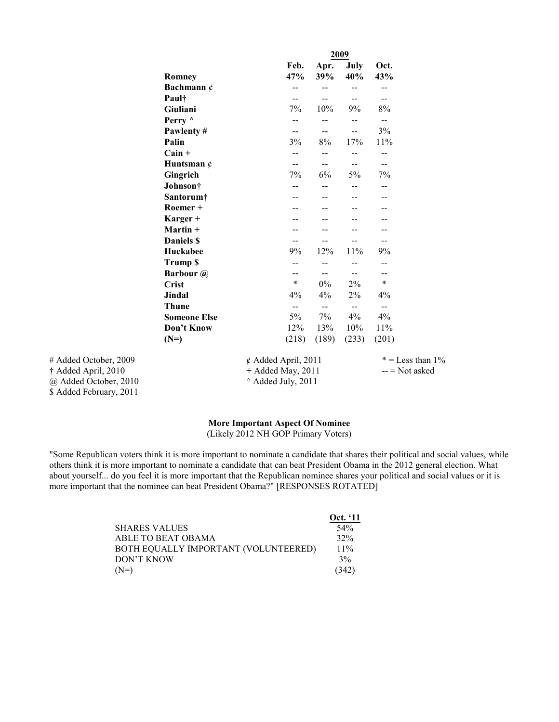|                       |                     | 2009                     |                          |                          |                    |                          |                    |
|-----------------------|---------------------|--------------------------|--------------------------|--------------------------|--------------------|--------------------------|--------------------|
|                       | Romney              |                          | Feb.<br>47%              | Apr.<br>39%              | <b>July</b><br>40% | Oct.<br>43%              |                    |
|                       | Bachmann $\phi$     |                          | --                       | $-$                      | --                 | --                       |                    |
|                       | Paul†               |                          | --                       | $-$                      | --                 | --                       |                    |
|                       | Giuliani            |                          | 7%                       | 10%                      | 9%                 | 8%                       |                    |
|                       | Perry ^             |                          | --                       | $\overline{\phantom{a}}$ | --                 | $\overline{\phantom{a}}$ |                    |
|                       | Pawlenty#           |                          | $\overline{\phantom{m}}$ | $\overline{\phantom{m}}$ | --                 | 3%                       |                    |
|                       | Palin               |                          | 3%                       | 8%                       | 17%                | 11%                      |                    |
|                       | $Cain +$            |                          | $- -$                    | $- -$                    | --                 | --                       |                    |
|                       | Huntsman $\phi$     |                          | $- -$                    | --                       | $- -$              | $-$                      |                    |
|                       | Gingrich            |                          | 7%                       | 6%                       | 5%                 | 7%                       |                    |
|                       | Johnson†            |                          | --                       |                          |                    | --                       |                    |
|                       | Santorum†           |                          | --                       |                          |                    | --                       |                    |
|                       | Roemer +            |                          |                          |                          |                    |                          |                    |
|                       | Karger +            |                          |                          |                          |                    |                          |                    |
|                       | Martin +            |                          |                          |                          |                    | --                       |                    |
|                       | Daniels \$          |                          | --                       | --                       | --                 | --                       |                    |
|                       | Huckabee            |                          | 9%                       | 12%                      | 11%                | 9%                       |                    |
|                       | <b>Trump \$</b>     |                          | --                       |                          |                    | --                       |                    |
|                       | <b>Barbour</b> @    |                          | --                       | --                       | $- -$              | $- -$                    |                    |
|                       | <b>Crist</b>        |                          | $\ast$                   | 0%                       | 2%                 | $\ast$                   |                    |
|                       | <b>Jindal</b>       |                          | $4\%$                    | $4\%$                    | $2\%$              | 4%                       |                    |
|                       | <b>Thune</b>        |                          | $- -$                    | $\overline{\phantom{m}}$ | $- -$              | $\qquad \qquad -$        |                    |
|                       | <b>Someone Else</b> |                          | 5%                       | 7%                       | 4%                 | 4%                       |                    |
|                       | Don't Know          |                          | 12%                      | 13%                      | 10%                | 11%                      |                    |
|                       | $(N=)$              |                          | (218)                    | (189)                    | (233)              | (201)                    |                    |
| # Added October, 2009 |                     | $\phi$ Added April, 2011 |                          |                          |                    |                          | $* =$ Less than 1% |
| † Added April, 2010   |                     | + Added May, 2011        |                          |                          |                    | $-$ = Not asked          |                    |
| @ Added October, 2010 |                     | ^ Added July, 2011       |                          |                          |                    |                          |                    |

**†** Added April, 2010 **+** Added May, 2011 -- = Not asked \$ Added February, 2011

# **More Important Aspect Of Nominee**

(Likely 2012 NH GOP Primary Voters)

"Some Republican voters think it is more important to nominate a candidate that shares their political and social values, while others think it is more important to nominate a candidate that can beat President Obama in the 2012 general election. What about yourself... do you feel it is more important that the Republican nominee shares your political and social values or it is more important that the nominee can beat President Obama?" [RESPONSES ROTATED]

|                                      | Oct. '11        |
|--------------------------------------|-----------------|
| <b>SHARES VALUES</b>                 | 54 <sup>%</sup> |
| ABLE TO BEAT OBAMA                   | 32%             |
| BOTH EQUALLY IMPORTANT (VOLUNTEERED) | $11\%$          |
| DON'T KNOW                           | 3%              |
| $(N=)$                               | (342)           |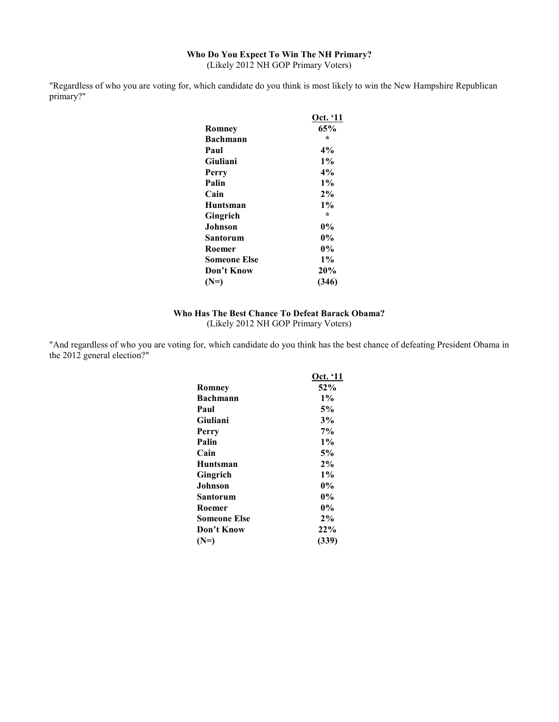## **Who Do You Expect To Win The NH Primary?**  (Likely 2012 NH GOP Primary Voters)

"Regardless of who you are voting for, which candidate do you think is most likely to win the New Hampshire Republican primary?"

|                     | Oct. '11 |
|---------------------|----------|
| Romney              | 65%      |
| Bachmann            | ÷        |
| Paul                | 4%       |
| Giuliani            | $1\%$    |
| Perry               | $4\%$    |
| Palin               | $1\%$    |
| Cain                | 2%       |
| Huntsman            | $1\%$    |
| Gingrich            | $\star$  |
| Johnson             | 0%       |
| Santorum            | $0\%$    |
| Roemer              | $0\%$    |
| <b>Someone Else</b> | $1\%$    |
| Don't Know          | 20%      |
| $(N=)$              | (346)    |

## **Who Has The Best Chance To Defeat Barack Obama?**  (Likely 2012 NH GOP Primary Voters)

"And regardless of who you are voting for, which candidate do you think has the best chance of defeating President Obama in the 2012 general election?"

|              | Oct. '11 |
|--------------|----------|
| Romney       | 52%      |
| Bachmann     | $1\%$    |
| Paul         | 5%       |
| Giuliani     | 3%       |
| Perry        | $7\%$    |
| Palin        | $1\%$    |
| Cain         | 5%       |
| Huntsman     | 2%       |
| Gingrich     | $1\%$    |
| Johnson      | $0\%$    |
| Santorum     | $0\%$    |
| Roemer       | $0\%$    |
| Someone Else | $2\%$    |
| Don't Know   | 22%      |
| $(N=)$       | (339)    |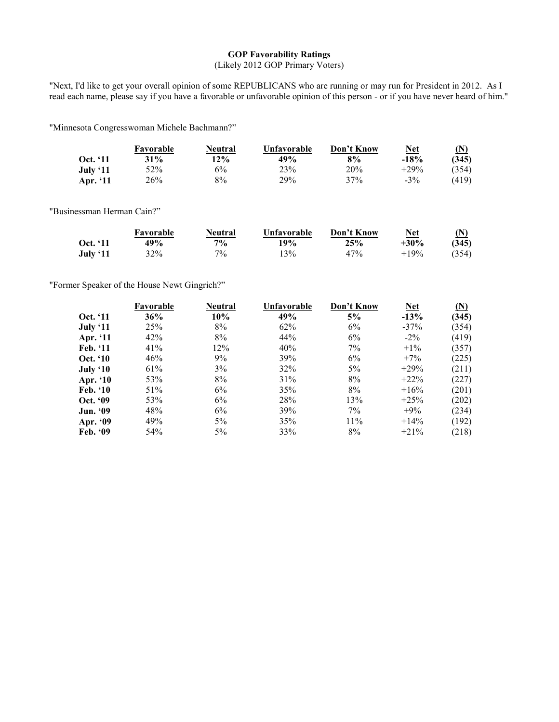## **GOP Favorability Ratings**

(Likely 2012 GOP Primary Voters)

"Next, I'd like to get your overall opinion of some REPUBLICANS who are running or may run for President in 2012. As I read each name, please say if you have a favorable or unfavorable opinion of this person - or if you have never heard of him."

"Minnesota Congresswoman Michele Bachmann?"

|                 | Favorable | Neutral | Unfavorable | Don't Know | Net     | (N    |
|-----------------|-----------|---------|-------------|------------|---------|-------|
| <b>Oct.</b> '11 | 31%       | 12%     | 49%         | 8%         | $-18%$  | (345) |
| July '11        | 52%       | 6%      | 23%         | 20%        | $+29\%$ | (354) |
| Apr. $`11$      | $26\%$    | 8%      | 29%         | 37%        | $-3\%$  | (419) |

"Businessman Herman Cain?"

|                 | Favorable | Neutral | Unfavorable | Don't Know | Net     | (N)   |
|-----------------|-----------|---------|-------------|------------|---------|-------|
| <b>Oct.</b> '11 | 49%       | $7\%$   | 19%         | 25%        | $+30%$  | (345) |
| July '11        | 32%       | 70/0    | 13%         | 47%        | $+19\%$ | (354) |

"Former Speaker of the House Newt Gingrich?"

|                 | Favorable | Neutral | Unfavorable | Don't Know | <b>Net</b> | $(\mathbf{N})$ |
|-----------------|-----------|---------|-------------|------------|------------|----------------|
| <b>Oct.</b> '11 | 36%       | 10%     | 49%         | 5%         | $-13%$     | (345)          |
| July '11        | 25%       | 8%      | 62%         | 6%         | $-37\%$    | (354)          |
| Apr. '11        | 42%       | 8%      | 44%         | 6%         | $-2\%$     | (419)          |
| Feb. '11        | 41%       | 12%     | 40%         | 7%         | $+1\%$     | (357)          |
| <b>Oct.</b> '10 | 46%       | 9%      | 39%         | 6%         | $+7\%$     | (225)          |
| July '10        | 61%       | 3%      | 32%         | $5\%$      | $+29%$     | (211)          |
| Apr. '10        | 53%       | 8%      | 31%         | 8%         | $+22\%$    | (227)          |
| <b>Feb.</b> '10 | 51%       | 6%      | 35%         | 8%         | $+16\%$    | (201)          |
| Oct. '09        | 53%       | 6%      | 28%         | 13%        | $+25%$     | (202)          |
| <b>Jun. '09</b> | 48%       | 6%      | 39%         | $7\%$      | $+9\%$     | (234)          |
| Apr. '09        | 49%       | $5\%$   | 35%         | 11%        | $+14\%$    | (192)          |
| Feb. $99$       | 54%       | $5\%$   | 33%         | 8%         | $+21\%$    | (218)          |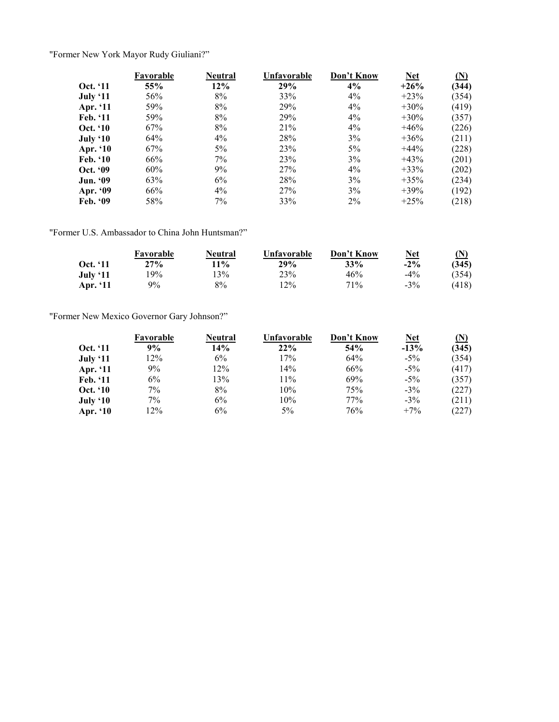"Former New York Mayor Rudy Giuliani?"

|                 | Favorable | <b>Neutral</b> | Unfavorable | Don't Know | <b>Net</b> | $(\underline{N})$ |
|-----------------|-----------|----------------|-------------|------------|------------|-------------------|
| <b>Oct.</b> '11 | 55%       | 12%            | 29%         | 4%         | $+26%$     | (344)             |
| July ' $11$     | 56%       | 8%             | 33%         | $4\%$      | $+23%$     | (354)             |
| Apr. '11        | 59%       | 8%             | 29%         | $4\%$      | $+30\%$    | (419)             |
| Feb. '11        | 59%       | 8%             | 29%         | $4\%$      | $+30\%$    | (357)             |
| <b>Oct.</b> '10 | 67%       | 8%             | 21%         | $4\%$      | $+46%$     | (226)             |
| July $`10$      | 64%       | $4\%$          | 28%         | 3%         | $+36%$     | (211)             |
| <b>Apr. '10</b> | 67%       | $5\%$          | 23%         | $5\%$      | $+44%$     | (228)             |
| <b>Feb.</b> '10 | 66%       | 7%             | 23%         | 3%         | $+43%$     | (201)             |
| <b>Oct. '09</b> | 60%       | 9%             | 27%         | $4\%$      | $+33%$     | (202)             |
| <b>Jun. '09</b> | 63%       | 6%             | 28%         | 3%         | $+35\%$    | (234)             |
| Apr. '09        | 66%       | $4\%$          | 27%         | 3%         | $+39%$     | (192)             |
| Feb. '09        | 58%       | 7%             | 33%         | $2\%$      | $+25%$     | (218)             |

"Former U.S. Ambassador to China John Huntsman?"

|                 | Favorable | Neutral | Unfavorable | Don't Know | <b>Net</b> | (N)   |
|-----------------|-----------|---------|-------------|------------|------------|-------|
| <b>Oct.</b> '11 | 27%       | 11%     | 29%         | 33%        | $-2\%$     | (345) |
| July '11        | 19%       | 13%     | 23%         | 46%        | $-4\%$     | (354) |
| Apr. '11        | $9\%$     | 8%      | 12%         | 71\%       | $-3\%$     | (418) |

"Former New Mexico Governor Gary Johnson?"

|                 | Favorable | Neutral | Unfavorable | Don't Know | <b>Net</b> | $\Omega$ |
|-----------------|-----------|---------|-------------|------------|------------|----------|
| <b>Oct.</b> '11 | 9%        | 14%     | 22%         | 54%        | $-13%$     | (345)    |
| July $`11$      | 12%       | 6%      | 17%         | 64%        | $-5\%$     | (354)    |
| Apr. '11        | $9\%$     | 12%     | 14%         | 66%        | $-5\%$     | (417)    |
| Feb. '11        | $6\%$     | 13%     | 11%         | 69%        | $-5\%$     | (357)    |
| <b>Oct.</b> '10 | 7%        | 8%      | 10%         | 75%        | $-3\%$     | (227)    |
| July '10        | $7\%$     | 6%      | 10%         | 77%        | $-3\%$     | (211)    |
| Apr. '10        | 12%       | 6%      | 5%          | 76%        | $+7\%$     | (227)    |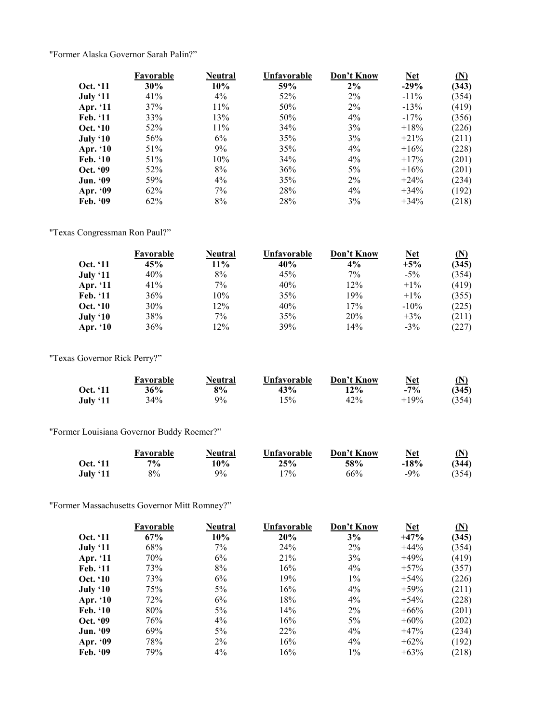"Former Alaska Governor Sarah Palin?"

|                 | Favorable | <b>Neutral</b> | Unfavorable | Don't Know | <b>Net</b> | (N)   |
|-----------------|-----------|----------------|-------------|------------|------------|-------|
| <b>Oct.</b> '11 | 30%       | 10%            | 59%         | 2%         | $-29%$     | (343) |
| July '11        | 41%       | $4\%$          | 52%         | $2\%$      | $-11\%$    | (354) |
| Apr. '11        | 37%       | 11%            | 50%         | $2\%$      | $-13%$     | (419) |
| Feb. '11        | 33%       | 13%            | 50%         | $4\%$      | $-17\%$    | (356) |
| <b>Oct.</b> '10 | 52%       | $11\%$         | 34%         | 3%         | $+18%$     | (226) |
| July $`10$      | 56%       | 6%             | 35%         | 3%         | $+21\%$    | (211) |
| <b>Apr. '10</b> | 51%       | 9%             | 35%         | $4\%$      | $+16\%$    | (228) |
| <b>Feb.</b> '10 | 51%       | 10%            | 34%         | $4\%$      | $+17\%$    | (201) |
| Oct. '09        | 52%       | 8%             | 36%         | $5\%$      | $+16\%$    | (201) |
| <b>Jun. '09</b> | 59%       | $4\%$          | 35%         | $2\%$      | $+24\%$    | (234) |
| Apr. '09        | 62%       | 7%             | 28%         | $4\%$      | $+34\%$    | (192) |
| Feb. '09        | 62%       | 8%             | 28%         | 3%         | $+34\%$    | (218) |

"Texas Congressman Ron Paul?"

|                 | Favorable | <b>Neutral</b> | Unfavorable | Don't Know | Net     | (N)   |
|-----------------|-----------|----------------|-------------|------------|---------|-------|
| <b>Oct.</b> '11 | 45%       | 11%            | 40%         | $4\%$      | $+5%$   | (345) |
| July '11        | 40%       | 8%             | 45%         | 7%         | $-5\%$  | (354) |
| Apr. '11        | 41%       | $7\%$          | 40%         | 12%        | $+1\%$  | (419) |
| Feb. '11        | 36%       | 10%            | 35%         | 19%        | $+1\%$  | (355) |
| Oct. '10        | 30%       | 12%            | 40%         | 17%        | $-10\%$ | (225) |
| July '10        | 38%       | $7\%$          | 35%         | 20%        | $+3\%$  | (211) |
| Apr. '10        | 36%       | 12%            | 39%         | 14%        | $-3\%$  | (227) |

"Texas Governor Rick Perry?"

|                 | Favorable | Neutral | Unfavorable | Don't Know | <b>Net</b> | (N)   |
|-----------------|-----------|---------|-------------|------------|------------|-------|
| <b>Oct.</b> '11 | 36%       | 8%      | 43%         | 12%        | $-7%$      | (345) |
| <b>July '11</b> | 34%       | 9%      | 15%         | 42%        | $+19%$     | (354) |

"Former Louisiana Governor Buddy Roemer?"

|          | Favorable | Neutral | Unfavorable | Don't Know | Net    | $\Omega$ |
|----------|-----------|---------|-------------|------------|--------|----------|
| Oct. '11 | 70/6      | 10%     | 25%         | 58%        | $-18%$ | (344)    |
| July '11 | $8\%$     | $9\%$   | $17\%$      | 66%        | $-9\%$ | (354)    |

"Former Massachusetts Governor Mitt Romney?"

|                 | Favorable | Neutral | Unfavorable | Don't Know | <b>Net</b> | (N)   |
|-----------------|-----------|---------|-------------|------------|------------|-------|
| <b>Oct.</b> '11 | 67%       | 10%     | 20%         | 3%         | $+47%$     | (345) |
| July $`11$      | 68%       | $7\%$   | 24%         | $2\%$      | $+44%$     | (354) |
| Apr. '11        | 70%       | 6%      | 21%         | 3%         | $+49%$     | (419) |
| Feb. '11        | 73%       | 8%      | 16%         | $4\%$      | $+57\%$    | (357) |
| <b>Oct.</b> '10 | 73%       | 6%      | 19%         | $1\%$      | $+54%$     | (226) |
| July $`10$      | 75%       | $5\%$   | 16%         | $4\%$      | $+59%$     | (211) |
| Apr. '10        | 72%       | 6%      | 18%         | $4\%$      | $+54%$     | (228) |
| Feb. '10        | 80%       | $5\%$   | 14%         | $2\%$      | $+66%$     | (201) |
| <b>Oct. '09</b> | 76%       | $4\%$   | 16%         | $5\%$      | $+60\%$    | (202) |
| <b>Jun. '09</b> | 69%       | $5\%$   | 22%         | $4\%$      | $+47%$     | (234) |
| Apr. '09        | 78%       | $2\%$   | 16%         | $4\%$      | $+62\%$    | (192) |
| Feb. '09        | 79%       | $4\%$   | 16%         | $1\%$      | $+63%$     | (218) |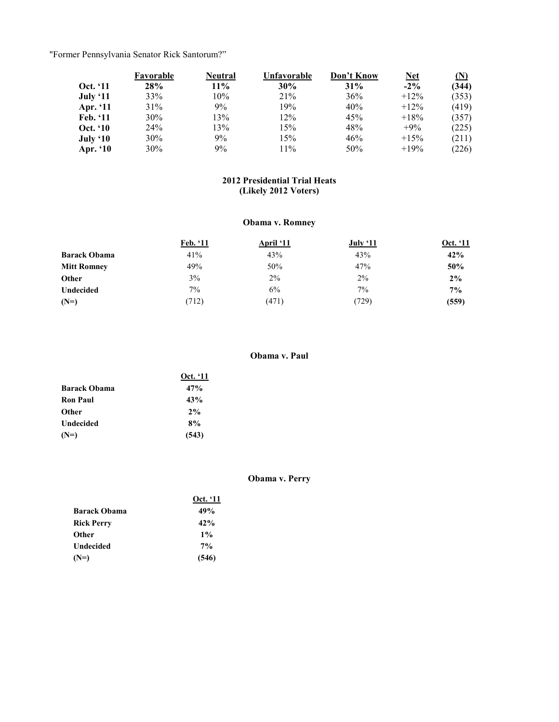"Former Pennsylvania Senator Rick Santorum?"

|                 | Favorable | Neutral | Unfavorable | Don't Know | <b>Net</b> | (N)   |
|-----------------|-----------|---------|-------------|------------|------------|-------|
| <b>Oct.</b> '11 | 28%       | $11\%$  | 30%         | 31%        | $-2\%$     | (344) |
| <b>July '11</b> | 33%       | 10%     | 21%         | 36%        | $+12\%$    | (353) |
| Apr. '11        | 31%       | 9%      | 19%         | 40%        | $+12\%$    | (419) |
| Feb. '11        | $30\%$    | 13%     | 12%         | 45%        | $+18%$     | (357) |
| <b>Oct.</b> '10 | 24%       | 13%     | 15%         | 48%        | $+9\%$     | (225) |
| July $`10$      | 30%       | 9%      | 15%         | 46%        | $+15%$     | (211) |
| Apr. '10        | 30%       | 9%      | 11%         | $50\%$     | $+19%$     | (226) |

## **2012 Presidential Trial Heats (Likely 2012 Voters)**

## **Obama v. Romney**

|                     | Feb. '11 | <b>April</b> '11 | July $`11$ | Oct. '11 |
|---------------------|----------|------------------|------------|----------|
| <b>Barack Obama</b> | 41%      | 43%              | 43%        | 42%      |
| <b>Mitt Romney</b>  | 49%      | 50%              | 47%        | 50%      |
| Other               | 3%       | $2\%$            | 2%         | 2%       |
| Undecided           | $7\%$    | 6%               | $7\%$      | $7\%$    |
| $(N=)$              | (712)    | (471)            | (729)      | (559)    |

## **Obama v. Paul**

| 47%<br><b>Barack Obama</b><br>43%<br><b>Ron Paul</b><br>2%<br>Other<br>8%<br>Undecided<br>(543)<br>$(N=)$ | Oct. '11 |
|-----------------------------------------------------------------------------------------------------------|----------|
|                                                                                                           |          |
|                                                                                                           |          |
|                                                                                                           |          |
|                                                                                                           |          |
|                                                                                                           |          |

## **Obama v. Perry**

|                     | Oct. '11 |  |
|---------------------|----------|--|
| <b>Barack Obama</b> | 49%      |  |
| <b>Rick Perry</b>   | 42%      |  |
| Other               | $1\%$    |  |
| Undecided           | $7\%$    |  |
| $(N=)$              | (546)    |  |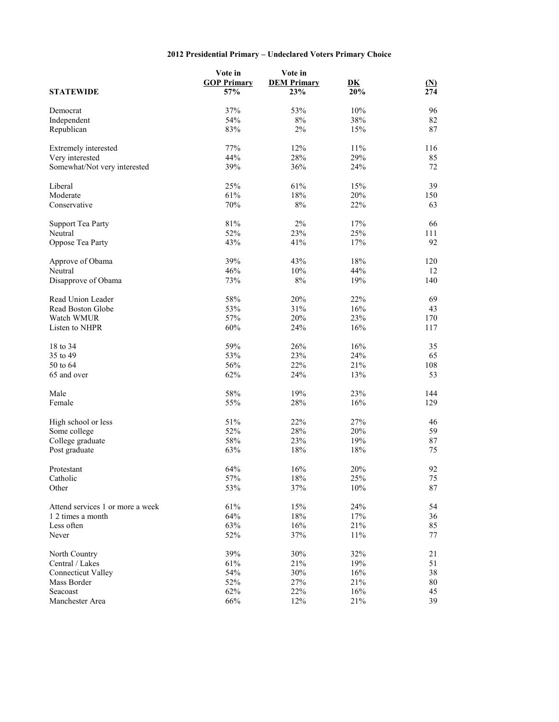## **2012 Presidential Primary – Undeclared Voters Primary Choice**

|                                  | Vote in<br><b>GOP Primary</b> | Vote in<br><b>DEM Primary</b> | $\overline{\mathbf{D}}\mathbf{K}$ | <u>(N)</u> |
|----------------------------------|-------------------------------|-------------------------------|-----------------------------------|------------|
| <b>STATEWIDE</b>                 | 57%                           | 23%                           | 20%                               | 274        |
| Democrat                         | 37%                           | 53%                           | 10%                               | 96         |
| Independent                      | 54%                           | $8\%$                         | 38%                               | 82         |
| Republican                       | 83%                           | 2%                            | 15%                               | 87         |
|                                  |                               |                               |                                   |            |
| Extremely interested             | 77%                           | 12%                           | 11%                               | 116        |
| Very interested                  | 44%                           | 28%                           | 29%                               | 85         |
| Somewhat/Not very interested     | 39%                           | 36%                           | 24%                               | 72         |
| Liberal                          | 25%                           | 61%                           | 15%                               | 39         |
| Moderate                         | 61%                           | 18%                           | 20%                               | 150        |
| Conservative                     | $70\%$                        | $8\%$                         | 22%                               | 63         |
|                                  |                               |                               |                                   |            |
| <b>Support Tea Party</b>         | $81\%$                        | $2\%$                         | 17%                               | 66         |
| Neutral                          | 52%                           | 23%                           | 25%                               | 111        |
| Oppose Tea Party                 | 43%                           | 41%                           | 17%                               | 92         |
| Approve of Obama                 | 39%                           | 43%                           | $18\%$                            | 120        |
|                                  |                               |                               |                                   |            |
| Neutral                          | 46%                           | 10%                           | 44%                               | 12         |
| Disapprove of Obama              | 73%                           | $8\%$                         | 19%                               | 140        |
| Read Union Leader                | 58%                           | 20%                           | 22%                               | 69         |
| Read Boston Globe                | 53%                           | 31%                           | 16%                               | 43         |
| Watch WMUR                       | 57%                           | 20%                           | 23%                               | 170        |
| Listen to NHPR                   | 60%                           | 24%                           | 16%                               | 117        |
|                                  |                               |                               |                                   |            |
| 18 to 34                         | 59%                           | 26%                           | 16%                               | 35         |
| 35 to 49                         | 53%                           | 23%                           | 24%                               | 65         |
| 50 to 64                         | 56%                           | 22%                           | 21%                               | 108        |
| 65 and over                      | 62%                           | 24%                           | 13%                               | 53         |
| Male                             | 58%                           | 19%                           | 23%                               | 144        |
| Female                           | 55%                           | 28%                           | 16%                               | 129        |
|                                  |                               |                               |                                   |            |
| High school or less              | 51%                           | 22%                           | 27%                               | 46         |
| Some college                     | 52%                           | 28%                           | 20%                               | 59         |
| College graduate                 | 58%                           | 23%                           | 19%                               | 87         |
| Post graduate                    | 63%                           | 18%                           | 18%                               | 75         |
| Protestant                       | 64%                           | 16%                           | 20%                               | 92         |
|                                  |                               |                               |                                   |            |
| Catholic                         | 57%                           | $18\%$                        | 25%                               | 75         |
| Other                            | 53%                           | 37%                           | $10\%$                            | 87         |
| Attend services 1 or more a week | 61%                           | 15%                           | 24%                               | 54         |
| 1 2 times a month                | 64%                           | $18\%$                        | 17%                               | 36         |
| Less often                       | 63%                           | 16%                           | 21%                               | 85         |
| Never                            | 52%                           | 37%                           | 11%                               | 77         |
|                                  |                               |                               |                                   |            |
| North Country                    | 39%                           | 30%                           | 32%                               | 21         |
| Central / Lakes                  | 61%                           | 21%                           | 19%                               | 51         |
| <b>Connecticut Valley</b>        | 54%                           | 30%                           | 16%                               | 38         |
| Mass Border                      | 52%                           | 27%                           | $21\%$                            | 80         |
| Seacoast                         | 62%                           | 22%                           | 16%                               | 45         |
| Manchester Area                  | 66%                           | 12%                           | 21%                               | 39         |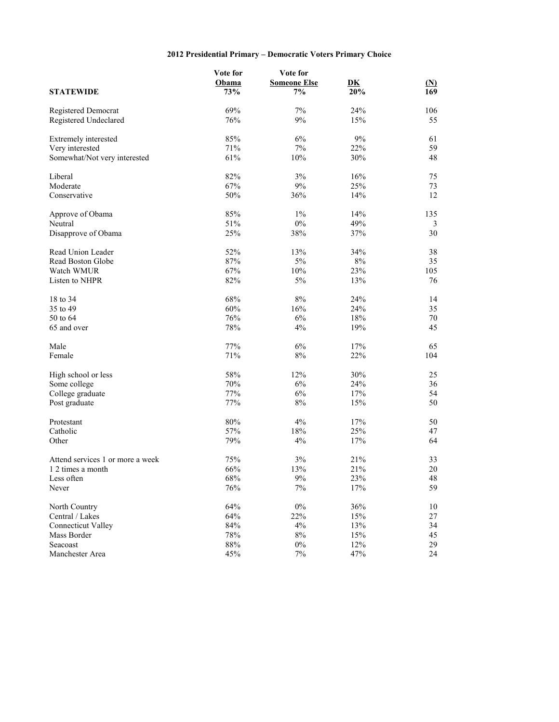## **2012 Presidential Primary – Democratic Voters Primary Choice**

|                                  | Vote for | Vote for            |                           |            |
|----------------------------------|----------|---------------------|---------------------------|------------|
|                                  | Obama    | <b>Someone Else</b> | $\overline{\mathbf{D}}$ K | <u>(N)</u> |
| <b>STATEWIDE</b>                 | 73%      | 7%                  | 20%                       | 169        |
| Registered Democrat              | 69%      | 7%                  | 24%                       | 106        |
| Registered Undeclared            | 76%      | 9%                  | 15%                       | 55         |
| Extremely interested             | 85%      | 6%                  | $9\%$                     | 61         |
| Very interested                  | 71%      | $7\%$               | 22%                       | 59         |
| Somewhat/Not very interested     | 61%      | 10%                 | 30%                       | 48         |
| Liberal                          | 82%      | 3%                  | 16%                       | 75         |
| Moderate                         | 67%      | 9%                  | 25%                       | 73         |
| Conservative                     | 50%      | 36%                 | 14%                       | 12         |
| Approve of Obama                 | 85%      | $1\%$               | 14%                       | 135        |
| Neutral                          | 51%      | $0\%$               | 49%                       | 3          |
| Disapprove of Obama              | 25%      | 38%                 | 37%                       | 30         |
| Read Union Leader                | 52%      | 13%                 | 34%                       | 38         |
| Read Boston Globe                | 87%      | 5%                  | $8\%$                     | 35         |
| Watch WMUR                       | 67%      | 10%                 | 23%                       | 105        |
| Listen to NHPR                   | 82%      | 5%                  | 13%                       | 76         |
| 18 to 34                         | 68%      | 8%                  | 24%                       | 14         |
| 35 to 49                         | 60%      | 16%                 | 24%                       | 35         |
| 50 to 64                         | 76%      | 6%                  | 18%                       | 70         |
| 65 and over                      | 78%      | 4%                  | 19%                       | 45         |
| Male                             | 77%      | 6%                  | 17%                       | 65         |
| Female                           | 71%      | $8\%$               | 22%                       | 104        |
| High school or less              | 58%      | 12%                 | 30%                       | 25         |
| Some college                     | 70%      | 6%                  | 24%                       | 36         |
| College graduate                 | 77%      | 6%                  | 17%                       | 54         |
| Post graduate                    | 77%      | $8\%$               | 15%                       | 50         |
| Protestant                       | $80\%$   | 4%                  | 17%                       | 50         |
| Catholic                         | 57%      | 18%                 | 25%                       | 47         |
| Other                            | 79%      | 4%                  | 17%                       | 64         |
| Attend services 1 or more a week | 75%      | $3\%$               | 21%                       | 33         |
| 1 2 times a month                | 66%      | 13%                 | 21%                       | 20         |
| Less often                       | $68\%$   | $9\%$               | 23%                       | 48         |
| Never                            | 76%      | 7%                  | 17%                       | 59         |
| North Country                    | 64%      | $0\%$               | 36%                       | 10         |
| Central / Lakes                  | 64%      | 22%                 | 15%                       | 27         |
| <b>Connecticut Valley</b>        | 84%      | 4%                  | 13%                       | 34         |
| Mass Border                      | $78\%$   | $8\%$               | 15%                       | 45         |
| Seacoast                         | $88\%$   | $0\%$               | 12%                       | 29         |
| Manchester Area                  | 45%      | $7\%$               | 47%                       | 24         |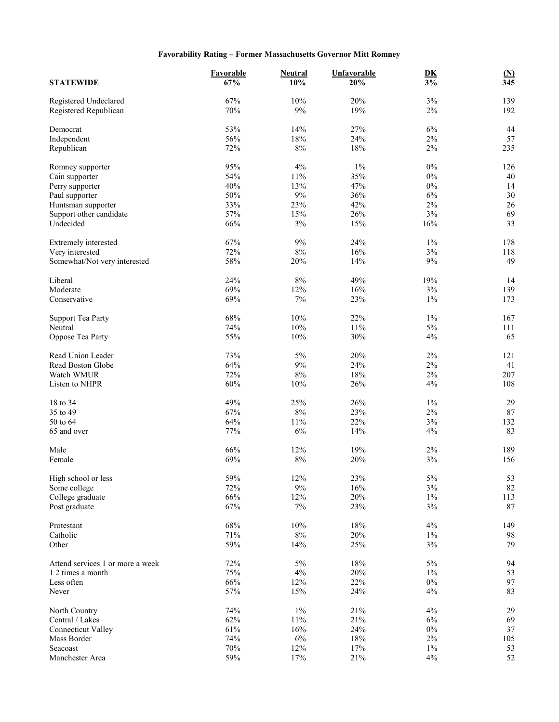## **Favorability Rating – Former Massachusetts Governor Mitt Romney**

| <b>STATEWIDE</b>                               | Favorable<br>67% | <b>Neutral</b><br>10% | <b>Unfavorable</b><br>20% | $\underline{\mathbf{D}}\underline{\mathbf{K}}$<br>$\overline{3\%}$ | $\underline{\textbf{(N)}}$<br>$\overline{345}$ |
|------------------------------------------------|------------------|-----------------------|---------------------------|--------------------------------------------------------------------|------------------------------------------------|
|                                                |                  |                       |                           |                                                                    |                                                |
| Registered Undeclared<br>Registered Republican | 67%<br>70%       | 10%<br>$9\%$          | 20%<br>19%                | 3%<br>$2\%$                                                        | 139<br>192                                     |
| Democrat                                       | 53%              | 14%                   | 27%                       | $6\%$                                                              | 44                                             |
| Independent                                    | 56%              | 18%                   | 24%                       | $2\%$                                                              | 57                                             |
| Republican                                     | 72%              | $8\%$                 | 18%                       | $2\%$                                                              | 235                                            |
|                                                |                  |                       |                           |                                                                    |                                                |
| Romney supporter                               | 95%              | 4%                    | $1\%$                     | $0\%$                                                              | 126                                            |
| Cain supporter                                 | 54%              | 11%                   | 35%                       | $0\%$                                                              | 40                                             |
| Perry supporter                                | 40%              | 13%                   | 47%                       | $0\%$                                                              | 14                                             |
| Paul supporter                                 | 50%              | $9\%$                 | 36%                       | 6%                                                                 | 30                                             |
| Huntsman supporter                             | 33%              | 23%                   | 42%                       | $2\%$                                                              | 26                                             |
| Support other candidate                        | 57%              | 15%                   | 26%                       | $3\%$                                                              | 69                                             |
| Undecided                                      | 66%              | 3%                    | 15%                       | 16%                                                                | 33                                             |
| Extremely interested                           | 67%              | 9%                    | 24%                       | $1\%$                                                              | 178                                            |
| Very interested                                | 72%              | $8\%$                 | 16%                       | $3\%$                                                              | 118                                            |
| Somewhat/Not very interested                   | 58%              | 20%                   | 14%                       | $9\%$                                                              | 49                                             |
|                                                |                  |                       |                           |                                                                    |                                                |
| Liberal                                        | 24%              | $8\%$                 | 49%                       | 19%                                                                | 14                                             |
| Moderate                                       | 69%              | 12%                   | 16%                       | 3%                                                                 | 139                                            |
| Conservative                                   | 69%              | $7\%$                 | 23%                       | $1\%$                                                              | 173                                            |
| <b>Support Tea Party</b>                       | 68%              | $10\%$                | 22%                       | $1\%$                                                              | 167                                            |
| Neutral                                        | 74%              | 10%                   | 11%                       | $5\%$                                                              | 111                                            |
| Oppose Tea Party                               | 55%              | 10%                   | 30%                       | 4%                                                                 | 65                                             |
|                                                |                  |                       |                           |                                                                    |                                                |
| Read Union Leader                              | 73%              | 5%                    | 20%                       | $2\%$                                                              | 121                                            |
| Read Boston Globe                              | 64%              | $9\%$                 | 24%                       | $2\%$                                                              | 41                                             |
| Watch WMUR                                     | 72%              | $8\%$                 | 18%                       | $2\%$                                                              | 207                                            |
| Listen to NHPR                                 | 60%              | 10%                   | 26%                       | 4%                                                                 | 108                                            |
| 18 to 34                                       | 49%              | 25%                   | 26%                       | $1\%$                                                              | 29                                             |
| 35 to 49                                       | 67%              | $8\%$                 | 23%                       | $2\%$                                                              | 87                                             |
| 50 to 64                                       | 64%              | 11%                   | 22%                       | 3%                                                                 | 132                                            |
| 65 and over                                    | 77%              | 6%                    | 14%                       | 4%                                                                 | 83                                             |
| Male                                           | 66%              | 12%                   | 19%                       | $2\%$                                                              | 189                                            |
| Female                                         | 69%              | $8\%$                 | 20%                       | $3\%$                                                              | 156                                            |
|                                                |                  |                       |                           |                                                                    |                                                |
| High school or less                            | 59%              | $12\%$                | 23%                       | $5\%$                                                              | 53                                             |
| Some college                                   | 72%              | $9\%$                 | 16%                       | $3\%$                                                              | 82                                             |
| College graduate                               | 66%              | 12%                   | 20%                       | $1\%$                                                              | 113                                            |
| Post graduate                                  | 67%              | $7\%$                 | 23%                       | $3\%$                                                              | 87                                             |
| Protestant                                     | 68%              | $10\%$                | 18%                       | $4\%$                                                              | 149                                            |
| Catholic                                       | 71%              | $8\%$                 | 20%                       | $1\%$                                                              | 98                                             |
| Other                                          | 59%              | 14%                   | 25%                       | $3\%$                                                              | 79                                             |
|                                                |                  |                       |                           |                                                                    |                                                |
| Attend services 1 or more a week               | 72%              | $5\%$                 | 18%                       | $5\%$                                                              | 94                                             |
| 1 2 times a month                              | 75%              | $4\%$                 | 20%                       | $1\%$                                                              | 53                                             |
| Less often                                     | 66%              | 12%                   | 22%                       | $0\%$                                                              | 97                                             |
| Never                                          | 57%              | 15%                   | 24%                       | $4\%$                                                              | 83                                             |
| North Country                                  | 74%              | $1\%$                 | 21%                       | 4%                                                                 | 29                                             |
| Central / Lakes                                | 62%              | $11\%$                | 21%                       | 6%                                                                 | 69                                             |
| <b>Connecticut Valley</b>                      | 61%              | 16%                   | 24%                       | $0\%$                                                              | 37                                             |
| Mass Border                                    | 74%              | $6\%$                 | $18\%$                    | $2\%$                                                              | 105                                            |
| Seacoast                                       | $70\%$           | 12%                   | 17%                       | $1\%$                                                              | 53                                             |
| Manchester Area                                | 59%              | 17%                   | 21%                       | 4%                                                                 | 52                                             |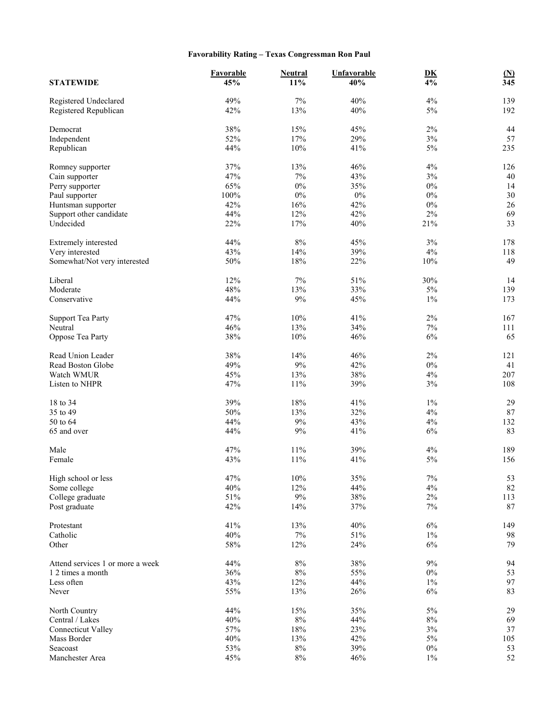## **Favorability Rating – Texas Congressman Ron Paul**

| <b>STATEWIDE</b>                               | Favorable<br>45% | Neutral<br>11% | <b>Unfavorable</b><br>40% | $\mathbf{D}\mathbf{K}$<br>$\overline{4\%}$ | $\frac{\text{(N)}}{345}$ |
|------------------------------------------------|------------------|----------------|---------------------------|--------------------------------------------|--------------------------|
| Registered Undeclared<br>Registered Republican | 49%<br>42%       | 7%<br>13%      | 40%<br>40%                | 4%<br>$5\%$                                | 139<br>192               |
|                                                |                  |                |                           |                                            |                          |
| Democrat                                       | 38%              | 15%            | 45%                       | $2\%$                                      | 44                       |
| Independent                                    | 52%              | 17%            | 29%                       | $3\%$                                      | 57                       |
| Republican                                     | 44%              | $10\%$         | 41%                       | $5\%$                                      | 235                      |
| Romney supporter                               | 37%              | 13%            | 46%                       | 4%                                         | 126                      |
| Cain supporter                                 | 47%              | 7%             | 43%                       | 3%                                         | 40                       |
| Perry supporter                                | 65%              | $0\%$          | 35%                       | $0\%$                                      | 14                       |
| Paul supporter                                 | 100%             | $0\%$          | $0\%$                     | $0\%$                                      | 30                       |
| Huntsman supporter                             | 42%              | 16%            | 42%                       | $0\%$                                      | 26                       |
| Support other candidate                        | 44%              | 12%            | 42%                       | $2\%$                                      | 69                       |
| Undecided                                      | 22%              | 17%            | 40%                       | 21%                                        | 33                       |
| Extremely interested                           | 44%              | $8\%$          | 45%                       | 3%                                         | 178                      |
| Very interested                                | 43%              | 14%            | 39%                       | 4%                                         | 118                      |
| Somewhat/Not very interested                   | 50%              | 18%            | 22%                       | $10\%$                                     | 49                       |
|                                                | 12%              |                |                           |                                            |                          |
| Liberal                                        | 48%              | 7%<br>13%      | 51%<br>33%                | 30%<br>$5\%$                               | 14                       |
| Moderate<br>Conservative                       |                  | $9\%$          | 45%                       | $1\%$                                      | 139<br>173               |
|                                                | 44%              |                |                           |                                            |                          |
| <b>Support Tea Party</b>                       | 47%              | 10%            | 41%                       | $2\%$                                      | 167                      |
| Neutral                                        | 46%              | 13%            | 34%                       | $7\%$                                      | 111                      |
| Oppose Tea Party                               | 38%              | 10%            | 46%                       | $6\%$                                      | 65                       |
| Read Union Leader                              | 38%              | 14%            | 46%                       | $2\%$                                      | 121                      |
| Read Boston Globe                              | 49%              | 9%             | 42%                       | $0\%$                                      | 41                       |
| Watch WMUR                                     | 45%              | 13%            | 38%                       | 4%                                         | 207                      |
| Listen to NHPR                                 | 47%              | 11%            | 39%                       | 3%                                         | 108                      |
|                                                |                  |                |                           |                                            |                          |
| 18 to 34<br>35 to 49                           | 39%<br>50%       | 18%<br>13%     | 41%<br>32%                | $1\%$<br>4%                                | 29<br>$87\,$             |
| 50 to 64                                       | 44%              | $9\%$          | 43%                       | 4%                                         | 132                      |
| 65 and over                                    | 44%              | $9\%$          | 41%                       | 6%                                         | 83                       |
|                                                |                  |                |                           |                                            |                          |
| Male                                           | 47%              | 11%            | 39%                       | 4%                                         | 189                      |
| Female                                         | 43%              | 11%            | 41%                       | $5\%$                                      | 156                      |
| High school or less                            | 47%              | $10\%$         | 35%                       | $7\%$                                      | 53                       |
| Some college                                   | 40%              | 12%            | 44%                       | 4%                                         | 82                       |
| College graduate                               | 51%              | $9\%$          | 38%                       | $2\%$                                      | 113                      |
| Post graduate                                  | 42%              | 14%            | 37%                       | $7\%$                                      | 87                       |
|                                                |                  |                |                           |                                            |                          |
| Protestant<br>Catholic                         | 41%<br>40%       | 13%<br>$7\%$   | 40%<br>$51\%$             | $6\%$<br>$1\%$                             | 149<br>98                |
| Other                                          | 58%              | 12%            | 24%                       | 6%                                         | 79                       |
|                                                |                  |                |                           |                                            |                          |
| Attend services 1 or more a week               | 44%              | $8\%$          | 38%                       | $9\%$                                      | 94                       |
| 1 2 times a month                              | 36%              | $8\%$          | 55%                       | $0\%$                                      | 53                       |
| Less often                                     | 43%              | 12%            | 44%                       | $1\%$                                      | 97                       |
| Never                                          | 55%              | 13%            | 26%                       | $6\%$                                      | 83                       |
| North Country                                  | 44%              | 15%            | 35%                       | $5\%$                                      | 29                       |
| Central / Lakes                                | 40%              | $8\%$          | 44%                       | $8\%$                                      | 69                       |
| <b>Connecticut Valley</b>                      | 57%              | $18\%$         | 23%                       | $3\%$                                      | 37                       |
| Mass Border                                    | 40%              | 13%            | 42%                       | $5\%$                                      | 105                      |
| Seacoast                                       | 53%              | $8\%$          | 39%                       | $0\%$                                      | 53                       |
| Manchester Area                                | 45%              | $8\%$          | 46%                       | $1\%$                                      | $52\,$                   |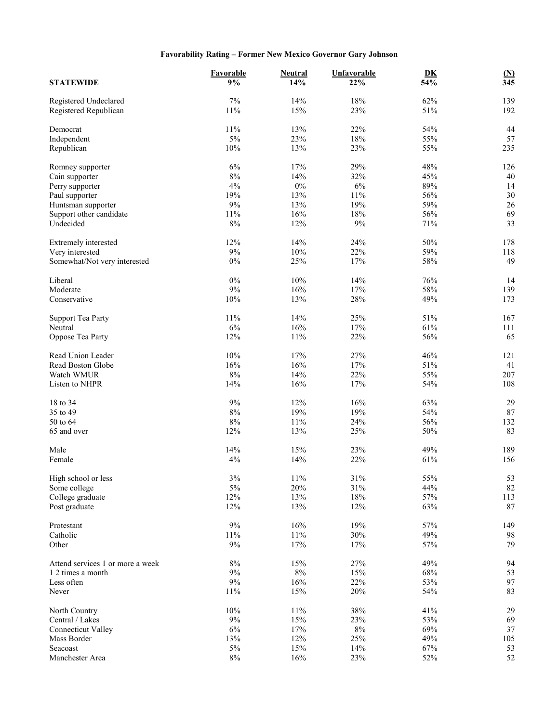## **Favorability Rating – Former New Mexico Governor Gary Johnson**

| <b>STATEWIDE</b>                 | Favorable<br>9% | <b>Neutral</b><br>14% | Unfavorable<br>22% | DK<br>54%  | $(\underline{N})$<br>$\overline{345}$ |
|----------------------------------|-----------------|-----------------------|--------------------|------------|---------------------------------------|
|                                  |                 |                       |                    |            |                                       |
| Registered Undeclared            | 7%              | 14%                   | 18%                | 62%        | 139                                   |
| Registered Republican            | 11%             | 15%                   | 23%                | 51%        | 192                                   |
| Democrat                         | 11%             | 13%                   | 22%                | 54%        | 44                                    |
| Independent                      | 5%              | 23%                   | 18%                | 55%        | 57                                    |
| Republican                       | 10%             | 13%                   | 23%                | 55%        | 235                                   |
|                                  |                 |                       |                    |            |                                       |
| Romney supporter                 | $6\%$           | 17%                   | 29%                | 48%        | 126                                   |
| Cain supporter                   | $8\%$           | 14%                   | 32%                | 45%        | 40                                    |
| Perry supporter                  | 4%              | $0\%$                 | 6%                 | 89%        | 14                                    |
| Paul supporter                   | 19%<br>$9\%$    | 13%                   | 11%                | 56%        | 30                                    |
| Huntsman supporter               |                 | 13%                   | 19%                | 59%        | $26\,$                                |
| Support other candidate          | 11%             | 16%                   | 18%                | 56%        | 69                                    |
| Undecided                        | $8\%$           | 12%                   | 9%                 | 71%        | 33                                    |
| Extremely interested             | 12%             | 14%                   | 24%                | 50%        | 178                                   |
| Very interested                  | $9\%$           | $10\%$                | 22%                | 59%        | 118                                   |
| Somewhat/Not very interested     | $0\%$           | 25%                   | 17%                | 58%        | 49                                    |
|                                  |                 |                       |                    |            |                                       |
| Liberal                          | $0\%$           | 10%                   | 14%                | 76%        | 14                                    |
| Moderate                         | $9\%$           | 16%                   | 17%                | 58%        | 139                                   |
| Conservative                     | 10%             | 13%                   | 28%                | 49%        | 173                                   |
| <b>Support Tea Party</b>         | 11%             | 14%                   | 25%                | 51%        | 167                                   |
| Neutral                          | 6%              | 16%                   | 17%                | 61%        | 111                                   |
| Oppose Tea Party                 | 12%             | 11%                   | 22%                | 56%        | 65                                    |
|                                  |                 |                       |                    |            |                                       |
| Read Union Leader                | 10%             | 17%                   | 27%                | 46%        | 121                                   |
| Read Boston Globe                | 16%             | 16%                   | 17%                | 51%        | 41                                    |
| Watch WMUR                       | $8\%$           | 14%                   | 22%                | 55%        | 207                                   |
| Listen to NHPR                   | 14%             | 16%                   | 17%                | 54%        | 108                                   |
| 18 to 34                         | $9\%$           | 12%                   | 16%                | 63%        | 29                                    |
| 35 to 49                         | $8\%$           | 19%                   | 19%                | 54%        | $87\,$                                |
| 50 to 64                         | $8\%$           | $11\%$                | 24%                | 56%        | 132                                   |
| 65 and over                      | 12%             | 13%                   | 25%                | 50%        | 83                                    |
| Male                             | 14%             | 15%                   | 23%                | 49%        | 189                                   |
| Female                           | 4%              | 14%                   | 22%                | 61%        | 156                                   |
|                                  |                 |                       |                    |            |                                       |
| High school or less              | $3\%$           | $11\%$                | $31\%$             | 55%        | 53                                    |
| Some college                     | $5\%$           | $20\%$                | 31%                | 44%        | 82                                    |
| College graduate                 | 12%             | 13%                   | 18%                | 57%        | 113                                   |
| Post graduate                    | 12%             | 13%                   | 12%                | 63%        | 87                                    |
|                                  | $9\%$           |                       |                    |            |                                       |
| Protestant<br>Catholic           |                 | 16%<br>$11\%$         | 19%<br>30%         | 57%<br>49% | 149                                   |
|                                  | 11%<br>9%       | 17%                   | 17%                |            | 98<br>79                              |
| Other                            |                 |                       |                    | 57%        |                                       |
| Attend services 1 or more a week | $8\%$           | 15%                   | 27%                | 49%        | 94                                    |
| 1 2 times a month                | 9%              | $8\%$                 | 15%                | 68%        | 53                                    |
| Less often                       | 9%              | 16%                   | 22%                | 53%        | 97                                    |
| Never                            | 11%             | $15\%$                | $20\%$             | 54%        | 83                                    |
| North Country                    | 10%             | $11\%$                | 38%                | 41%        | 29                                    |
| Central / Lakes                  | $9\%$           | 15%                   | 23%                | 53%        | 69                                    |
| <b>Connecticut Valley</b>        | $6\%$           | $17\%$                | $8\%$              | 69%        | $37\,$                                |
| Mass Border                      | 13%             | 12%                   | 25%                | 49%        | 105                                   |
| Seacoast                         | $5\%$           | 15%                   | 14%                | 67%        | 53                                    |
| Manchester Area                  | $8\%$           | 16%                   | 23%                | 52%        | 52                                    |
|                                  |                 |                       |                    |            |                                       |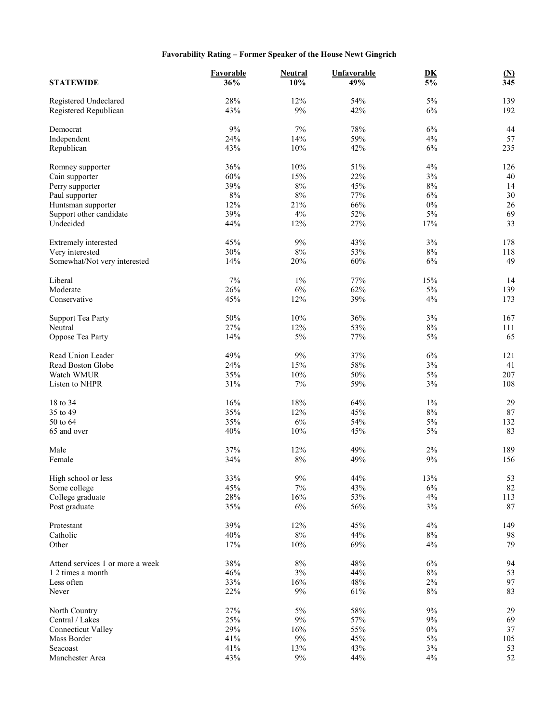## **Favorability Rating – Former Speaker of the House Newt Gingrich**

| <b>STATEWIDE</b>                 | Favorable<br>36% | <b>Neutral</b><br>10% | Unfavorable<br>49% | $\underline{\mathbf{D}}\underline{\mathbf{K}}$<br>$\overline{5\%}$ | $(\underline{N})$<br>345 |
|----------------------------------|------------------|-----------------------|--------------------|--------------------------------------------------------------------|--------------------------|
| Registered Undeclared            | 28%              | 12%                   | 54%                | 5%                                                                 | 139                      |
| Registered Republican            | 43%              | 9%                    | 42%                | $6\%$                                                              | 192                      |
| Democrat                         | 9%               | $7\%$                 | 78%                | 6%                                                                 | 44                       |
| Independent                      | 24%              | 14%                   | 59%                | 4%                                                                 | 57                       |
| Republican                       | 43%              | $10\%$                | 42%                | $6\%$                                                              | 235                      |
| Romney supporter                 | 36%              | 10%                   | 51%                | 4%                                                                 | 126                      |
| Cain supporter                   | 60%              | 15%                   | 22%                | $3\%$                                                              | 40                       |
| Perry supporter                  | 39%              | $8\%$                 | 45%                | $8\%$                                                              | 14                       |
| Paul supporter                   | $8\%$            | $8\%$                 | 77%                | 6%                                                                 | 30                       |
| Huntsman supporter               | 12%              | 21%                   | 66%                | $0\%$                                                              | 26                       |
| Support other candidate          | 39%              | 4%                    | 52%                | $5\%$                                                              | 69                       |
| Undecided                        | 44%              | 12%                   | 27%                | 17%                                                                | 33                       |
|                                  |                  |                       |                    |                                                                    |                          |
| Extremely interested             | 45%              | 9%                    | 43%                | 3%                                                                 | 178                      |
| Very interested                  | 30%              | $8\%$                 | 53%                | $8\%$                                                              | 118                      |
| Somewhat/Not very interested     | 14%              | 20%                   | 60%                | $6\%$                                                              | 49                       |
| Liberal                          | 7%               | $1\%$                 | 77%                | 15%                                                                | 14                       |
| Moderate                         | 26%              | $6\%$                 | 62%                | $5\%$                                                              | 139                      |
| Conservative                     | 45%              | 12%                   | 39%                | 4%                                                                 | 173                      |
| <b>Support Tea Party</b>         | 50%              | $10\%$                | 36%                | $3\%$                                                              | 167                      |
| Neutral                          | 27%              | 12%                   | 53%                | $8\%$                                                              | 111                      |
| Oppose Tea Party                 | 14%              | 5%                    | 77%                | $5\%$                                                              | 65                       |
| Read Union Leader                | 49%              | $9\%$                 | 37%                | $6\%$                                                              | 121                      |
| Read Boston Globe                | 24%              | 15%                   | 58%                | $3\%$                                                              | 41                       |
| Watch WMUR                       | 35%              | $10\%$                | 50%                | $5\%$                                                              | 207                      |
| Listen to NHPR                   | 31%              | $7\%$                 | 59%                | 3%                                                                 | 108                      |
| 18 to 34                         | 16%              | 18%                   | 64%                | $1\%$                                                              | 29                       |
| 35 to 49                         | 35%              | 12%                   | 45%                | $8\%$                                                              | $87\,$                   |
| 50 to 64                         | 35%              | 6%                    | 54%                | $5\%$                                                              | 132                      |
| 65 and over                      | 40%              | 10%                   | 45%                | 5%                                                                 | 83                       |
|                                  |                  |                       |                    |                                                                    |                          |
| Male                             | 37%              | 12%                   | 49%                | $2\%$                                                              | 189                      |
| Female                           | 34%              | $8\%$                 | 49%                | $9\%$                                                              | 156                      |
| High school or less              | 33%              | $9\%$                 | 44%                | 13%                                                                | 53                       |
| Some college                     | 45%              | $7\%$                 | 43%                | $6\%$                                                              | 82                       |
| College graduate                 | 28%              | $16\%$                | 53%                | 4%                                                                 | 113                      |
| Post graduate                    | 35%              | $6\%$                 | 56%                | $3\%$                                                              | 87                       |
| Protestant                       | 39%              | 12%                   | 45%                | 4%                                                                 | 149                      |
| Catholic                         | 40%              | $8\%$                 | 44%                | $8\%$                                                              | 98                       |
| Other                            | 17%              | $10\%$                | 69%                | 4%                                                                 | 79                       |
|                                  |                  |                       |                    |                                                                    |                          |
| Attend services 1 or more a week | 38%              | $8\%$                 | 48%                | $6\%$                                                              | 94                       |
| 1 2 times a month                | 46%              | $3\%$                 | 44%                | $8\%$                                                              | 53<br>97                 |
| Less often                       | 33%              | 16%                   | 48%                | $2\%$                                                              |                          |
| Never                            | 22%              | $9\%$                 | 61%                | $8\%$                                                              | 83                       |
| North Country                    | 27%              | $5\%$                 | 58%                | 9%                                                                 | 29                       |
| Central / Lakes                  | 25%              | $9\%$                 | 57%                | 9%                                                                 | 69                       |
| <b>Connecticut Valley</b>        | 29%              | 16%                   | 55%                | $0\%$                                                              | 37                       |
| Mass Border                      | 41%              | $9\%$                 | 45%                | $5\%$                                                              | 105                      |
| Seacoast                         | 41%              | 13%                   | 43%                | $3\%$                                                              | 53                       |
| Manchester Area                  | 43%              | $9\%$                 | 44%                | 4%                                                                 | 52                       |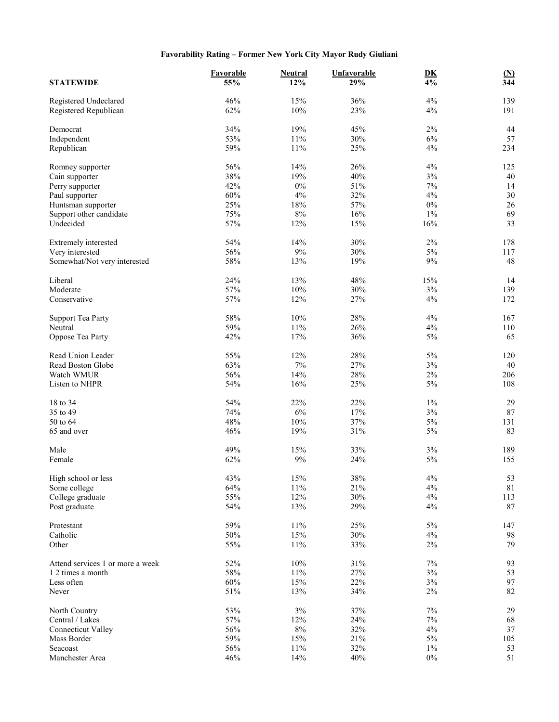## **Favorability Rating – Former New York City Mayor Rudy Giuliani**

| <b>STATEWIDE</b>                 | Favorable<br>55% | <b>Neutral</b><br>12% | Unfavorable<br>29% | $\underline{\mathbf{D}}\underline{\mathbf{K}}$<br>4% | $\mathbf{M}$<br>344 |
|----------------------------------|------------------|-----------------------|--------------------|------------------------------------------------------|---------------------|
| Registered Undeclared            | 46%              | 15%                   | 36%                | 4%                                                   | 139                 |
| Registered Republican            | 62%              | 10%                   | 23%                | 4%                                                   | 191                 |
| Democrat                         | 34%              | 19%                   | 45%                | $2\%$                                                | 44                  |
| Independent                      | 53%              | 11%                   | 30%                | 6%                                                   | 57                  |
| Republican                       | 59%              | 11%                   | 25%                | 4%                                                   | 234                 |
| Romney supporter                 | 56%              | 14%                   | 26%                | 4%                                                   | 125                 |
| Cain supporter                   | 38%              | 19%                   | 40%                | $3\%$                                                | 40                  |
|                                  | 42%              | $0\%$                 | 51%                | 7%                                                   | 14                  |
| Perry supporter                  |                  |                       |                    |                                                      |                     |
| Paul supporter                   | 60%              | 4%                    | 32%                | 4%                                                   | 30                  |
| Huntsman supporter               | 25%              | 18%                   | 57%                | $0\%$                                                | 26                  |
| Support other candidate          | 75%              | $8\%$                 | 16%                | $1\%$                                                | 69                  |
| Undecided                        | 57%              | 12%                   | 15%                | 16%                                                  | 33                  |
| Extremely interested             | 54%              | 14%                   | 30%                | $2\%$                                                | 178                 |
| Very interested                  | 56%              | $9\%$                 | 30%                | $5\%$                                                | 117                 |
| Somewhat/Not very interested     | 58%              | 13%                   | 19%                | $9\%$                                                | 48                  |
| Liberal                          | 24%              | 13%                   | 48%                | 15%                                                  | 14                  |
| Moderate                         | 57%              | 10%                   | 30%                | 3%                                                   | 139                 |
| Conservative                     | 57%              | 12%                   | 27%                | 4%                                                   | 172                 |
|                                  |                  |                       |                    |                                                      |                     |
| <b>Support Tea Party</b>         | 58%              | $10\%$                | 28%                | 4%                                                   | 167                 |
| Neutral                          | 59%              | 11%                   | 26%                | 4%                                                   | 110                 |
| Oppose Tea Party                 | 42%              | 17%                   | 36%                | $5\%$                                                | 65                  |
| Read Union Leader                | 55%              | 12%                   | 28%                | $5\%$                                                | 120                 |
| Read Boston Globe                | 63%              | $7\%$                 | 27%                | $3\%$                                                | 40                  |
| Watch WMUR                       | 56%              | 14%                   | 28%                | $2\%$                                                | 206                 |
| Listen to NHPR                   | 54%              | 16%                   | 25%                | 5%                                                   | 108                 |
| 18 to 34                         | 54%              | 22%                   | 22%                | $1\%$                                                | 29                  |
| 35 to 49                         | 74%              | 6%                    | 17%                | $3\%$                                                | $87\,$              |
| 50 to 64                         | 48%              | $10\%$                | 37%                | $5\%$                                                | 131                 |
| 65 and over                      | 46%              | 19%                   | 31%                | 5%                                                   | 83                  |
|                                  |                  |                       |                    |                                                      |                     |
| Male                             | 49%              | 15%                   | 33%                | $3\%$                                                | 189                 |
| Female                           | 62%              | $9\%$                 | 24%                | $5\%$                                                | 155                 |
| High school or less              | 43%              | $15\%$                | $38\%$             | $4\%$                                                | 53                  |
| Some college                     | 64%              | 11%                   | 21%                | $4\%$                                                | $81\,$              |
| College graduate                 | 55%              | 12%                   | 30%                | $4\%$                                                | 113                 |
| Post graduate                    | 54%              | 13%                   | 29%                | 4%                                                   | 87                  |
|                                  |                  |                       |                    |                                                      |                     |
| Protestant                       | 59%              | $11\%$                | 25%                | $5\%$                                                | 147                 |
| Catholic                         | 50%              | 15%                   | 30%                | 4%                                                   | 98                  |
| Other                            | 55%              | 11%                   | 33%                | $2\%$                                                | 79                  |
| Attend services 1 or more a week | 52%              | 10%                   | 31%                | 7%                                                   | 93                  |
| 1 2 times a month                | 58%              | $11\%$                | 27%                | $3\%$                                                | 53                  |
| Less often                       | 60%              | 15%                   | 22%                | $3\%$                                                | 97                  |
| Never                            | 51%              | 13%                   | 34%                | $2\%$                                                | 82                  |
| North Country                    | 53%              | $3\%$                 | 37%                | $7\%$                                                | 29                  |
| Central / Lakes                  | 57%              | 12%                   | 24%                | 7%                                                   | 68                  |
| <b>Connecticut Valley</b>        | 56%              | $8\%$                 | 32%                | 4%                                                   | 37                  |
| Mass Border                      | 59%              | 15%                   | 21%                | $5\%$                                                | 105                 |
| Seacoast                         | 56%              | $11\%$                | 32%                | $1\%$                                                | 53                  |
| Manchester Area                  | 46%              | 14%                   | 40%                | $0\%$                                                | 51                  |
|                                  |                  |                       |                    |                                                      |                     |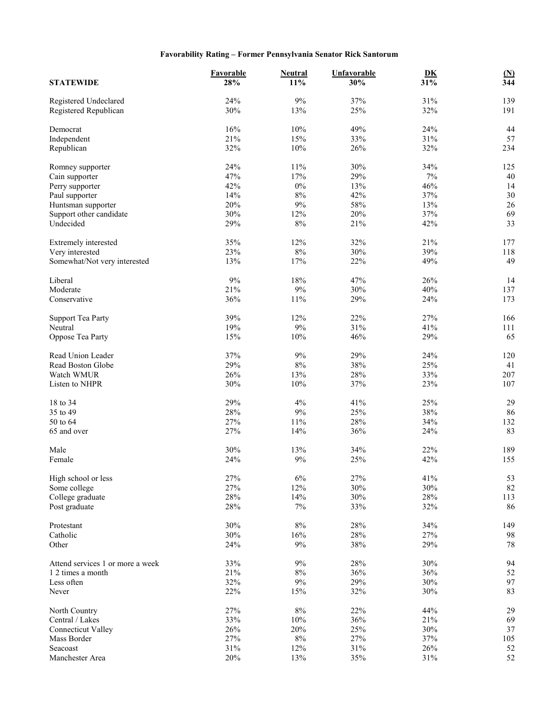## **Favorability Rating – Former Pennsylvania Senator Rick Santorum**

|                                          | Favorable  | <b>Neutral</b> | <b>Unfavorable</b> | DK         | $(\underline{N})$ |
|------------------------------------------|------------|----------------|--------------------|------------|-------------------|
| <b>STATEWIDE</b>                         | 28%        | 11%            | 30%                | 31%        | $\overline{344}$  |
| Registered Undeclared                    | 24%        | 9%             | 37%                | 31%        | 139               |
| Registered Republican                    | 30%        | 13%            | 25%                | 32%        | 191               |
| Democrat                                 | 16%        | 10%            | 49%                | 24%        | 44                |
| Independent                              | 21%        | 15%            | 33%                | 31%        | 57                |
| Republican                               | 32%        | 10%            | 26%                | 32%        | 234               |
| Romney supporter                         | 24%        | 11%            | 30%                | 34%        | 125               |
| Cain supporter                           | 47%        | 17%            | 29%                | $7\%$      | 40                |
| Perry supporter                          | 42%        | $0\%$          | 13%                | 46%        | 14                |
| Paul supporter                           | 14%        | $8\%$          | 42%                | 37%        | 30                |
| Huntsman supporter                       | 20%        | $9\%$          | 58%                | 13%        | 26                |
| Support other candidate                  | 30%        | 12%            | 20%                | 37%        | 69                |
| Undecided                                | 29%        | $8\%$          | 21%                | 42%        | 33                |
|                                          |            |                |                    |            |                   |
| Extremely interested                     | 35%        | 12%            | 32%                | 21%        | 177               |
| Very interested                          | 23%        | $8\%$          | 30%                | 39%        | 118               |
| Somewhat/Not very interested             | 13%        | 17%            | 22%                | 49%        | 49                |
| Liberal                                  | 9%         | 18%            | 47%                | 26%        | 14                |
| Moderate                                 | 21%        | 9%             | 30%                | 40%        | 137               |
| Conservative                             | 36%        | 11%            | 29%                | 24%        | 173               |
| <b>Support Tea Party</b>                 | 39%        | 12%            | 22%                | 27%        | 166               |
| Neutral                                  | 19%        | 9%             | 31%                | 41%        | 111               |
| Oppose Tea Party                         | 15%        | 10%            | 46%                | 29%        | 65                |
| Read Union Leader                        | 37%        | 9%             | 29%                | 24%        | 120               |
| Read Boston Globe                        | 29%        | $8\%$          | 38%                | 25%        | 41                |
| Watch WMUR                               | 26%        | 13%            | 28%                | 33%        | 207               |
| Listen to NHPR                           | 30%        | $10\%$         | 37%                | 23%        | 107               |
|                                          |            |                |                    |            |                   |
| 18 to 34                                 | 29%        | 4%             | 41%                | 25%        | 29                |
| 35 to 49                                 | 28%        | $9\%$          | 25%                | 38%        | 86                |
| 50 to 64                                 | 27%        | 11%            | 28%                | 34%        | 132               |
| 65 and over                              | 27%        | 14%            | 36%                | 24%        | 83                |
| Male                                     | 30%        | 13%            | 34%                | 22%        | 189               |
| Female                                   | 24%        | 9%             | 25%                | 42%        | 155               |
| High school or less                      | 27%        | $6\%$          | 27%                | 41%        | 53                |
| Some college                             | 27%        | 12%            | 30%                | 30%        | 82                |
| College graduate                         | 28%        | 14%            | 30%                | 28%        | 113               |
| Post graduate                            | $28\%$     | $7\%$          | 33%                | 32%        | 86                |
| Protestant                               | 30%        | $8\%$          | 28%                | 34%        | 149               |
| Catholic                                 | 30%        | 16%            | $28\%$             | 27%        | 98                |
| Other                                    | 24%        | 9%             | 38%                | 29%        | 78                |
| Attend services 1 or more a week         | 33%        | 9%             | 28%                | 30%        | 94                |
| 1 2 times a month                        | 21%        | $8\%$          | 36%                | 36%        | 52                |
| Less often                               | 32%        | $9\%$          | 29%                | 30%        | 97                |
| Never                                    | 22%        | 15%            | 32%                | 30%        | 83                |
|                                          |            |                |                    |            |                   |
| North Country                            | 27%        | $8\%$          | 22%                | 44%        | 29                |
| Central / Lakes                          | 33%        | 10%            | 36%                | 21%        | 69                |
| <b>Connecticut Valley</b><br>Mass Border | 26%<br>27% | 20%            | 25%                | 30%        | 37                |
| Seacoast                                 | 31%        | $8\%$<br>12%   | 27%<br>$31\%$      | 37%<br>26% | 105<br>52         |
|                                          | 20%        |                |                    |            |                   |
| Manchester Area                          |            | 13%            | $35\%$             | 31%        | 52                |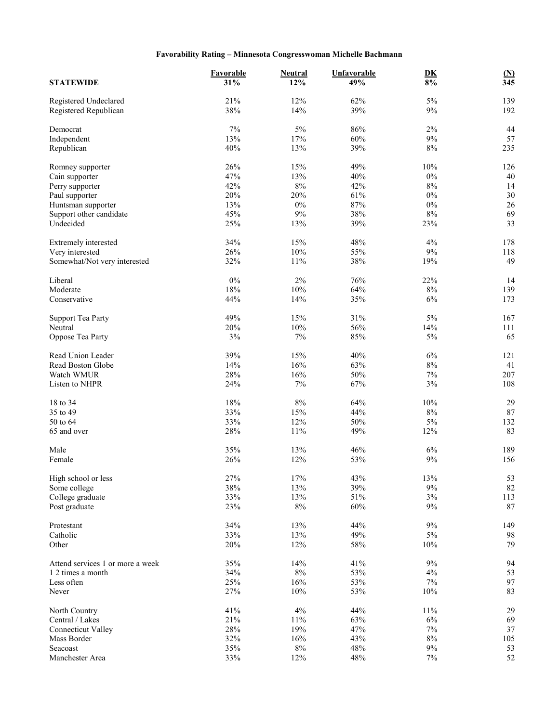## **Favorability Rating – Minnesota Congresswoman Michelle Bachmann**

| <b>STATEWIDE</b>                               | Favorable<br>31% | <b>Neutral</b><br>12% | Unfavorable<br>49% | $\underline{\mathbf{D}}\underline{\mathbf{K}}$<br>$8\%$ | $\underline{\textbf{(N)}}$<br>$\overline{345}$ |
|------------------------------------------------|------------------|-----------------------|--------------------|---------------------------------------------------------|------------------------------------------------|
| Registered Undeclared<br>Registered Republican | 21%<br>38%       | 12%<br>14%            | 62%<br>39%         | $5\%$<br>$9\%$                                          | 139<br>192                                     |
|                                                |                  |                       |                    |                                                         |                                                |
| Democrat                                       | 7%               | $5\%$                 | 86%                | $2\%$                                                   | 44                                             |
| Independent                                    | 13%              | 17%                   | 60%                | $9\%$                                                   | 57                                             |
| Republican                                     | 40%              | 13%                   | 39%                | $8\%$                                                   | 235                                            |
| Romney supporter                               | 26%              | 15%                   | 49%                | $10\%$                                                  | 126                                            |
| Cain supporter                                 | 47%              | 13%                   | 40%                | $0\%$                                                   | 40                                             |
| Perry supporter                                | 42%              | $8\%$                 | 42%                | $8\%$                                                   | 14                                             |
| Paul supporter                                 | 20%              | 20%                   | 61%                | $0\%$                                                   | 30                                             |
| Huntsman supporter                             | 13%              | $0\%$                 | 87%                | $0\%$                                                   | $26\,$                                         |
| Support other candidate                        | 45%              | 9%                    | 38%                | $8\%$                                                   | 69                                             |
| Undecided                                      | 25%              | 13%                   | 39%                | 23%                                                     | 33                                             |
|                                                |                  |                       |                    |                                                         |                                                |
| Extremely interested                           | 34%              | 15%                   | 48%                | 4%                                                      | 178                                            |
| Very interested                                | 26%              | $10\%$                | 55%                | $9\%$                                                   | 118                                            |
| Somewhat/Not very interested                   | 32%              | 11%                   | 38%                | 19%                                                     | 49                                             |
| Liberal                                        | $0\%$            | $2\%$                 | 76%                | 22%                                                     | 14                                             |
| Moderate                                       | 18%              | 10%                   | 64%                | $8\%$                                                   | 139                                            |
| Conservative                                   | 44%              | 14%                   | 35%                | 6%                                                      | 173                                            |
|                                                | 49%              | 15%                   | 31%                | $5\%$                                                   | 167                                            |
| <b>Support Tea Party</b><br>Neutral            | 20%              | 10%                   | 56%                | 14%                                                     | 111                                            |
|                                                | 3%               | $7\%$                 | 85%                | 5%                                                      | 65                                             |
| Oppose Tea Party                               |                  |                       |                    |                                                         |                                                |
| Read Union Leader                              | 39%              | 15%                   | 40%                | $6\%$                                                   | 121                                            |
| Read Boston Globe                              | 14%              | 16%                   | 63%                | $8\%$                                                   | 41                                             |
| Watch WMUR                                     | 28%              | 16%                   | 50%                | 7%                                                      | 207                                            |
| Listen to NHPR                                 | 24%              | $7\%$                 | 67%                | 3%                                                      | 108                                            |
| 18 to 34                                       | 18%              | $8\%$                 | 64%                | 10%                                                     | 29                                             |
| 35 to 49                                       | 33%              | $15\%$                | 44%                | $8\%$                                                   | 87                                             |
| 50 to 64                                       | 33%              | 12%                   | 50%                | $5\%$                                                   | 132                                            |
| 65 and over                                    | 28%              | 11%                   | 49%                | 12%                                                     | 83                                             |
|                                                |                  |                       |                    |                                                         |                                                |
| Male                                           | 35%              | 13%                   | 46%                | $6\%$                                                   | 189                                            |
| Female                                         | 26%              | 12%                   | 53%                | $9\%$                                                   | 156                                            |
| High school or less                            | 27%              | 17%                   | 43%                | 13%                                                     | 53                                             |
| Some college                                   | $38\%$           | 13%                   | 39%                | $9\%$                                                   | 82                                             |
| College graduate                               | 33%              | 13%                   | $51\%$             | $3\%$                                                   | 113                                            |
| Post graduate                                  | 23%              | $8\%$                 | 60%                | $9\%$                                                   | 87                                             |
| Protestant                                     | 34%              | $13\%$                | 44%                | $9\%$                                                   | 149                                            |
| Catholic                                       | 33%              | 13%                   | 49%                | $5\%$                                                   | 98                                             |
| Other                                          | 20%              | 12%                   | 58%                | $10\%$                                                  | 79                                             |
|                                                |                  |                       |                    |                                                         |                                                |
| Attend services 1 or more a week               | 35%              | 14%                   | 41%                | $9\%$                                                   | 94                                             |
| 1 2 times a month                              | 34%              | $8\%$                 | 53%                | 4%                                                      | 53                                             |
| Less often                                     | 25%              | 16%                   | 53%                | $7\%$                                                   | 97                                             |
| Never                                          | 27%              | $10\%$                | 53%                | $10\%$                                                  | 83                                             |
| North Country                                  | 41%              | 4%                    | 44%                | $11\%$                                                  | 29                                             |
| Central / Lakes                                | 21%              | $11\%$                | 63%                | $6\%$                                                   | 69                                             |
| <b>Connecticut Valley</b>                      | $28\%$           | 19%                   | 47%                | $7\%$                                                   | $37\,$                                         |
| Mass Border                                    | 32%              | 16%                   | 43%                | $8\%$                                                   | 105                                            |
| Seacoast                                       | 35%              | $8\%$                 | 48%                | $9\%$                                                   | 53                                             |
| Manchester Area                                | 33%              | 12%                   | $48\%$             | $7\%$                                                   | $52\,$                                         |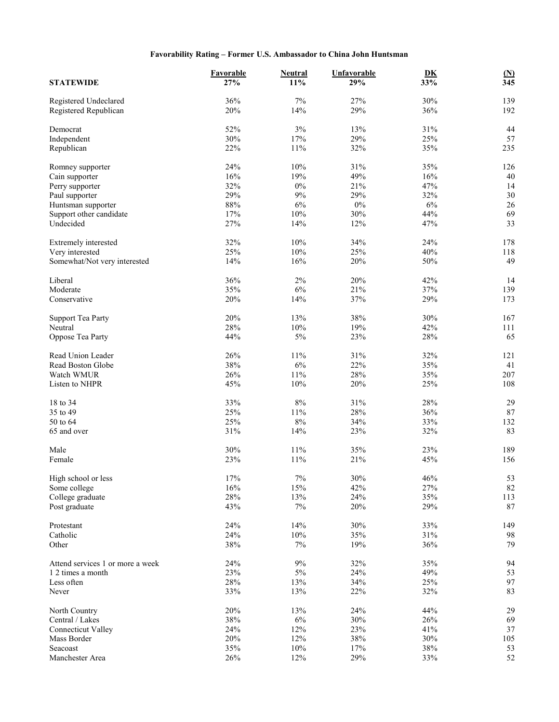## **Favorability Rating – Former U.S. Ambassador to China John Huntsman**

| <b>STATEWIDE</b>                               | Favorable<br>27% | <b>Neutral</b><br>$11\%$ | <b>Unfavorable</b><br>29% | $\underline{\mathbf{D}}\underline{\mathbf{K}}$<br>33% | $\frac{\text{(N)}}{345}$ |
|------------------------------------------------|------------------|--------------------------|---------------------------|-------------------------------------------------------|--------------------------|
| Registered Undeclared<br>Registered Republican | 36%<br>20%       | $7\%$<br>14%             | 27%<br>29%                | 30%<br>36%                                            | 139<br>192               |
|                                                |                  |                          |                           |                                                       |                          |
| Democrat                                       | 52%<br>30%       | $3\%$<br>17%             | 13%<br>29%                | 31%                                                   | 44<br>57                 |
| Independent<br>Republican                      | 22%              | $11\%$                   | 32%                       | 25%<br>35%                                            | 235                      |
|                                                |                  |                          |                           |                                                       |                          |
| Romney supporter                               | 24%              | $10\%$                   | 31%                       | 35%                                                   | 126                      |
| Cain supporter                                 | 16%              | 19%                      | 49%                       | 16%                                                   | 40                       |
| Perry supporter                                | 32%              | $0\%$                    | 21%                       | 47%                                                   | 14                       |
| Paul supporter                                 | 29%              | 9%                       | 29%                       | 32%                                                   | 30                       |
| Huntsman supporter                             | $88\%$           | $6\%$                    | $0\%$                     | $6\%$                                                 | 26                       |
| Support other candidate                        | 17%              | $10\%$                   | 30%                       | 44%                                                   | 69<br>33                 |
| Undecided                                      | 27%              | 14%                      | 12%                       | 47%                                                   |                          |
| Extremely interested                           | 32%              | 10%                      | 34%                       | 24%                                                   | 178                      |
| Very interested                                | 25%              | $10\%$                   | 25%                       | 40%                                                   | 118                      |
| Somewhat/Not very interested                   | 14%              | 16%                      | 20%                       | $50\%$                                                | 49                       |
| Liberal                                        | 36%              | $2\%$                    | 20%                       | 42%                                                   | 14                       |
| Moderate                                       | 35%              | $6\%$                    | 21%                       | 37%                                                   | 139                      |
| Conservative                                   | 20%              | 14%                      | 37%                       | 29%                                                   | 173                      |
|                                                |                  |                          |                           |                                                       |                          |
| <b>Support Tea Party</b>                       | 20%              | 13%                      | 38%                       | 30%                                                   | 167                      |
| Neutral                                        | 28%              | 10%                      | 19%                       | 42%                                                   | 111                      |
| Oppose Tea Party                               | 44%              | $5\%$                    | 23%                       | 28%                                                   | 65                       |
| Read Union Leader                              | 26%              | $11\%$                   | 31%                       | 32%                                                   | 121                      |
| Read Boston Globe                              | 38%              | $6\%$                    | 22%                       | 35%                                                   | 41                       |
| Watch WMUR                                     | 26%              | $11\%$                   | 28%                       | 35%                                                   | 207                      |
| Listen to NHPR                                 | 45%              | $10\%$                   | 20%                       | 25%                                                   | 108                      |
| 18 to 34                                       | 33%              | $8\%$                    | 31%                       | 28%                                                   | 29                       |
| 35 to 49                                       | 25%              | $11\%$                   | 28%                       | 36%                                                   | $87\,$                   |
| 50 to 64                                       | 25%              | $8\%$                    | 34%                       | 33%                                                   | 132                      |
| 65 and over                                    | 31%              | 14%                      | 23%                       | 32%                                                   | 83                       |
|                                                |                  |                          |                           |                                                       |                          |
| Male                                           | 30%              | $11\%$                   | 35%                       | 23%                                                   | 189                      |
| Female                                         | 23%              | $11\%$                   | 21%                       | 45%                                                   | 156                      |
| High school or less                            | $17\%$           | $7\%$                    | 30%                       | 46%                                                   | 53                       |
| Some college                                   | 16%              | 15%                      | 42%                       | 27%                                                   | 82                       |
| College graduate                               | 28%              | 13%                      | 24%                       | 35%                                                   | 113                      |
| Post graduate                                  | 43%              | $7\%$                    | 20%                       | 29%                                                   | 87                       |
| Protestant                                     | 24%              | 14%                      | 30%                       | 33%                                                   | 149                      |
| Catholic                                       | 24%              | $10\%$                   | 35%                       | 31%                                                   | 98                       |
| Other                                          | 38%              | $7\%$                    | 19%                       | 36%                                                   | 79                       |
|                                                |                  |                          |                           |                                                       |                          |
| Attend services 1 or more a week               | 24%              | $9\%$                    | 32%                       | 35%                                                   | 94                       |
| 1 2 times a month                              | 23%              | $5\%$                    | 24%                       | 49%                                                   | 53                       |
| Less often                                     | 28%              | 13%                      | 34%                       | 25%                                                   | 97                       |
| Never                                          | 33%              | 13%                      | 22%                       | 32%                                                   | 83                       |
| North Country                                  | 20%              | 13%                      | 24%                       | 44%                                                   | 29                       |
| Central / Lakes                                | 38%              | $6\%$                    | 30%                       | 26%                                                   | 69                       |
| <b>Connecticut Valley</b>                      | 24%              | $12\%$                   | 23%                       | 41%                                                   | 37                       |
| Mass Border                                    | 20%              | 12%                      | 38%                       | 30%                                                   | 105                      |
| Seacoast                                       | 35%              | $10\%$                   | $17\%$                    | $38\%$                                                | 53                       |
| Manchester Area                                | 26%              | 12%                      | 29%                       | 33%                                                   | 52                       |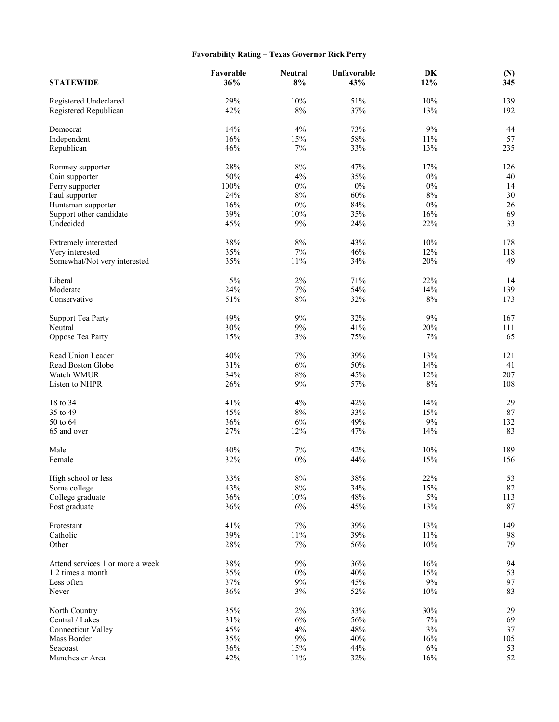## **Favorability Rating – Texas Governor Rick Perry**

| <b>STATEWIDE</b>                                      | <b>Favorable</b><br>36% | <b>Neutral</b><br>8% | <b>Unfavorable</b><br>43% | D <sub>K</sub><br>12% | $\frac{\text{(N)}}{345}$ |
|-------------------------------------------------------|-------------------------|----------------------|---------------------------|-----------------------|--------------------------|
| Registered Undeclared                                 | 29%                     | 10%                  | 51%                       | 10%                   | 139                      |
| Registered Republican                                 | 42%                     | $8\%$                | 37%                       | 13%                   | 192                      |
| Democrat                                              | 14%                     | 4%                   | 73%                       | $9\%$                 | 44                       |
| Independent                                           | 16%                     | 15%                  | 58%                       | $11\%$                | 57                       |
| Republican                                            | 46%                     | $7\%$                | 33%                       | 13%                   | 235                      |
| Romney supporter                                      | 28%                     | $8\%$                | 47%                       | $17\%$                | 126                      |
| Cain supporter                                        | 50%                     | 14%                  | 35%                       | $0\%$                 | 40                       |
| Perry supporter                                       | $100\%$                 | $0\%$                | $0\%$                     | $0\%$                 | 14                       |
| Paul supporter                                        | 24%                     | $8\%$                | 60%                       | $8\%$                 | 30                       |
| Huntsman supporter                                    | 16%                     | $0\%$                | 84%                       | $0\%$                 | 26                       |
| Support other candidate                               | 39%                     | $10\%$               | 35%                       | $16\%$                | 69                       |
| Undecided                                             | 45%                     | 9%                   | 24%                       | 22%                   | 33                       |
| Extremely interested                                  | 38%                     | $8\%$                | 43%                       | 10%                   | 178                      |
| Very interested                                       | 35%                     | 7%                   | 46%                       | 12%                   | 118                      |
| Somewhat/Not very interested                          | 35%                     | 11%                  | 34%                       | 20%                   | 49                       |
| Liberal                                               | 5%                      | $2\%$                | 71%                       | 22%                   | 14                       |
| Moderate                                              | 24%                     | $7\%$                | 54%                       | 14%                   | 139                      |
| Conservative                                          | 51%                     | $8\%$                | 32%                       | $8\%$                 | 173                      |
| <b>Support Tea Party</b>                              | 49%                     | 9%                   | 32%                       | 9%                    | 167                      |
| Neutral                                               | 30%                     | 9%                   | 41%                       | 20%                   | 111                      |
| Oppose Tea Party                                      | 15%                     | $3\%$                | 75%                       | $7\%$                 | 65                       |
| Read Union Leader                                     | 40%                     | 7%                   | 39%                       | 13%                   | 121                      |
| Read Boston Globe                                     | 31%                     | 6%                   | 50%                       | 14%                   | 41                       |
| Watch WMUR                                            | 34%                     | $8\%$                | 45%                       | 12%                   | 207                      |
| Listen to NHPR                                        | 26%                     | $9\%$                | 57%                       | $8\%$                 | 108                      |
| 18 to 34                                              | 41%                     | 4%                   | 42%                       | 14%                   | 29                       |
| 35 to 49                                              | 45%                     | $8\%$                | 33%                       | 15%                   | 87                       |
| 50 to 64                                              | 36%                     | $6\%$                | 49%                       | $9\%$                 | 132                      |
| 65 and over                                           | 27%                     | 12%                  | 47%                       | 14%                   | 83                       |
| Male                                                  | 40%                     | $7\%$                | 42%                       | 10%                   | 189                      |
| Female                                                | 32%                     | $10\%$               | 44%                       | 15%                   | 156                      |
|                                                       |                         |                      |                           |                       |                          |
| High school or less<br>Some college                   | 33%<br>43%              | $8\%$<br>$8\%$       | $38\%$<br>34%             | 22%<br>15%            | 53<br>82                 |
| College graduate                                      | 36%                     | $10\%$               | 48%                       | $5\%$                 | 113                      |
| Post graduate                                         | 36%                     | $6\%$                | 45%                       | 13%                   | 87                       |
| Protestant                                            | 41%                     | $7\%$                | 39%                       | 13%                   | 149                      |
| Catholic                                              | 39%                     | $11\%$               | 39%                       | $11\%$                | 98                       |
| Other                                                 | 28%                     | $7\%$                | 56%                       | 10%                   | 79                       |
|                                                       |                         |                      |                           |                       |                          |
| Attend services 1 or more a week<br>1 2 times a month | 38%                     | $9\%$                | 36%                       | 16%                   | 94                       |
| Less often                                            | 35%<br>37%              | $10\%$<br>$9\%$      | 40%<br>45%                | 15%<br>$9\%$          | 53<br>97                 |
| Never                                                 | 36%                     | $3\%$                | 52%                       | $10\%$                | 83                       |
|                                                       |                         |                      |                           |                       |                          |
| North Country                                         | 35%                     | $2\%$                | 33%                       | 30%                   | 29                       |
| Central / Lakes                                       | 31%<br>45%              | $6\%$<br>4%          | 56%<br>48%                | $7\%$<br>$3\%$        | 69<br>37                 |
| <b>Connecticut Valley</b><br>Mass Border              | 35%                     | $9\%$                | 40%                       | 16%                   | 105                      |
| Seacoast                                              | 36%                     | 15%                  | 44%                       | $6\%$                 | 53                       |
| Manchester Area                                       | 42%                     | $11\%$               | 32%                       | 16%                   | $52\,$                   |
|                                                       |                         |                      |                           |                       |                          |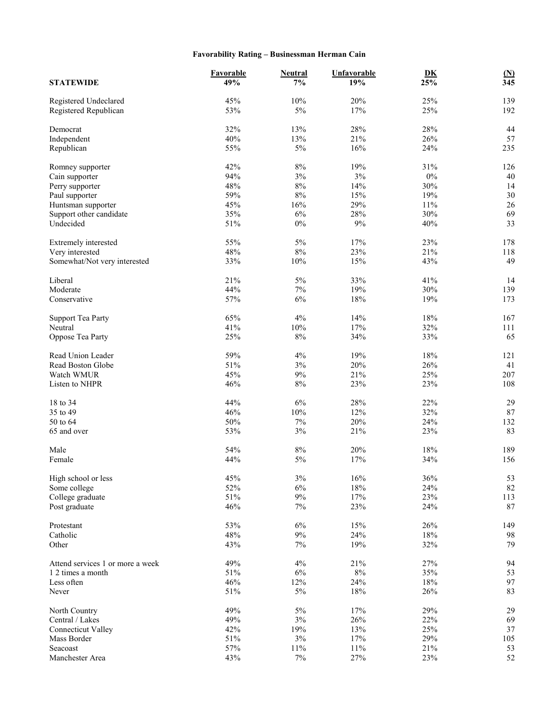## **Favorability Rating – Businessman Herman Cain**

| <b>STATEWIDE</b>                     | Favorable<br>49% | <b>Neutral</b><br>$7\%$ | <b>Unfavorable</b><br>19% | DK<br>25% | $\underline{\textbf{(N)}}$<br>$\overline{345}$ |
|--------------------------------------|------------------|-------------------------|---------------------------|-----------|------------------------------------------------|
| Registered Undeclared                | 45%              | 10%                     | 20%                       | 25%       | 139                                            |
| Registered Republican                | 53%              | $5\%$                   | 17%                       | 25%       | 192                                            |
| Democrat                             | 32%              | 13%                     | 28%                       | 28%       | 44                                             |
| Independent                          | 40%              | 13%                     | 21%                       | 26%       | 57                                             |
| Republican                           | 55%              | 5%                      | 16%                       | 24%       | 235                                            |
| Romney supporter                     | 42%              | $8\%$                   | 19%                       | 31%       | 126                                            |
| Cain supporter                       | 94%              | 3%                      | 3%                        | $0\%$     | 40                                             |
| Perry supporter                      | 48%              | $8\%$                   | 14%                       | 30%       | 14                                             |
| Paul supporter                       | 59%              | $8\%$                   | 15%                       | 19%       | 30                                             |
| Huntsman supporter                   | 45%              | 16%                     | 29%                       | $11\%$    | $26\,$                                         |
|                                      | 35%              | 6%                      | 28%                       | 30%       |                                                |
| Support other candidate<br>Undecided | 51%              | $0\%$                   | 9%                        | 40%       | 69<br>33                                       |
|                                      |                  |                         |                           |           |                                                |
| Extremely interested                 | 55%              | 5%                      | 17%                       | 23%       | 178                                            |
| Very interested                      | 48%              | $8\%$                   | 23%                       | 21%       | 118                                            |
| Somewhat/Not very interested         | 33%              | 10%                     | 15%                       | 43%       | 49                                             |
| Liberal                              | 21%              | $5\%$                   | 33%                       | 41%       | 14                                             |
| Moderate                             | 44%              | 7%                      | 19%                       | 30%       | 139                                            |
| Conservative                         | 57%              | 6%                      | 18%                       | 19%       | 173                                            |
|                                      |                  |                         |                           |           |                                                |
| <b>Support Tea Party</b>             | 65%              | 4%                      | 14%                       | $18\%$    | 167                                            |
| Neutral                              | 41%              | 10%                     | 17%                       | 32%       | 111                                            |
| Oppose Tea Party                     | 25%              | $8\%$                   | 34%                       | 33%       | 65                                             |
| Read Union Leader                    | 59%              | 4%                      | 19%                       | $18\%$    | 121                                            |
| Read Boston Globe                    | 51%              | $3\%$                   | 20%                       | 26%       | 41                                             |
| Watch WMUR                           | 45%              | $9\%$                   | 21%                       | 25%       | 207                                            |
| Listen to NHPR                       | 46%              | $8\%$                   | 23%                       | 23%       | 108                                            |
|                                      |                  |                         |                           |           |                                                |
| 18 to 34                             | 44%              | $6\%$                   | 28%                       | 22%       | 29                                             |
| 35 to 49                             | 46%              | 10%                     | 12%                       | 32%       | $87\,$                                         |
| 50 to 64                             | 50%              | 7%                      | 20%                       | 24%       | 132                                            |
| 65 and over                          | 53%              | 3%                      | 21%                       | 23%       | 83                                             |
| Male                                 | 54%              | $8\%$                   | 20%                       | $18\%$    | 189                                            |
| Female                               | 44%              | $5\%$                   | 17%                       | 34%       | 156                                            |
| High school or less                  | 45%              | $3\%$                   | 16%                       | 36%       | 53                                             |
| Some college                         | 52%              | $6\%$                   | 18%                       | 24%       | 82                                             |
| College graduate                     | 51%              | 9%                      | 17%                       | 23%       | 113                                            |
| Post graduate                        | 46%              | $7\%$                   | 23%                       | 24%       | 87                                             |
|                                      |                  |                         |                           |           |                                                |
| Protestant                           | 53%              | $6\%$                   | 15%                       | 26%       | 149                                            |
| Catholic                             | 48%              | $9\%$                   | 24%                       | $18\%$    | 98                                             |
| Other                                | 43%              | $7\%$                   | 19%                       | 32%       | 79                                             |
| Attend services 1 or more a week     | 49%              | 4%                      | 21%                       | 27%       | 94                                             |
| 1 2 times a month                    | 51%              | $6\%$                   | $8\%$                     | 35%       | 53                                             |
| Less often                           | 46%              | 12%                     | 24%                       | $18\%$    | 97                                             |
| Never                                | 51%              | $5\%$                   | 18%                       | 26%       | 83                                             |
|                                      |                  |                         |                           |           |                                                |
| North Country                        | 49%              | $5\%$                   | 17%                       | 29%       | 29                                             |
| Central / Lakes                      | 49%              | 3%                      | 26%                       | 22%       | 69                                             |
| <b>Connecticut Valley</b>            | 42%              | 19%                     | 13%                       | 25%       | 37                                             |
| Mass Border                          | 51%              | $3\%$                   | 17%                       | 29%       | 105                                            |
| Seacoast                             | 57%              | $11\%$                  | $11\%$                    | 21%       | 53                                             |
| Manchester Area                      | 43%              | $7\%$                   | 27%                       | 23%       | 52                                             |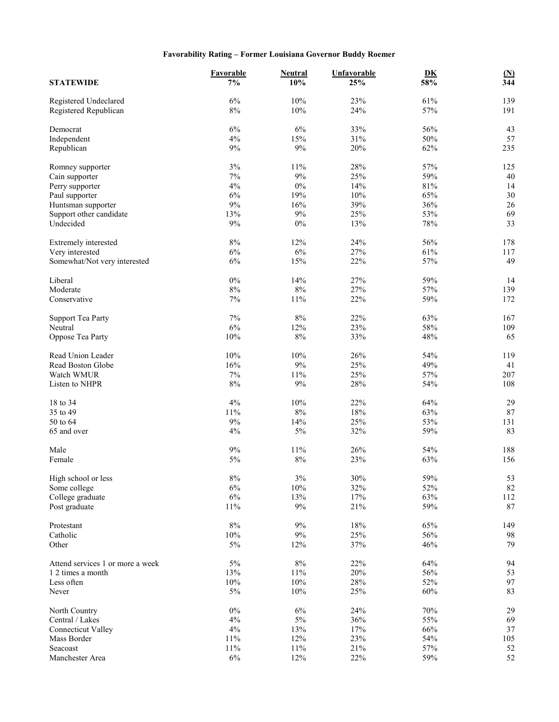## **Favorability Rating – Former Louisiana Governor Buddy Roemer**

|                                  | <b>Favorable</b> | <b>Neutral</b> | Unfavorable | DK     | $\underline{\textbf{(N)}}$ |
|----------------------------------|------------------|----------------|-------------|--------|----------------------------|
| <b>STATEWIDE</b>                 | $7\%$            | 10%            | 25%         | 58%    | 344                        |
| Registered Undeclared            | 6%               | 10%            | 23%         | 61%    | 139                        |
| Registered Republican            | $8\%$            | 10%            | 24%         | 57%    | 191                        |
| Democrat                         | 6%               | 6%             | 33%         | 56%    | 43                         |
| Independent                      | 4%               | 15%            | 31%         | 50%    | 57                         |
| Republican                       | 9%               | 9%             | 20%         | 62%    | 235                        |
| Romney supporter                 | $3\%$            | 11%            | 28%         | 57%    | 125                        |
| Cain supporter                   | 7%               | $9\%$          | 25%         | 59%    | 40                         |
| Perry supporter                  | 4%               | $0\%$          | 14%         | 81%    | 14                         |
| Paul supporter                   | 6%               | 19%            | 10%         | 65%    | 30                         |
| Huntsman supporter               | 9%               | 16%            | 39%         | 36%    | 26                         |
| Support other candidate          | 13%              | 9%             | 25%         | 53%    | 69                         |
| Undecided                        | 9%               | $0\%$          | 13%         | 78%    | 33                         |
| Extremely interested             | $8\%$            | 12%            | 24%         | 56%    | 178                        |
| Very interested                  | $6\%$            | $6\%$          | 27%         | 61%    | 117                        |
| Somewhat/Not very interested     | $6\%$            | 15%            | 22%         | 57%    | 49                         |
| Liberal                          | $0\%$            | 14%            | 27%         | 59%    | 14                         |
| Moderate                         | $8\%$            | $8\%$          | 27%         | 57%    | 139                        |
| Conservative                     | 7%               | 11%            | 22%         | 59%    | 172                        |
| <b>Support Tea Party</b>         | 7%               | $8\%$          | 22%         | 63%    | 167                        |
| Neutral                          | 6%               | 12%            | 23%         | 58%    | 109                        |
| Oppose Tea Party                 | 10%              | $8\%$          | 33%         | 48%    | 65                         |
| Read Union Leader                | 10%              | 10%            | 26%         | 54%    | 119                        |
| Read Boston Globe                | 16%              | $9\%$          | 25%         | 49%    | 41                         |
| Watch WMUR                       | $7\%$            | 11%            | 25%         | 57%    | 207                        |
| Listen to NHPR                   | 8%               | $9\%$          | 28%         | 54%    | 108                        |
| 18 to 34                         | 4%               | 10%            | 22%         | 64%    | 29                         |
| 35 to 49                         | 11%              | 8%             | 18%         | 63%    | $87\,$                     |
| 50 to 64                         | $9\%$            | 14%            | 25%         | 53%    | 131                        |
| 65 and over                      | 4%               | 5%             | 32%         | 59%    | 83                         |
| Male                             | 9%               | 11%            | 26%         | 54%    | 188                        |
| Female                           | $5\%$            | $8\%$          | 23%         | 63%    | 156                        |
|                                  |                  |                |             |        |                            |
| High school or less              | $8\%$            | $3\%$          | $30\%$      | 59%    | 53                         |
| Some college                     | $6\%$            | $10\%$         | 32%         | 52%    | 82                         |
| College graduate                 | $6\%$            | 13%            | 17%         | 63%    | 112                        |
| Post graduate                    | 11%              | $9\%$          | 21%         | 59%    | 87                         |
| Protestant                       | $8\%$            | $9\%$          | 18%         | 65%    | 149                        |
| Catholic                         | 10%              | $9\%$          | 25%         | 56%    | 98                         |
| Other                            | $5\%$            | 12%            | 37%         | 46%    | 79                         |
| Attend services 1 or more a week | $5\%$            | $8\%$          | 22%         | 64%    | 94                         |
| 1 2 times a month                | 13%              | $11\%$         | 20%         | 56%    | 53                         |
| Less often                       | 10%              | $10\%$         | 28%         | 52%    | 97                         |
| Never                            | 5%               | $10\%$         | 25%         | 60%    | 83                         |
| North Country                    | $0\%$            | 6%             | 24%         | $70\%$ | 29                         |
| Central / Lakes                  | 4%               | $5\%$          | 36%         | 55%    | 69                         |
| <b>Connecticut Valley</b>        | $4\%$            | 13%            | 17%         | 66%    | 37                         |
| Mass Border                      | 11%              | 12%            | 23%         | 54%    | 105                        |
| Seacoast                         | 11%              | $11\%$         | 21%         | 57%    | 52                         |
| Manchester Area                  | $6\%$            | 12%            | 22%         | 59%    | 52                         |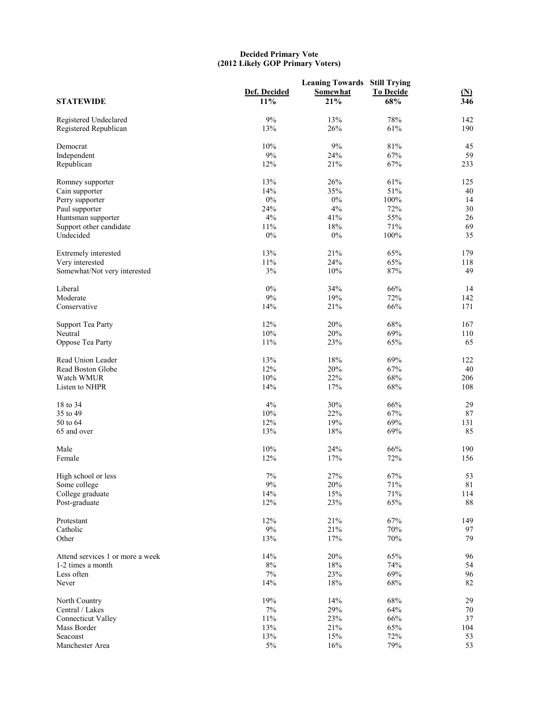#### **Decided Primary Vote (2012 Likely GOP Primary Voters)**

| <b>STATEWIDE</b>                 | Def. Decided<br>11% | <b>Leaning Towards Still Trying</b><br><b>Somewhat</b><br>21% | <b>To Decide</b><br>68% | $\frac{\text{(N)}}{346}$ |
|----------------------------------|---------------------|---------------------------------------------------------------|-------------------------|--------------------------|
| Registered Undeclared            | 9%                  | 13%                                                           | 78%                     | 142                      |
| Registered Republican            | 13%                 | 26%                                                           | 61%                     | 190                      |
| Democrat                         | 10%                 | 9%                                                            | 81%                     | 45                       |
| Independent                      | $9\%$               | 24%                                                           | 67%                     | 59                       |
| Republican                       | 12%                 | 21%                                                           | 67%                     | 233                      |
| Romney supporter                 | 13%                 | 26%                                                           | 61%                     | 125                      |
| Cain supporter                   | 14%                 | 35%                                                           | 51%                     | 40                       |
| Perry supporter                  | $0\%$               | 0%                                                            | 100%                    | 14                       |
| Paul supporter                   | 24%                 | $4\%$                                                         | 72%                     | 30                       |
| Huntsman supporter               | 4%                  | 41%                                                           | 55%                     | 26                       |
| Support other candidate          | 11%                 | 18%                                                           | 71%                     | 69                       |
| Undecided                        | $0\%$               | $0\%$                                                         | 100%                    | 35                       |
| Extremely interested             | 13%                 | 21%                                                           | 65%                     | 179                      |
| Very interested                  | 11%                 | 24%                                                           | 65%                     | 118                      |
| Somewhat/Not very interested     | 3%                  | 10%                                                           | 87%                     | 49                       |
| Liberal                          | $0\%$               | 34%                                                           | 66%                     | 14                       |
| Moderate                         | 9%                  | 19%                                                           | 72%                     | 142                      |
| Conservative                     | 14%                 | 21%                                                           | 66%                     | 171                      |
| <b>Support Tea Party</b>         | 12%                 | 20%                                                           | 68%                     | 167                      |
| Neutral                          | 10%                 | 20%                                                           | 69%                     | 110                      |
| Oppose Tea Party                 | 11%                 | 23%                                                           | 65%                     | 65                       |
| Read Union Leader                | 13%                 | 18%                                                           | 69%                     | 122                      |
|                                  | 12%                 | 20%                                                           | 67%                     | 40                       |
| Read Boston Globe                |                     |                                                               |                         |                          |
| Watch WMUR<br>Listen to NHPR     | 10%<br>14%          | 22%<br>17%                                                    | 68%<br>68%              | 206<br>108               |
|                                  |                     |                                                               |                         |                          |
| 18 to 34                         | 4%                  | 30%                                                           | 66%                     | 29                       |
| 35 to 49                         | 10%                 | 22%                                                           | 67%                     | $87\,$                   |
| 50 to 64                         | 12%                 | 19%                                                           | 69%                     | 131                      |
| 65 and over                      | 13%                 | 18%                                                           | 69%                     | 85                       |
| Male                             | 10%                 | 24%                                                           | 66%                     | 190                      |
| Female                           | 12%                 | 17%                                                           | 72%                     | 156                      |
| High school or less              | 7%                  | 27%                                                           | 67%                     | 53                       |
| Some college                     | $9\%$               | 20%                                                           | $71\%$                  | $8\sqrt{1}$              |
| College graduate                 | 14%                 | 15%                                                           | 71%                     | 114                      |
| Post-graduate                    | 12%                 | 23%                                                           | 65%                     | 88                       |
| Protestant                       | 12%                 | 21%                                                           | 67%                     | 149                      |
| Catholic                         | $9\%$               | 21%                                                           | $70\%$                  | 97                       |
| Other                            | 13%                 | 17%                                                           | 70%                     | 79                       |
| Attend services 1 or more a week | 14%                 | 20%                                                           | 65%                     | 96                       |
| 1-2 times a month                | $8\%$               | $18\%$                                                        | 74%                     | 54                       |
| Less often                       | $7\%$               | 23%                                                           | 69%                     | 96                       |
| Never                            | 14%                 | 18%                                                           | 68%                     | 82                       |
| North Country                    | 19%                 | 14%                                                           | 68%                     | 29                       |
| Central / Lakes                  | $7\%$               | 29%                                                           | 64%                     | 70                       |
| <b>Connecticut Valley</b>        | 11%                 | 23%                                                           | 66%                     | 37                       |
| Mass Border                      | 13%                 | 21%                                                           | 65%                     | 104                      |
| Seacoast                         | 13%                 | 15%                                                           | 72%                     | 53                       |
| Manchester Area                  | $5\%$               | 16%                                                           | 79%                     | 53                       |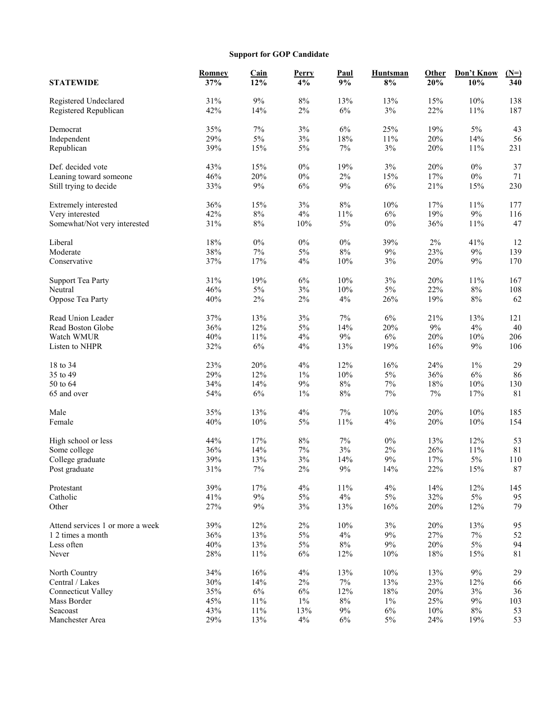## **Support for GOP Candidate**

|                                  | Romney | <b>Cain</b> | Perry | <b>Paul</b> | Huntsman | Other  | Don't Know | $(N=)$      |
|----------------------------------|--------|-------------|-------|-------------|----------|--------|------------|-------------|
| <b>STATEWIDE</b>                 | 37%    | 12%         | 4%    | 9%          | 8%       | 20%    | 10%        | 340         |
|                                  | 31%    | 9%          | $8\%$ | 13%         | 13%      | 15%    | $10\%$     | 138         |
| Registered Undeclared            | 42%    | 14%         | $2\%$ | $6\%$       | $3\%$    | 22%    | 11%        | 187         |
| Registered Republican            |        |             |       |             |          |        |            |             |
| Democrat                         | 35%    | $7\%$       | $3\%$ | $6\%$       | 25%      | 19%    | $5\%$      | 43          |
| Independent                      | 29%    | $5\%$       | $3\%$ | $18\%$      | 11%      | 20%    | 14%        | 56          |
| Republican                       | 39%    | 15%         | $5\%$ | 7%          | 3%       | 20%    | 11%        | 231         |
|                                  |        |             |       |             |          |        |            |             |
| Def. decided vote                | 43%    | 15%         | $0\%$ | 19%         | 3%       | 20%    | $0\%$      | 37          |
| Leaning toward someone           | 46%    | 20%         | $0\%$ | 2%          | 15%      | 17%    | $0\%$      | 71          |
| Still trying to decide           | 33%    | 9%          | $6\%$ | 9%          | $6\%$    | 21%    | 15%        | 230         |
| Extremely interested             | 36%    | 15%         | $3\%$ | $8\%$       | 10%      | 17%    | 11%        | 177         |
| Very interested                  | 42%    | $8\%$       | $4\%$ | $11\%$      | $6\%$    | 19%    | $9\%$      | 116         |
| Somewhat/Not very interested     | 31%    | $8\%$       | 10%   | $5\%$       | $0\%$    | 36%    | 11%        | 47          |
|                                  |        |             |       |             |          |        |            |             |
| Liberal                          | 18%    | $0\%$       | $0\%$ | $0\%$       | 39%      | $2\%$  | 41%        | 12          |
| Moderate                         | 38%    | 7%          | 5%    | 8%          | $9\%$    | 23%    | $9\%$      | 139         |
| Conservative                     | 37%    | 17%         | 4%    | 10%         | 3%       | 20%    | $9\%$      | 170         |
|                                  |        |             |       |             |          |        |            |             |
| <b>Support Tea Party</b>         | 31%    | 19%         | $6\%$ | 10%         | 3%       | 20%    | 11%        | 167         |
| Neutral                          | 46%    | $5\%$       | $3\%$ | 10%         | 5%       | 22%    | $8\%$      | 108         |
| Oppose Tea Party                 | 40%    | $2\%$       | $2\%$ | 4%          | 26%      | 19%    | $8\%$      | 62          |
|                                  |        |             |       |             |          |        |            |             |
| Read Union Leader                | 37%    | 13%         | $3\%$ | 7%          | $6\%$    | 21%    | 13%        | 121         |
| Read Boston Globe                | 36%    | 12%         | $5\%$ | 14%         | 20%      | $9\%$  | $4\%$      | 40          |
| Watch WMUR                       | 40%    | $11\%$      | 4%    | $9\%$       | 6%       | 20%    | $10\%$     | 206         |
| Listen to NHPR                   | 32%    | $6\%$       | 4%    | 13%         | 19%      | 16%    | $9\%$      | 106         |
| 18 to 34                         | 23%    | 20%         | 4%    | 12%         | 16%      | 24%    | $1\%$      | 29          |
| 35 to 49                         | 29%    | 12%         | $1\%$ | 10%         | 5%       | 36%    | $6\%$      | 86          |
| 50 to 64                         | 34%    | 14%         | $9\%$ | $8\%$       | $7\%$    | $18\%$ | $10\%$     | 130         |
| 65 and over                      | 54%    | 6%          | $1\%$ | $8\%$       | $7\%$    | $7\%$  | 17%        | 81          |
|                                  |        |             |       |             |          |        |            |             |
| Male                             | 35%    | 13%         | 4%    | 7%          | 10%      | 20%    | $10\%$     | 185         |
| Female                           | 40%    | $10\%$      | $5\%$ | $11\%$      | 4%       | 20%    | $10\%$     | 154         |
|                                  |        |             |       |             |          |        |            |             |
| High school or less              | 44%    | 17%         | $8\%$ | 7%          | $0\%$    | 13%    | 12%        | 53          |
| Some college                     | 36%    | 14%         | $7\%$ | 3%          | $2\%$    | 26%    | 11%        | 81          |
| College graduate                 | 39%    | 13%         | 3%    | 14%         | $9\%$    | 17%    | $5\%$      | 110         |
| Post graduate                    | 31%    | $7\%$       | $2\%$ | 9%          | 14%      | 22%    | 15%        | 87          |
| Protestant                       | 39%    | 17%         | $4\%$ | $11\%$      | $4\%$    | 14%    | 12%        | 145         |
| Catholic                         | 41%    | $9\%$       | $5\%$ | 4%          | $5\%$    | 32%    | $5\%$      | 95          |
| Other                            | 27%    | $9\%$       | $3\%$ | 13%         | 16%      | 20%    | 12%        | 79          |
|                                  |        |             |       |             |          |        |            |             |
| Attend services 1 or more a week | 39%    | 12%         | $2\%$ | $10\%$      | $3\%$    | 20%    | 13%        | 95          |
| 1 2 times a month                | 36%    | 13%         | $5\%$ | $4\%$       | $9\%$    | 27%    | $7\%$      | 52          |
| Less often                       | 40%    | 13%         | $5\%$ | $8\%$       | 9%       | 20%    | $5\%$      | 94          |
| Never                            | 28%    | $11\%$      | $6\%$ | 12%         | 10%      | $18\%$ | 15%        | $8\sqrt{1}$ |
|                                  | 34%    | 16%         | $4\%$ | 13%         | 10%      |        | $9\%$      | 29          |
| North Country                    |        |             |       |             | 13%      | 13%    |            |             |
| Central / Lakes                  | 30%    | 14%         | 2%    | 7%          |          | 23%    | 12%        | 66          |
| <b>Connecticut Valley</b>        | 35%    | $6\%$       | $6\%$ | 12%         | $18\%$   | $20\%$ | $3\%$      | 36          |
| Mass Border                      | 45%    | 11%         | $1\%$ | $8\%$       | $1\%$    | 25%    | 9%         | 103         |
| Seacoast                         | 43%    | $11\%$      | 13%   | 9%          | 6%       | 10%    | $8\%$      | 53          |
| Manchester Area                  | 29%    | 13%         | $4\%$ | 6%          | $5\%$    | 24%    | 19%        | 53          |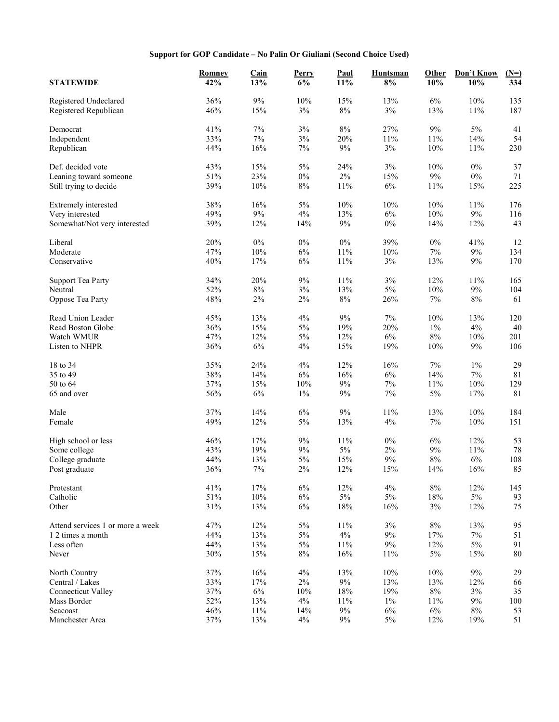## **Support for GOP Candidate – No Palin Or Giuliani (Second Choice Used)**

| <b>STATEWIDE</b>                 | <b>Romney</b><br>42% | <b>Cain</b><br>13% | Perry<br>6%  | Paul<br>11%    | <b>Huntsman</b><br>8% | Other<br>10% | Don't Know<br>10% | $(N=)$<br>$\frac{1}{334}$ |
|----------------------------------|----------------------|--------------------|--------------|----------------|-----------------------|--------------|-------------------|---------------------------|
| Registered Undeclared            | 36%                  | $9\%$              | 10%          | 15%            | 13%                   | $6\%$        | 10%               | 135                       |
| Registered Republican            | 46%                  | 15%                | $3\%$        | $8\%$          | 3%                    | 13%          | 11%               | 187                       |
| Democrat                         | 41%                  | $7\%$              | $3\%$        | $8\%$          | 27%                   | 9%           | $5\%$             | 41                        |
| Independent                      | 33%                  | 7%                 | $3\%$        | 20%            | 11%                   | $11\%$       | 14%               | 54                        |
| Republican                       | 44%                  | 16%                | $7\%$        | $9\%$          | $3\%$                 | 10%          | 11%               | 230                       |
| Def. decided vote                | 43%                  | 15%                | $5\%$        | 24%            | 3%                    | $10\%$       | $0\%$             | 37                        |
| Leaning toward someone           | 51%                  | 23%                | $0\%$        | $2\%$          | 15%                   | $9\%$        | $0\%$             | 71                        |
| Still trying to decide           | 39%                  | 10%                | $8\%$        | $11\%$         | $6\%$                 | 11%          | 15%               | 225                       |
| Extremely interested             | 38%                  | 16%                | $5\%$        | $10\%$         | 10%                   | $10\%$       | 11%               | 176                       |
| Very interested                  | 49%                  | $9\%$              | 4%           | 13%            | 6%                    | $10\%$       | $9\%$             | 116                       |
| Somewhat/Not very interested     | 39%                  | 12%                | 14%          | $9\%$          | $0\%$                 | 14%          | 12%               | 43                        |
| Liberal                          | 20%                  | $0\%$              | $0\%$        | $0\%$          | 39%                   | $0\%$        | 41%               | 12                        |
| Moderate                         | 47%                  | $10\%$             | $6\%$        | 11%            | 10%                   | 7%           | $9\%$             | 134                       |
| Conservative                     | 40%                  | 17%                | 6%           | $11\%$         | 3%                    | 13%          | $9\%$             | 170                       |
| <b>Support Tea Party</b>         | 34%                  | 20%                | $9\%$        | $11\%$         | 3%                    | 12%          | 11%               | 165                       |
| Neutral                          | 52%                  | $8\%$              | $3\%$        | 13%            | $5\%$                 | $10\%$       | $9\%$             | 104                       |
| Oppose Tea Party                 | 48%                  | 2%                 | $2\%$        | $8\%$          | 26%                   | 7%           | 8%                | 61                        |
| Read Union Leader                | 45%                  | 13%                | 4%           | 9%             | 7%                    | $10\%$       | 13%               | 120                       |
| Read Boston Globe                | 36%                  | 15%                | $5\%$        | 19%            | 20%                   | $1\%$        | $4\%$             | 40                        |
| Watch WMUR                       | 47%                  | 12%                | $5\%$        | 12%            | 6%                    | $8\%$        | $10\%$            | 201                       |
| Listen to NHPR                   | 36%                  | $6\%$              | 4%           | 15%            | 19%                   | $10\%$       | $9\%$             | 106                       |
| 18 to 34                         | 35%                  | 24%                | 4%           | 12%            | 16%                   | 7%           | $1\%$             | 29                        |
| 35 to 49                         | 38%                  | 14%                | $6\%$        | 16%            | $6\%$                 | 14%          | $7\%$             | 81                        |
| 50 to 64                         | 37%                  | 15%                | $10\%$       | 9%             | $7\%$                 | $11\%$       | 10%               | 129                       |
| 65 and over                      | 56%                  | $6\%$              | $1\%$        | $9\%$          | $7\%$                 | $5\%$        | 17%               | 81                        |
| Male                             | 37%                  | 14%                | 6%           | 9%             | 11%                   | 13%          | 10%               | 184                       |
| Female                           | 49%                  | 12%                | $5\%$        | 13%            | $4\%$                 | $7\%$        | 10%               | 151                       |
| High school or less              | 46%                  | 17%                | $9\%$        | $11\%$         | $0\%$                 | $6\%$        | 12%               | 53                        |
| Some college                     | 43%                  | 19%                | $9\%$        | $5\%$          | 2%                    | 9%           | 11%               | 78                        |
| College graduate                 | 44%                  | 13%                | $5\%$        | 15%            | $9\%$                 | $8\%$        | $6\%$             | 108                       |
| Post graduate                    | 36%                  | $7\%$              | $2\%$        | 12%            | 15%                   | 14%          | 16%               | 85                        |
| Protestant                       | 41%                  | 17%                | $6\%$        | 12%            | $4\%$                 | $8\%$        | 12%               | 145                       |
| Catholic                         | $51\%$               | $10\%$             | $6\%$        | $5\%$          | $5\%$                 | $18\%$       | $5\%$             | 93                        |
| Other                            | 31%                  | 13%                | 6%           | 18%            | 16%                   | 3%           | 12%               | 75                        |
| Attend services 1 or more a week | 47%                  | 12%                | $5\%$        | $11\%$         | $3\%$                 | $8\%$        | 13%               | 95                        |
| 1 2 times a month                | 44%                  | 13%                | $5\%$        | 4%             | 9%                    | $17\%$       | $7\%$             | 51                        |
| Less often                       | 44%                  | 13%                | $5\%$        | $11\%$         | $9\%$                 | 12%          | $5\%$             | 91                        |
| Never                            | 30%                  | 15%                | 8%           | 16%            | 11%                   | $5\%$        | 15%               | $80\,$                    |
| North Country                    | 37%                  | 16%                | 4%           | 13%            | 10%                   | 10%          | $9\%$             | 29                        |
| Central / Lakes                  | 33%                  | 17%                | $2\%$        | $9\%$          | 13%                   | 13%          | 12%               | 66                        |
| <b>Connecticut Valley</b>        | 37%                  | $6\%$              | 10%          | $18\%$         | 19%                   | $8\%$        | $3\%$             | 35                        |
| Mass Border                      | 52%                  | 13%                | $4\%$        | 11%            | $1\%$                 | 11%          | $9\%$             | $100\,$                   |
| Seacoast<br>Manchester Area      | 46%<br>37%           | 11%<br>13%         | 14%<br>$4\%$ | $9\%$<br>$9\%$ | 6%<br>$5\%$           | $6\%$<br>12% | $8\%$<br>19%      | 53<br>51                  |
|                                  |                      |                    |              |                |                       |              |                   |                           |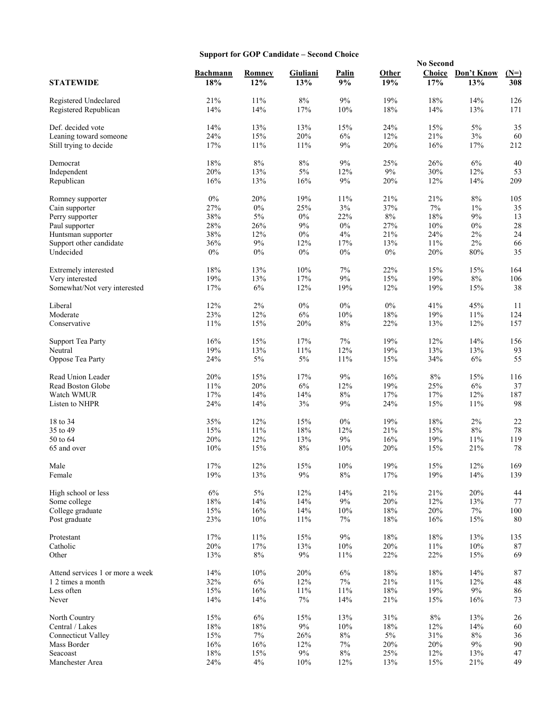## **Support for GOP Candidate – Second Choice**

|                                  |                        |               |                 |             |              | <b>No Second</b> |                   |               |
|----------------------------------|------------------------|---------------|-----------------|-------------|--------------|------------------|-------------------|---------------|
| <b>STATEWIDE</b>                 | <b>Bachmann</b><br>18% | Romney<br>12% | Giuliani<br>13% | Palin<br>9% | Other<br>19% | Choice<br>17%    | Don't Know<br>13% | $(N=)$<br>308 |
| Registered Undeclared            | 21%                    | 11%           | 8%              | $9\%$       | 19%          | 18%              | 14%               | 126           |
| Registered Republican            | 14%                    | 14%           | 17%             | 10%         | 18%          | 14%              | 13%               | 171           |
| Def. decided vote                | 14%                    | 13%           | 13%             | 15%         | 24%          | 15%              | 5%                | 35            |
| Leaning toward someone           | 24%                    | 15%           | 20%             | 6%          | 12%          | 21%              | $3\%$             | 60            |
| Still trying to decide           | 17%                    | 11%           | 11%             | 9%          | 20%          | 16%              | 17%               | 212           |
|                                  |                        |               |                 |             |              |                  |                   |               |
| Democrat                         | 18%                    | $8\%$         | 8%              | 9%          | 25%          | 26%              | $6\%$             | 40            |
| Independent<br>Republican        | 20%<br>16%             | 13%<br>13%    | 5%<br>16%       | 12%<br>9%   | $9\%$<br>20% | 30%<br>12%       | 12%<br>14%        | 53<br>209     |
|                                  |                        |               |                 |             |              |                  |                   |               |
| Romney supporter                 | $0\%$                  | 20%           | 19%             | 11%         | 21%          | 21%              | $8\%$             | 105           |
| Cain supporter                   | 27%                    | $0\%$         | 25%             | 3%          | 37%          | $7\%$            | $1\%$             | 35            |
| Perry supporter                  | 38%                    | $5\%$         | $0\%$           | 22%         | $8\%$        | 18%              | 9%                | 13            |
| Paul supporter                   | 28%                    | 26%           | 9%              | $0\%$       | 27%          | 10%              | $0\%$             | $28\,$        |
| Huntsman supporter               | 38%                    | 12%           | $0\%$           | 4%          | 21%          | 24%              | $2\%$             | 24            |
| Support other candidate          | 36%                    | 9%            | 12%             | 17%         | 13%          | 11%              | $2\%$             | 66            |
| Undecided                        | $0\%$                  | $0\%$         | $0\%$           | $0\%$       | $0\%$        | 20%              | $80\%$            | 35            |
| Extremely interested             | 18%                    | 13%           | 10%             | 7%          | 22%          | 15%              | 15%               | 164           |
| Very interested                  | 19%                    | 13%           | 17%             | $9\%$       | 15%          | 19%              | $8\%$             | 106           |
| Somewhat/Not very interested     | 17%                    | 6%            | 12%             | 19%         | 12%          | 19%              | 15%               | 38            |
| Liberal                          | 12%                    | $2\%$         | $0\%$           | $0\%$       | $0\%$        | 41%              | 45%               | 11            |
| Moderate                         | 23%                    | 12%           | $6\%$           | 10%         | 18%          | 19%              | 11%               | 124           |
| Conservative                     | 11%                    | 15%           | 20%             | $8\%$       | 22%          | 13%              | 12%               | 157           |
|                                  |                        |               |                 |             |              |                  |                   |               |
| <b>Support Tea Party</b>         | 16%                    | 15%           | 17%             | 7%          | 19%          | 12%              | 14%               | 156           |
| Neutral                          | 19%                    | 13%           | 11%             | 12%         | 19%          | 13%              | 13%               | 93            |
| Oppose Tea Party                 | 24%                    | 5%            | 5%              | 11%         | 15%          | 34%              | 6%                | 55            |
| Read Union Leader                | 20%                    | 15%           | 17%             | 9%          | 16%          | $8\%$            | 15%               | 116           |
| Read Boston Globe                | 11%                    | 20%           | $6\%$           | 12%         | 19%          | 25%              | $6\%$             | 37            |
| Watch WMUR                       | 17%                    | 14%           | 14%             | $8\%$       | 17%          | 17%              | 12%               | 187           |
| Listen to NHPR                   | 24%                    | 14%           | $3\%$           | 9%          | 24%          | 15%              | 11%               | 98            |
| 18 to 34                         | 35%                    | 12%           | 15%             | $0\%$       | 19%          | $18\%$           | $2\%$             | 22            |
| 35 to 49                         | 15%                    | 11%           | 18%             | 12%         | 21%          | 15%              | $8\%$             | 78            |
| 50 to 64                         | 20%                    | 12%           | 13%             | 9%          | 16%          | 19%              | 11%               | 119           |
| 65 and over                      | 10%                    | 15%           | 8%              | 10%         | 20%          | 15%              | 21%               | 78            |
|                                  |                        |               |                 |             |              |                  |                   |               |
| Male                             | 17%                    | 12%           | 15%             | $10\%$      | 19%          | $15\%$           | $12\%$            | 169           |
| Female                           | 19%                    | 13%           | 9%              | $8\%$       | 17%          | 19%              | 14%               | 139           |
| High school or less              | $6\%$                  | $5\%$         | 12%             | 14%         | 21%          | $21\%$           | 20%               | 44            |
| Some college                     | $18\%$                 | 14%           | 14%             | 9%          | 20%          | 12%              | 13%               | $77\,$        |
| College graduate                 | 15%                    | 16%           | 14%             | 10%         | 18%          | 20%              | 7%                | $100\,$       |
| Post graduate                    | 23%                    | 10%           | 11%             | 7%          | 18%          | 16%              | 15%               | $80\,$        |
| Protestant                       | 17%                    | 11%           | 15%             | $9\%$       | 18%          | $18\%$           | 13%               | 135           |
| Catholic                         | 20%                    | 17%           | 13%             | 10%         | 20%          | $11\%$           | $10\%$            | $87\,$        |
| Other                            | 13%                    | $8\%$         | $9\%$           | 11%         | 22%          | 22%              | 15%               | 69            |
|                                  |                        |               |                 |             |              |                  |                   |               |
| Attend services 1 or more a week | 14%                    | 10%           | 20%             | $6\%$       | 18%          | $18\%$           | 14%               | 87            |
| 1 2 times a month                | 32%                    | $6\%$         | 12%             | 7%          | 21%          | 11%              | 12%               | $\sqrt{48}$   |
| Less often                       | 15%                    | 16%           | 11%             | 11%         | 18%          | 19%              | $9\%$             | 86            |
| Never                            | 14%                    | 14%           | 7%              | 14%         | 21%          | 15%              | 16%               | 73            |
| North Country                    | 15%                    | 6%            | 15%             | 13%         | 31%          | $8\%$            | 13%               | 26            |
| Central / Lakes                  | $18\%$                 | $18\%$        | $9\%$           | 10%         | 18%          | 12%              | 14%               | 60            |
| <b>Connecticut Valley</b>        | 15%                    | $7\%$         | 26%             | $8\%$       | $5\%$        | $31\%$           | $8\%$             | 36            |
| Mass Border                      | 16%                    | 16%           | 12%             | 7%          | 20%          | 20%              | 9%                | 90            |
| Seacoast                         | 18%                    | 15%           | $9\%$           | $8\%$       | 25%          | 12%              | 13%               | 47            |
| Manchester Area                  | 24%                    | 4%            | 10%             | 12%         | 13%          | 15%              | $21\%$            | 49            |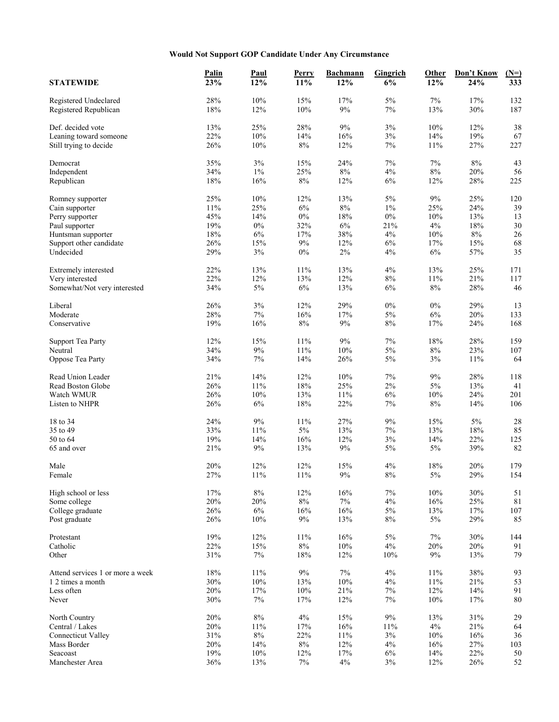## **Would Not Support GOP Candidate Under Any Circumstance**

| <b>STATEWIDE</b>                 | Palin<br>23% | <b>Paul</b><br>12% | Perry<br>11% | <b>Bachmann</b><br>12% | <b>Gingrich</b><br>6% | Other<br>12% | Don't Know<br>24% | $(N=)$<br>333 |
|----------------------------------|--------------|--------------------|--------------|------------------------|-----------------------|--------------|-------------------|---------------|
|                                  |              |                    |              |                        |                       |              |                   |               |
| Registered Undeclared            | 28%          | 10%                | 15%          | 17%                    | $5\%$                 | 7%           | 17%               | 132           |
| Registered Republican            | 18%          | 12%                | 10%          | $9\%$                  | $7\%$                 | 13%          | 30%               | 187           |
| Def. decided vote                | 13%          | 25%                | 28%          | $9\%$                  | $3\%$                 | 10%          | 12%               | 38            |
| Leaning toward someone           | 22%          | 10%                | 14%          | 16%                    | 3%                    | 14%          | 19%               | 67            |
| Still trying to decide           | 26%          | 10%                | 8%           | 12%                    | 7%                    | 11%          | 27%               | 227           |
| Democrat                         | 35%          | 3%                 | 15%          | 24%                    | $7\%$                 | 7%           | $8\%$             | 43            |
| Independent                      | 34%          | $1\%$              | 25%          | $8\%$                  | 4%                    | $8\%$        | 20%               | 56            |
| Republican                       | 18%          | 16%                | 8%           | 12%                    | 6%                    | 12%          | 28%               | 225           |
|                                  |              |                    |              |                        |                       |              |                   |               |
| Romney supporter                 | 25%          | 10%                | 12%          | 13%                    | 5%                    | 9%           | 25%               | 120           |
| Cain supporter                   | 11%          | 25%                | $6\%$        | $8\%$                  | $1\%$                 | 25%          | 24%               | 39            |
| Perry supporter                  | 45%          | 14%                | $0\%$        | 18%                    | $0\%$                 | 10%          | 13%               | 13            |
| Paul supporter                   | 19%          | $0\%$              | 32%          | 6%                     | 21%                   | 4%           | 18%               | 30            |
| Huntsman supporter               | 18%          | 6%                 | 17%          | 38%                    | 4%                    | 10%          | $8\%$             | 26            |
| Support other candidate          | 26%          | 15%                | 9%           | 12%                    | 6%                    | 17%          | 15%               | 68            |
| Undecided                        | 29%          | 3%                 | $0\%$        | $2\%$                  | 4%                    | 6%           | 57%               | 35            |
| Extremely interested             | 22%          | 13%                | 11%          | 13%                    | $4\%$                 | 13%          | 25%               | 171           |
| Very interested                  | 22%          | 12%                | 13%          | 12%                    | $8\%$                 | 11%          | 21%               | 117           |
|                                  |              |                    |              |                        |                       |              |                   |               |
| Somewhat/Not very interested     | 34%          | 5%                 | 6%           | 13%                    | 6%                    | $8\%$        | 28%               | 46            |
| Liberal                          | 26%          | $3\%$              | 12%          | 29%                    | $0\%$                 | $0\%$        | 29%               | 13            |
| Moderate                         | 28%          | $7\%$              | 16%          | 17%                    | $5\%$                 | $6\%$        | 20%               | 133           |
| Conservative                     | 19%          | 16%                | 8%           | 9%                     | $8\%$                 | 17%          | 24%               | 168           |
| <b>Support Tea Party</b>         | 12%          | 15%                | 11%          | $9\%$                  | $7\%$                 | $18\%$       | 28%               | 159           |
| Neutral                          | 34%          | $9\%$              | 11%          | 10%                    | $5\%$                 | $8\%$        | 23%               | 107           |
| Oppose Tea Party                 | 34%          | $7\%$              | 14%          | 26%                    | 5%                    | 3%           | 11%               | 64            |
|                                  |              |                    |              |                        |                       |              |                   |               |
| Read Union Leader                | 21%          | 14%                | 12%          | 10%                    | $7\%$                 | $9\%$        | 28%               | 118           |
| Read Boston Globe                | 26%          | $11\%$             | $18\%$       | 25%                    | $2\%$                 | $5\%$        | 13%               | 41            |
| Watch WMUR                       | 26%          | 10%                | 13%          | 11%                    | $6\%$                 | 10%          | 24%               | 201           |
| Listen to NHPR                   | 26%          | $6\%$              | 18%          | 22%                    | $7\%$                 | $8\%$        | 14%               | 106           |
| 18 to 34                         | 24%          | 9%                 | 11%          | 27%                    | 9%                    | 15%          | 5%                | 28            |
| 35 to 49                         | 33%          | 11%                | 5%           | 13%                    | $7\%$                 | 13%          | 18%               | 85            |
| 50 to 64                         | 19%          | 14%                | 16%          | 12%                    | 3%                    | 14%          | 22%               | 125           |
| 65 and over                      | 21%          | 9%                 | 13%          | 9%                     | 5%                    | 5%           | 39%               | 82            |
|                                  |              |                    |              |                        |                       |              |                   |               |
| Male                             | 20%          | 12%                | 12%          | 15%                    | 4%                    | 18%          | 20%               | 179           |
| Female                           | 27%          | 11%                | 11%          | 9%                     | 8%                    | 5%           | 29%               | 154           |
| High school or less              | 17%          | $8\%$              | 12%          | 16%                    | $7\%$                 | 10%          | 30%               | 51            |
| Some college                     | 20%          | 20%                | $8\%$        | 7%                     | 4%                    | 16%          | 25%               | 81            |
| College graduate                 | 26%          | $6\%$              | 16%          | 16%                    | $5\%$                 | 13%          | 17%               | 107           |
| Post graduate                    | 26%          | 10%                | 9%           | 13%                    | $8\%$                 | 5%           | 29%               | 85            |
| Protestant                       | 19%          | 12%                | 11%          | 16%                    | $5\%$                 | 7%           | 30%               | 144           |
| Catholic                         | 22%          | 15%                | $8\%$        | $10\%$                 | $4\%$                 | 20%          | 20%               | 91            |
| Other                            | 31%          | 7%                 | 18%          | 12%                    | 10%                   | 9%           | 13%               | 79            |
|                                  |              |                    |              |                        |                       |              |                   |               |
| Attend services 1 or more a week | 18%          | 11%                | $9\%$        | 7%                     | 4%                    | 11%          | 38%               | 93            |
| 1 2 times a month                | 30%          | $10\%$             | 13%          | $10\%$                 | $4\%$                 | 11%          | 21%               | 53            |
| Less often                       | 20%          | 17%                | 10%          | 21%                    | $7\%$                 | 12%          | 14%               | 91            |
| Never                            | 30%          | 7%                 | 17%          | 12%                    | $7\%$                 | 10%          | 17%               | $80\,$        |
| North Country                    | 20%          | $8\%$              | $4\%$        | 15%                    | $9\%$                 | 13%          | 31%               | 29            |
| Central / Lakes                  | 20%          | 11%                | 17%          | 16%                    | 11%                   | 4%           | 21%               | 64            |
| <b>Connecticut Valley</b>        | 31%          | $8\%$              | 22%          | 11%                    | $3\%$                 | 10%          | 16%               | 36            |
| Mass Border                      | 20%          | 14%                | 8%           | 12%                    | 4%                    | 16%          | 27%               | 103           |
| Seacoast                         | 19%          | $10\%$             | 12%          | 17%                    | $6\%$                 | 14%          | 22%               | 50            |
| Manchester Area                  | 36%          | 13%                | $7\%$        | 4%                     | $3\%$                 | 12%          | 26%               | 52            |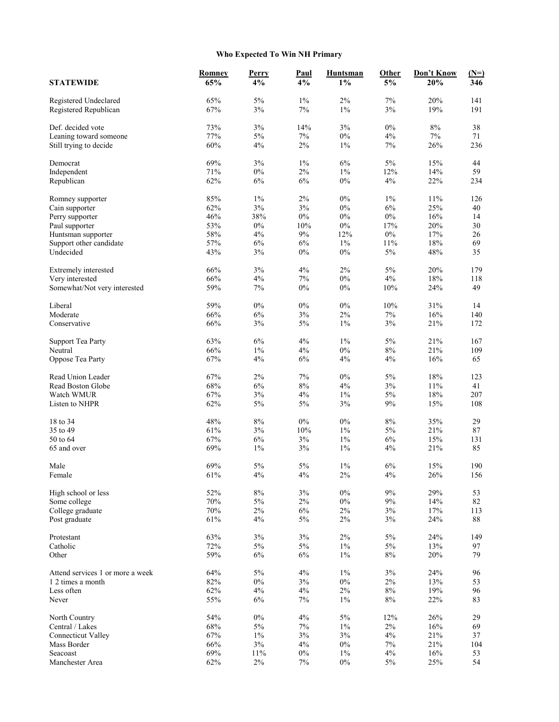## **Who Expected To Win NH Primary**

|                                              | Romney     | Perry          | <b>Paul</b> | <b>Huntsman</b> | Other       | Don't Know | $(N=)$   |
|----------------------------------------------|------------|----------------|-------------|-----------------|-------------|------------|----------|
| <b>STATEWIDE</b>                             | 65%        | 4%             | 4%          | $1\%$           | $5\%$       | 20%        | 346      |
| Registered Undeclared                        | 65%        | $5\%$          | $1\%$       | 2%              | 7%          | 20%        | 141      |
| Registered Republican                        | 67%        | $3\%$          | 7%          | $1\%$           | 3%          | 19%        | 191      |
| Def. decided vote                            | 73%        | $3\%$          | 14%         | 3%              | $0\%$       | $8\%$      | 38       |
| Leaning toward someone                       | 77%        | $5\%$          | 7%          | $0\%$           | 4%          | $7\%$      | 71       |
| Still trying to decide                       | 60%        | 4%             | $2\%$       | $1\%$           | $7\%$       | 26%        | 236      |
| Democrat                                     | 69%        | 3%             | $1\%$       | 6%              | 5%          | 15%        | 44       |
| Independent                                  | 71%        | $0\%$          | $2\%$       | $1\%$           | 12%         | 14%        | 59       |
| Republican                                   | 62%        | 6%             | 6%          | $0\%$           | 4%          | 22%        | 234      |
| Romney supporter                             | 85%        | $1\%$          | $2\%$       | $0\%$           | $1\%$       | 11%        | 126      |
| Cain supporter                               | 62%        | $3\%$          | 3%          | $0\%$           | $6\%$       | 25%        | 40       |
| Perry supporter                              | 46%        | 38%            | $0\%$       | $0\%$           | $0\%$       | 16%        | 14       |
| Paul supporter                               | 53%        | $0\%$          | 10%         | $0\%$           | 17%         | 20%        | 30       |
| Huntsman supporter                           | 58%        | 4%             | $9\%$       | 12%             | $0\%$       | 17%        | 26       |
| Support other candidate                      | 57%        | 6%             | 6%          | $1\%$           | 11%         | 18%        | 69       |
| Undecided                                    | 43%        | 3%             | $0\%$       | $0\%$           | $5\%$       | 48%        | 35       |
| Extremely interested                         | 66%        | 3%             | 4%          | $2\%$           | 5%          | 20%        | 179      |
| Very interested                              | 66%        | 4%             | 7%          | $0\%$           | $4\%$       | 18%        | 118      |
| Somewhat/Not very interested                 | 59%        | 7%             | $0\%$       | $0\%$           | 10%         | 24%        | 49       |
| Liberal                                      | 59%        | $0\%$          | $0\%$       | $0\%$           | 10%         | 31%        | 14       |
| Moderate                                     | 66%        | 6%             | 3%          | $2\%$           | $7\%$       | 16%        | 140      |
| Conservative                                 | 66%        | 3%             | 5%          | $1\%$           | 3%          | 21%        | 172      |
| <b>Support Tea Party</b>                     | 63%        | 6%             | 4%          | $1\%$           | 5%          | 21%        | 167      |
| Neutral                                      | 66%        | $1\%$          | 4%          | $0\%$           | $8\%$       | 21%        | 109      |
| Oppose Tea Party                             | 67%        | 4%             | 6%          | 4%              | 4%          | 16%        | 65       |
| Read Union Leader                            | 67%        | $2\%$          | 7%          | $0\%$           | 5%          | 18%        | 123      |
| Read Boston Globe                            | 68%        | 6%             | $8\%$       | 4%              | $3\%$       | $11\%$     | 41       |
| Watch WMUR                                   | 67%        | 3%             | 4%          | $1\%$           | 5%          | 18%        | 207      |
| Listen to NHPR                               | 62%        | $5\%$          | $5\%$       | 3%              | 9%          | 15%        | 108      |
| 18 to 34                                     | 48%        | $8\%$          | $0\%$       | $0\%$           | $8\%$       | 35%        | 29       |
| 35 to 49                                     | 61%        | 3%             | 10%         | $1\%$           | $5\%$       | 21%        | 87       |
| 50 to 64                                     | 67%        | $6\%$          | 3%          | $1\%$           | 6%          | 15%        | 131      |
| 65 and over                                  | 69%        | 1%             | 3%          | $1\%$           | 4%          | 21%        | 85       |
| Male                                         | 69%        | 5%             | 5%          | $1\%$           | 6%          | 15%        | 190      |
| Female                                       | 61%        | 4%             | 4%          | $2\%$           | 4%          | 26%        | 156      |
| High school or less                          | 52%        | $8\%$          | 3%          | $0\%$           | 9%          | 29%        | 53       |
| Some college                                 | $70\%$     | $5\%$          | 2%          | $0\%$           | 9%          | 14%        | 82       |
| College graduate                             | $70\%$     | $2\%$          | $6\%$       | $2\%$           | $3\%$       | 17%        | 113      |
| Post graduate                                | 61%        | 4%             | 5%          | 2%              | 3%          | 24%        | 88       |
| Protestant                                   | 63%        | $3\%$          | $3\%$       | $2\%$           | 5%          | 24%        | 149      |
| Catholic                                     | 72%        | $5\%$          | $5\%$       | $1\%$           | 5%          | 13%        | 97       |
| Other                                        | 59%        | 6%             | 6%          | $1\%$           | $8\%$       | 20%        | 79       |
| Attend services 1 or more a week             | 64%        | 5%             | $4\%$       | $1\%$           | 3%          | 24%        | 96       |
| 1 2 times a month                            | 82%        | $0\%$          | 3%          | $0\%$           | $2\%$       | 13%        | 53       |
| Less often                                   | 62%        | 4%             | 4%          | $2\%$           | $8\%$       | 19%        | 96       |
| Never                                        | 55%        | 6%             | 7%          | $1\%$           | $8\%$       | 22%        | 83       |
| North Country                                | 54%<br>68% | $0\%$<br>$5\%$ | $4\%$       | 5%              | 12%         | 26%        | 29       |
| Central / Lakes<br><b>Connecticut Valley</b> | 67%        | $1\%$          | $7\%$<br>3% | $1\%$<br>3%     | $2\%$<br>4% | 16%<br>21% | 69<br>37 |
| Mass Border                                  | 66%        | $3\%$          | 4%          | $0\%$           | $7\%$       | 21%        | 104      |
| Seacoast                                     | 69%        | $11\%$         | $0\%$       | $1\%$           | 4%          | 16%        | 53       |
| Manchester Area                              | 62%        | $2\%$          | $7\%$       | $0\%$           | $5\%$       | 25%        | 54       |
|                                              |            |                |             |                 |             |            |          |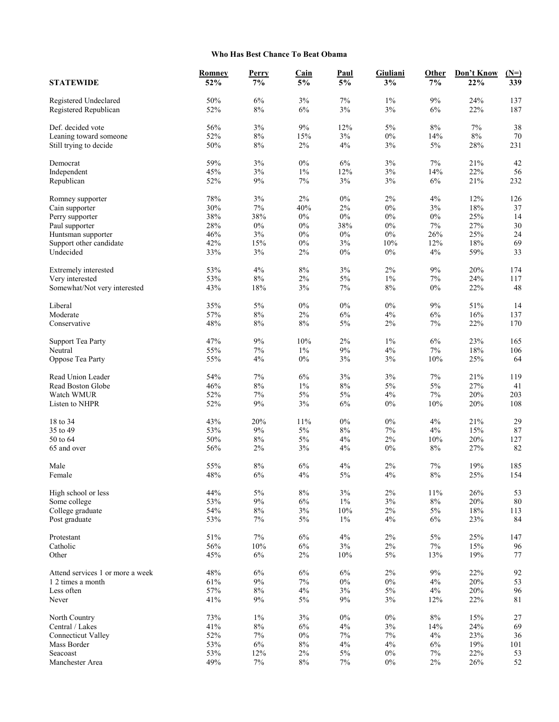## **Who Has Best Chance To Beat Obama**

| <b>STATEWIDE</b>                     | <b>Romney</b><br>52% | Perry<br>7% | <b>Cain</b><br>5% | <b>Paul</b><br>5% | Giuliani<br>3% | Other<br>$7\%$ | Don't Know<br>22% | $(N=)$<br>339 |
|--------------------------------------|----------------------|-------------|-------------------|-------------------|----------------|----------------|-------------------|---------------|
|                                      |                      |             |                   |                   |                |                |                   |               |
| Registered Undeclared                | 50%                  | 6%          | 3%                | $7\%$             | $1\%$          | $9\%$          | 24%               | 137           |
| Registered Republican                | 52%                  | $8\%$       | 6%                | $3\%$             | $3\%$          | 6%             | 22%               | 187           |
| Def. decided vote                    | 56%                  | $3\%$       | $9\%$             | 12%               | 5%             | $8\%$          | $7\%$             | 38            |
| Leaning toward someone               | 52%                  | $8\%$       | 15%               | 3%                | $0\%$          | 14%            | $8\%$             | 70            |
| Still trying to decide               | 50%                  | $8\%$       | $2\%$             | 4%                | 3%             | 5%             | 28%               | 231           |
| Democrat                             | 59%                  | $3\%$       | $0\%$             | $6\%$             | $3\%$          | 7%             | 21%               | 42            |
| Independent                          | 45%                  | 3%          | $1\%$             | 12%               | $3\%$          | 14%            | 22%               | 56            |
| Republican                           | 52%                  | 9%          | $7\%$             | 3%                | 3%             | 6%             | 21%               | 232           |
| Romney supporter                     | 78%                  | 3%          | $2\%$             | $0\%$             | $2\%$          | 4%             | 12%               | 126           |
| Cain supporter                       | 30%                  | $7\%$       | 40%               | 2%                | $0\%$          | 3%             | $18\%$            | 37            |
| Perry supporter                      | 38%                  | 38%         | $0\%$             | $0\%$             | $0\%$          | $0\%$          | 25%               | 14            |
|                                      | 28%                  | $0\%$       | $0\%$             | 38%               | $0\%$          | 7%             | 27%               | 30            |
| Paul supporter<br>Huntsman supporter | 46%                  | 3%          | $0\%$             | $0\%$             | $0\%$          | 26%            | 25%               | 24            |
| Support other candidate              | 42%                  | 15%         | $0\%$             | 3%                | 10%            | 12%            | 18%               | 69            |
| Undecided                            | 33%                  | 3%          | $2\%$             | $0\%$             | $0\%$          | 4%             | 59%               | 33            |
|                                      |                      |             |                   |                   |                |                |                   |               |
| Extremely interested                 | 53%                  | 4%          | $8\%$             | 3%                | $2\%$          | $9\%$          | 20%               | 174           |
| Very interested                      | 53%                  | $8\%$       | $2\%$             | 5%                | $1\%$          | $7\%$          | 24%               | 117           |
| Somewhat/Not very interested         | 43%                  | 18%         | 3%                | 7%                | 8%             | $0\%$          | 22%               | 48            |
| Liberal                              | 35%                  | 5%          | $0\%$             | $0\%$             | $0\%$          | $9\%$          | 51%               | 14            |
| Moderate                             | 57%                  | $8\%$       | $2\%$             | 6%                | 4%             | 6%             | 16%               | 137           |
| Conservative                         | 48%                  | $8\%$       | 8%                | 5%                | $2\%$          | 7%             | 22%               | 170           |
| <b>Support Tea Party</b>             | 47%                  | $9\%$       | 10%               | $2\%$             | $1\%$          | 6%             | 23%               | 165           |
| Neutral                              | 55%                  | $7\%$       | $1\%$             | 9%                | 4%             | $7\%$          | 18%               | 106           |
| Oppose Tea Party                     | 55%                  | 4%          | $0\%$             | 3%                | 3%             | 10%            | 25%               | 64            |
| Read Union Leader                    | 54%                  | $7\%$       | 6%                | 3%                | 3%             | 7%             | 21%               | 119           |
| Read Boston Globe                    | 46%                  | $8\%$       | $1\%$             | $8\%$             | $5\%$          | $5\%$          | 27%               | 41            |
| Watch WMUR                           | 52%                  | 7%          | 5%                | $5\%$             | 4%             | 7%             | 20%               | 203           |
| Listen to NHPR                       | 52%                  | 9%          | 3%                | 6%                | $0\%$          | 10%            | $20\%$            | 108           |
|                                      |                      |             |                   |                   |                |                |                   |               |
| 18 to 34                             | 43%                  | 20%         | 11%               | $0\%$             | $0\%$          | 4%             | 21%               | 29            |
| 35 to 49                             | 53%                  | $9\%$       | $5\%$             | $8\%$             | 7%             | 4%             | 15%               | 87            |
| 50 to 64                             | 50%                  | $8\%$       | $5\%$             | 4%                | $2\%$          | 10%            | 20%               | 127           |
| 65 and over                          | 56%                  | 2%          | 3%                | 4%                | $0\%$          | $8\%$          | 27%               | 82            |
| Male                                 | 55%                  | $8\%$       | 6%                | 4%                | 2%             | 7%             | 19%               | 185           |
| Female                               | 48%                  | 6%          | 4%                | $5\%$             | 4%             | $8\%$          | 25%               | 154           |
| High school or less                  | 44%                  | 5%          | $8\%$             | 3%                | $2\%$          | 11%            | 26%               | 53            |
| Some college                         | 53%                  | $9\%$       | $6\%$             | $1\%$             | $3\%$          | $8\%$          | 20%               | 80            |
| College graduate                     | 54%                  | $8\%$       | $3\%$             | $10\%$            | $2\%$          | $5\%$          | $18\%$            | 113           |
| Post graduate                        | 53%                  | 7%          | $5\%$             | $1\%$             | 4%             | 6%             | 23%               | 84            |
| Protestant                           | 51%                  | 7%          | 6%                | $4\%$             | $2\%$          | $5\%$          | 25%               | 147           |
| Catholic                             | 56%                  | $10\%$      | 6%                | $3\%$             | $2\%$          | $7\%$          | 15%               | 96            |
| Other                                | 45%                  | 6%          | $2\%$             | 10%               | 5%             | 13%            | 19%               | 77            |
|                                      |                      |             |                   |                   |                |                |                   |               |
| Attend services 1 or more a week     | 48%                  | 6%          | 6%                | $6\%$             | $2\%$          | 9%             | 22%               | 92            |
| 1 2 times a month<br>Less often      | 61%                  | $9\%$       | $7\%$             | $0\%$             | $0\%$          | 4%             | 20%<br>20%        | 53            |
| Never                                | 57%<br>41%           | $8\%$<br>9% | 4%<br>$5\%$       | 3%<br>$9\%$       | 5%<br>3%       | 4%<br>12%      | 22%               | 96<br>81      |
|                                      |                      |             |                   |                   |                |                |                   |               |
| North Country                        | 73%                  | $1\%$       | 3%                | $0\%$             | $0\%$          | $8\%$          | 15%               | 27            |
| Central / Lakes                      | 41%                  | $8\%$       | 6%                | 4%                | 3%             | 14%            | 24%               | 69            |
| <b>Connecticut Valley</b>            | 52%                  | 7%          | $0\%$             | 7%                | $7\%$          | 4%             | 23%               | 36            |
| Mass Border                          | 53%                  | $6\%$       | $8\%$             | 4%                | 4%             | 6%             | 19%               | 101           |
| Seacoast                             | 53%                  | 12%         | $2\%$             | $5\%$             | $0\%$          | 7%             | 22%               | 53            |
| Manchester Area                      | 49%                  | $7\%$       | $8\%$             | $7\%$             | $0\%$          | $2\%$          | $26\%$            | 52            |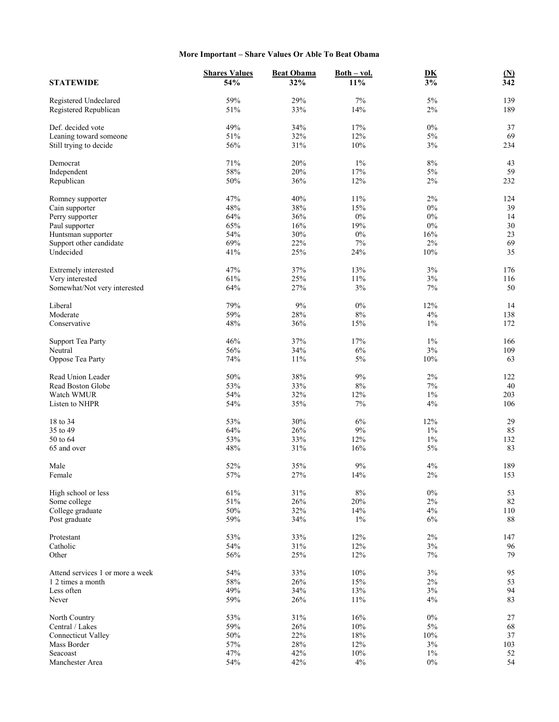## **More Important – Share Values Or Able To Beat Obama**

|                                      | <b>Shares Values</b> | <b>Beat Obama</b> | $Both - vol.$ | $\overline{\text{DK}}$ | $\underline{\textbf{(N)}}$ |
|--------------------------------------|----------------------|-------------------|---------------|------------------------|----------------------------|
| <b>STATEWIDE</b>                     | 54%                  | 32%               | $11\%$        | $\overline{3\%}$       | $\overline{342}$           |
| Registered Undeclared                | 59%                  | 29%               | $7\%$         | $5\%$                  | 139                        |
| Registered Republican                | 51%                  | 33%               | 14%           | $2\%$                  | 189                        |
| Def. decided vote                    | 49%                  | 34%               | 17%           | $0\%$                  | 37                         |
| Leaning toward someone               | 51%                  | 32%               | 12%           | $5\%$                  | 69                         |
| Still trying to decide               | 56%                  | 31%               | 10%           | 3%                     | 234                        |
| Democrat                             | 71%                  | 20%               | $1\%$         | $8\%$                  | 43                         |
| Independent                          | 58%                  | 20%               | 17%           | $5\%$                  | 59                         |
| Republican                           | 50%                  | 36%               | 12%           | $2\%$                  | 232                        |
| Romney supporter                     | 47%                  | 40%               | 11%           | $2\%$                  | 124                        |
| Cain supporter                       | 48%                  | 38%               | 15%           | $0\%$                  | 39                         |
| Perry supporter                      | 64%                  | 36%               | $0\%$         | $0\%$                  | 14                         |
|                                      | 65%                  | 16%               | 19%           | $0\%$                  | 30                         |
| Paul supporter<br>Huntsman supporter | 54%                  | 30%               | $0\%$         | 16%                    | 23                         |
| Support other candidate              | 69%                  | 22%               | $7\%$         | 2%                     | 69                         |
| Undecided                            | 41%                  | 25%               | 24%           | 10%                    | 35                         |
|                                      |                      |                   |               |                        |                            |
| Extremely interested                 | 47%                  | 37%               | 13%           | 3%                     | 176                        |
| Very interested                      | 61%                  | 25%               | 11%           | 3%                     | 116                        |
| Somewhat/Not very interested         | 64%                  | 27%               | 3%            | $7\%$                  | 50                         |
| Liberal                              | 79%                  | $9\%$             | $0\%$         | 12%                    | 14                         |
| Moderate                             | 59%                  | 28%               | $8\%$         | 4%                     | 138                        |
| Conservative                         | 48%                  | 36%               | 15%           | $1\%$                  | 172                        |
| <b>Support Tea Party</b>             | 46%                  | 37%               | 17%           | $1\%$                  | 166                        |
| Neutral                              | 56%                  | 34%               | 6%            | 3%                     | 109                        |
| Oppose Tea Party                     | 74%                  | 11%               | $5\%$         | 10%                    | 63                         |
| Read Union Leader                    | 50%                  | 38%               | $9\%$         | $2\%$                  | 122                        |
| Read Boston Globe                    | 53%                  | 33%               | $8\%$         | $7\%$                  | 40                         |
| Watch WMUR                           | 54%                  | 32%               | 12%           | $1\%$                  | 203                        |
| Listen to NHPR                       | 54%                  | 35%               | $7\%$         | 4%                     | 106                        |
| 18 to 34                             | 53%                  | 30%               | 6%            | 12%                    | 29                         |
| 35 to 49                             | 64%                  | 26%               | $9\%$         | $1\%$                  | 85                         |
| 50 to 64                             | 53%                  | 33%               | 12%           | $1\%$                  | 132                        |
| 65 and over                          | 48%                  | 31%               | 16%           | 5%                     | 83                         |
| Male                                 | 52%                  | 35%               | $9\%$         | 4%                     | 189                        |
| Female                               | 57%                  | 27%               | 14%           | $2\%$                  | 153                        |
| High school or less                  | 61%                  | 31%               | $8\%$         | $0\%$                  | 53                         |
| Some college                         | 51%                  | 26%               | 20%           | $2\%$                  | 82                         |
| College graduate                     | 50%                  | 32%               | 14%           | 4%                     | 110                        |
| Post graduate                        | 59%                  | 34%               | $1\%$         | $6\%$                  | 88                         |
|                                      |                      |                   |               |                        |                            |
| Protestant<br>Catholic               | 53%                  | 33%               | 12%           | $2\%$                  | 147                        |
| Other                                | 54%<br>56%           | 31%               | 12%           | 3%<br>7%               | 96<br>79                   |
|                                      |                      | 25%               | 12%           |                        |                            |
| Attend services 1 or more a week     | 54%                  | 33%               | 10%           | 3%                     | 95                         |
| 1 2 times a month                    | 58%                  | 26%               | 15%           | $2\%$                  | 53                         |
| Less often                           | 49%                  | 34%               | 13%           | 3%                     | 94                         |
| Never                                | 59%                  | 26%               | 11%           | 4%                     | 83                         |
| North Country                        | 53%                  | 31%               | 16%           | $0\%$                  | 27                         |
| Central / Lakes                      | 59%                  | 26%               | 10%           | $5\%$                  | 68                         |
| <b>Connecticut Valley</b>            | $50\%$               | 22%               | 18%           | $10\%$                 | 37                         |
| Mass Border                          | 57%                  | 28%               | 12%           | 3%                     | 103                        |
| Seacoast                             | 47%                  | 42%               | 10%           | $1\%$                  | 52                         |
| Manchester Area                      | 54%                  | 42%               | 4%            | $0\%$                  | 54                         |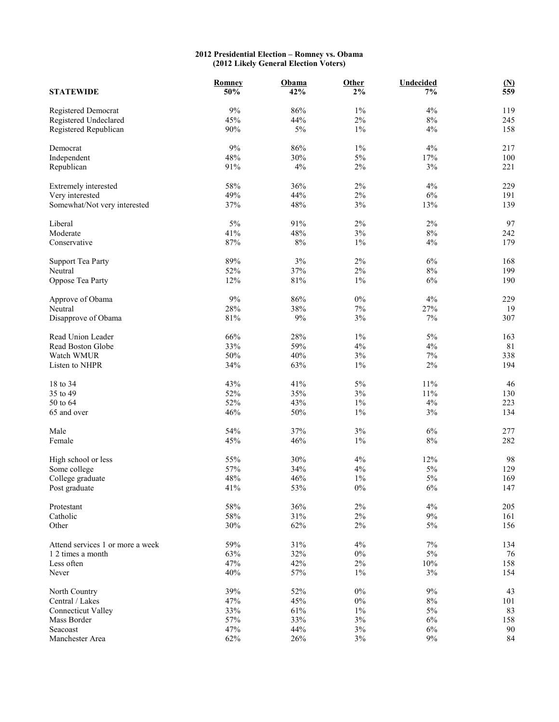## **2012 Presidential Election – Romney vs. Obama (2012 Likely General Election Voters)**

| <b>STATEWIDE</b>                 | Romney<br>50% | Obama<br>42% | Other<br>$2\%$ | <b>Undecided</b><br>7% | $\underline{\mathbf{M}}$<br>559 |
|----------------------------------|---------------|--------------|----------------|------------------------|---------------------------------|
| Registered Democrat              | 9%            | 86%          | $1\%$          | 4%                     | 119                             |
| Registered Undeclared            | 45%           | 44%          | $2\%$          | $8\%$                  | 245                             |
| Registered Republican            | 90%           | $5\%$        | $1\%$          | 4%                     | 158                             |
| Democrat                         | 9%            | 86%          | $1\%$          | 4%                     | 217                             |
| Independent                      | 48%           | 30%          | 5%             | $17\%$                 | 100                             |
| Republican                       | 91%           | 4%           | 2%             | 3%                     | 221                             |
| Extremely interested             | 58%           | 36%          | $2\%$          | 4%                     | 229                             |
| Very interested                  | 49%           | 44%          | $2\%$          | $6\%$                  | 191                             |
| Somewhat/Not very interested     | 37%           | 48%          | $3\%$          | 13%                    | 139                             |
| Liberal                          | 5%            | 91%          | 2%             | $2\%$                  | 97                              |
| Moderate                         | 41%           | 48%          | 3%             | $8\%$                  | 242                             |
| Conservative                     | 87%           | $8\%$        | $1\%$          | 4%                     | 179                             |
| <b>Support Tea Party</b>         | 89%           | $3\%$        | $2\%$          | $6\%$                  | 168                             |
| Neutral                          | 52%           | 37%          | $2\%$          | $8\%$                  | 199                             |
| Oppose Tea Party                 | 12%           | 81%          | $1\%$          | 6%                     | 190                             |
| Approve of Obama                 | $9\%$         | 86%          | $0\%$          | 4%                     | 229                             |
| Neutral                          | 28%           | 38%          | $7\%$          | 27%                    | 19                              |
| Disapprove of Obama              | $81\%$        | $9\%$        | 3%             | $7\%$                  | 307                             |
| Read Union Leader                | 66%           | 28%          | $1\%$          | 5%                     | 163                             |
| Read Boston Globe                | 33%           | 59%          | 4%             | 4%                     | 81                              |
| Watch WMUR                       | 50%           | 40%          | 3%             | $7\%$                  | 338                             |
| Listen to NHPR                   | 34%           | 63%          | $1\%$          | $2\%$                  | 194                             |
| 18 to 34                         | 43%           | 41%          | 5%             | 11%                    | 46                              |
| 35 to 49                         | 52%           | 35%          | 3%             | $11\%$                 | 130                             |
| 50 to 64                         | 52%           | 43%          | $1\%$          | $4\%$                  | 223                             |
| 65 and over                      | 46%           | 50%          | $1\%$          | 3%                     | 134                             |
| Male                             | 54%           | 37%          | 3%             | $6\%$                  | 277                             |
| Female                           | 45%           | 46%          | $1\%$          | $8\%$                  | 282                             |
| High school or less              | 55%           | 30%          | 4%             | 12%                    | 98                              |
| Some college                     | 57%           | 34%          | $4\%$          | $5\%$                  | 129                             |
| College graduate                 | 48%           | 46%          | $1\%$          | 5%                     | 169                             |
| Post graduate                    | 41%           | 53%          | $0\%$          | 6%                     | 147                             |
| Protestant                       | 58%           | 36%          | $2\%$          | $4\%$                  | 205                             |
| Catholic                         | 58%           | 31%          | $2\%$          | $9\%$                  | 161                             |
| Other                            | 30%           | 62%          | $2\%$          | 5%                     | 156                             |
| Attend services 1 or more a week | 59%           | 31%          | 4%             | 7%                     | 134                             |
| 1 2 times a month                | 63%           | 32%          | $0\%$          | $5\%$                  | 76                              |
| Less often                       | 47%           | 42%          | $2\%$          | $10\%$                 | 158                             |
| Never                            | 40%           | 57%          | $1\%$          | $3\%$                  | 154                             |
| North Country                    | 39%           | 52%          | $0\%$          | $9\%$                  | 43                              |
| Central / Lakes                  | 47%           | 45%          | $0\%$          | $8\%$                  | 101                             |
| <b>Connecticut Valley</b>        | 33%           | $61\%$       | $1\%$          | $5\%$                  | 83                              |
| Mass Border                      | 57%           | 33%          | $3\%$          | $6\%$                  | 158                             |
| Seacoast                         | 47%           | 44%          | $3\%$          | $6\%$                  | 90                              |
| Manchester Area                  | 62%           | $26\%$       | $3\%$          | $9\%$                  | 84                              |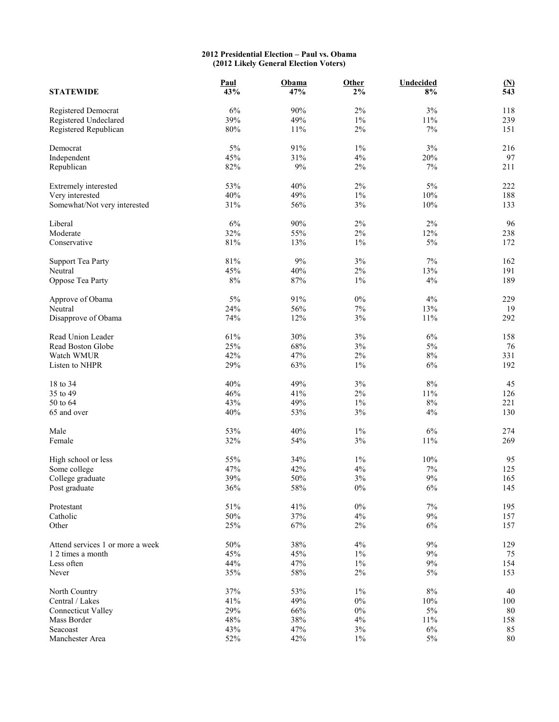## **2012 Presidential Election – Paul vs. Obama (2012 Likely General Election Voters)**

| <b>STATEWIDE</b>                 | Paul<br>43% | Obama<br>47% | Other<br>$2\%$ | Undecided<br>8% | $\frac{\text{(N)}}{543}$ |
|----------------------------------|-------------|--------------|----------------|-----------------|--------------------------|
| Registered Democrat              | $6\%$       | 90%          | 2%             | $3\%$           | 118                      |
| Registered Undeclared            | 39%         | 49%          | $1\%$          | $11\%$          | 239                      |
| Registered Republican            | $80\%$      | 11%          | $2\%$          | $7\%$           | 151                      |
| Democrat                         | 5%          | 91%          | $1\%$          | $3\%$           | 216                      |
| Independent                      | 45%         | 31%          | 4%             | 20%             | 97                       |
| Republican                       | 82%         | 9%           | 2%             | 7%              | 211                      |
| Extremely interested             | 53%         | 40%          | 2%             | $5\%$           | 222                      |
| Very interested                  | 40%         | 49%          | $1\%$          | 10%             | 188                      |
| Somewhat/Not very interested     | 31%         | 56%          | $3\%$          | $10\%$          | 133                      |
| Liberal                          | 6%          | 90%          | 2%             | $2\%$           | 96                       |
| Moderate                         | 32%         | 55%          | 2%             | 12%             | 238                      |
| Conservative                     | $81\%$      | 13%          | $1\%$          | 5%              | 172                      |
| <b>Support Tea Party</b>         | $81\%$      | 9%           | 3%             | $7\%$           | 162                      |
| Neutral                          | 45%         | 40%          | 2%             | 13%             | 191                      |
| Oppose Tea Party                 | $8\%$       | 87%          | $1\%$          | 4%              | 189                      |
| Approve of Obama                 | $5\%$       | 91%          | $0\%$          | 4%              | 229                      |
| Neutral                          | 24%         | 56%          | $7\%$          | 13%             | 19                       |
| Disapprove of Obama              | 74%         | 12%          | 3%             | $11\%$          | 292                      |
| Read Union Leader                | 61%         | 30%          | $3\%$          | $6\%$           | 158                      |
| Read Boston Globe                | 25%         | 68%          | 3%             | $5\%$           | 76                       |
| Watch WMUR                       | 42%         | 47%          | 2%             | $8\%$           | 331                      |
| Listen to NHPR                   | 29%         | 63%          | $1\%$          | $6\%$           | 192                      |
| 18 to 34                         | 40%         | 49%          | 3%             | $8\%$           | 45                       |
| 35 to 49                         | 46%         | 41%          | $2\%$          | $11\%$          | 126                      |
| 50 to 64                         | 43%         | 49%          | $1\%$          | $8\%$           | 221                      |
| 65 and over                      | 40%         | 53%          | 3%             | 4%              | 130                      |
| Male                             | 53%         | 40%          | $1\%$          | $6\%$           | 274                      |
| Female                           | 32%         | 54%          | 3%             | $11\%$          | 269                      |
| High school or less              | 55%         | 34%          | $1\%$          | 10%             | 95                       |
| Some college                     | 47%         | 42%          | 4%             | $7\%$           | 125                      |
| College graduate                 | 39%         | 50%          | 3%             | 9%              | 165                      |
| Post graduate                    | 36%         | 58%          | $0\%$          | $6\%$           | 145                      |
| Protestant                       | 51%         | 41%          | $0\%$          | $7\%$           | 195                      |
| Catholic                         | 50%         | 37%          | 4%             | $9\%$           | 157                      |
| Other                            | 25%         | 67%          | $2\%$          | 6%              | 157                      |
| Attend services 1 or more a week | 50%         | 38%          | 4%             | $9\%$           | 129                      |
| 1 2 times a month                | 45%         | 45%          | $1\%$          | $9\%$           | 75                       |
| Less often                       | 44%         | 47%          | $1\%$          | $9\%$           | 154                      |
| Never                            | 35%         | 58%          | $2\%$          | $5\%$           | 153                      |
| North Country                    | 37%         | 53%          | $1\%$          | $8\%$           | 40                       |
| Central / Lakes                  | 41%         | 49%          | $0\%$          | $10\%$          | 100                      |
| <b>Connecticut Valley</b>        | 29%         | 66%          | $0\%$          | $5\%$           | $80\,$                   |
| Mass Border                      | 48%         | 38%          | 4%             | 11%             | 158                      |
| Seacoast                         | 43%         | 47%          | $3\%$          | $6\%$           | 85                       |
| Manchester Area                  | 52%         | 42%          | $1\%$          | $5\%$           | 80                       |